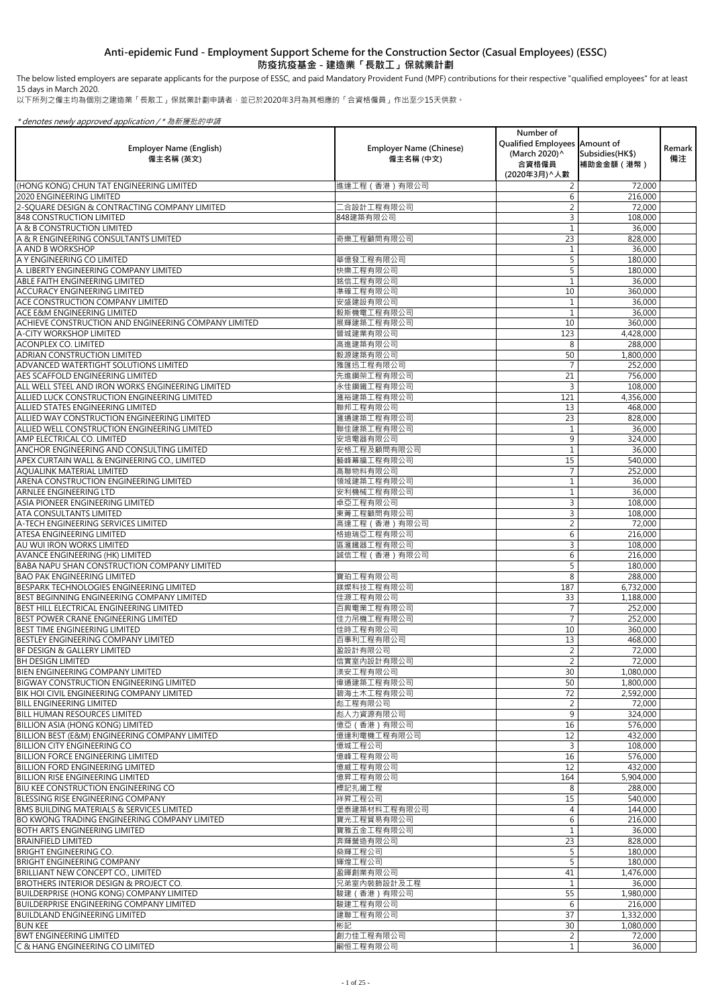| <b>Employer Name (English)</b><br>僱主名稱 (英文)                                                        | <b>Employer Name (Chinese)</b><br>僱主名稱 (中文) | Number of<br>Qualified Employees Amount of<br>(March 2020) ^<br>合資格僱員<br>(2020年3月) ^ 人數 | Subsidies (HK\$)<br>補助金金額(港幣) | Remark  <br>備注 |
|----------------------------------------------------------------------------------------------------|---------------------------------------------|-----------------------------------------------------------------------------------------|-------------------------------|----------------|
| (HONG KONG) CHUN TAT ENGINEERING LIMITED                                                           | 進達工程 (香港) 有限公司                              | $\overline{2}$                                                                          | 72,000                        |                |
| <b>2020 ENGINEERING LIMITED</b>                                                                    |                                             | 6                                                                                       | 216,000                       |                |
| 2-SQUARE DESIGN & CONTRACTING COMPANY LIMITED                                                      | [合設計工程有限公司                                  |                                                                                         | 72,000                        |                |
| <b>848 CONSTRUCTION LIMITED</b><br>A & B CONSTRUCTION LIMITED                                      | 848建築有限公司                                   | 3                                                                                       | 108,000<br>36,000             |                |
| A & R ENGINEERING CONSULTANTS LIMITED                                                              | 奇樂工程顧問有限公司                                  | 23                                                                                      | 828,000                       |                |
| A AND B WORKSHOP                                                                                   |                                             |                                                                                         | 36,000                        |                |
| A Y ENGINEERING CO LIMITED                                                                         | 華億發工程有限公司                                   | 5                                                                                       | 180,000                       |                |
| A. LIBERTY ENGINEERING COMPANY LIMITED                                                             | 快樂工程有限公司                                    |                                                                                         | 180,000                       |                |
| <b>ABLE FAITH ENGINEERING LIMITED</b>                                                              | 銘信工程有限公司                                    |                                                                                         | 36,000                        |                |
| <b>ACCURACY ENGINEERING LIMITED</b>                                                                | 準確工程有限公司                                    | 10                                                                                      | 360,000                       |                |
| <b>ACE CONSTRUCTION COMPANY LIMITED</b>                                                            | 安盛建設有限公司                                    |                                                                                         | 36,000                        |                |
| <b>ACE E&amp;M ENGINEERING LIMITED</b>                                                             | 毅斯機電工程有限公司                                  |                                                                                         | 36,000                        |                |
| ACHIEVE CONSTRUCTION AND ENGINEERING COMPANY LIMITED                                               | 展輝建築工程有限公司                                  | 10                                                                                      | 360,000                       |                |
| <b>A-CITY WORKSHOP LIMITED</b>                                                                     | 晉城建業有限公司                                    | 123                                                                                     | 4,428,000                     |                |
| <b>ACONPLEX CO. LIMITED</b>                                                                        | 高進建築有限公司                                    | 8                                                                                       | 288,000                       |                |
| <b>ADRIAN CONSTRUCTION LIMITED</b><br>ADVANCED WATERTIGHT SOLUTIONS LIMITED                        | 毅源建築有限公司<br>雅匯迅工程有限公司                       | 50<br>$\overline{7}$                                                                    | 1,800,000<br>252,000          |                |
| <b>AES SCAFFOLD ENGINEERING LIMITED</b>                                                            | 先進鋼架工程有限公司                                  | 21                                                                                      | 756,000                       |                |
| ALL WELL STEEL AND IRON WORKS ENGINEERING LIMITED                                                  | 永佳鋼鐵工程有限公司                                  | 3                                                                                       | 108,000                       |                |
| ALLIED LUCK CONSTRUCTION ENGINEERING LIMITED                                                       | 滙裕建築工程有限公司                                  | 121                                                                                     | 4,356,000                     |                |
| ALLIED STATES ENGINEERING LIMITED                                                                  | 聯邦工程有限公司                                    | 13                                                                                      | 468,000                       |                |
| ALLIED WAY CONSTRUCTION ENGINEERING LIMITED                                                        | 滙通建築工程有限公司                                  | 23                                                                                      | 828,000                       |                |
| ALLIED WELL CONSTRUCTION ENGINEERING LIMITED                                                       | 聯佳建築工程有限公司                                  |                                                                                         | 36,000                        |                |
| <b>AMP ELECTRICAL CO. LIMITED</b>                                                                  | 安培電器有限公司                                    | $\mathsf{Q}$                                                                            | 324,000                       |                |
| <b>ANCHOR ENGINEERING AND CONSULTING LIMITED</b>                                                   | 安格工程及顧問有限公司                                 |                                                                                         | 36,000                        |                |
| APEX CURTAIN WALL & ENGINEERING CO., LIMITED                                                       | 藝峰幕牆工程有限公司                                  | 15                                                                                      | 540,000                       |                |
| <b>AQUALINK MATERIAL LIMITED</b>                                                                   | 高聯物料有限公司                                    | $\overline{7}$                                                                          | 252,000                       |                |
| ARENA CONSTRUCTION ENGINEERING LIMITED                                                             | 領域建築工程有限公司                                  |                                                                                         | 36,000                        |                |
| <b>ARNLEE ENGINEERING LTD</b>                                                                      | 安利機械工程有限公司                                  |                                                                                         | 36,000                        |                |
| ASIA PIONEER ENGINEERING LIMITED<br><b>ATA CONSULTANTS LIMITED</b>                                 | 卓亞工程有限公司                                    | 3<br>3                                                                                  | 108,000                       |                |
| A-TECH ENGINEERING SERVICES LIMITED                                                                | 東菁工程顧問有限公司<br>高達工程 (香港) 有限公司                |                                                                                         | 108,000<br>72,000             |                |
| ATESA ENGINEERING LIMITED                                                                          | 格迪瑞亞工程有限公司                                  | 6                                                                                       | 216,000                       |                |
| AU WUI IRON WORKS LIMITED                                                                          | 區滙鐵器工程有限公司                                  | 3                                                                                       | 108,000                       |                |
| <b>AVANCE ENGINEERING (HK) LIMITED</b>                                                             | 誠信工程 (香港) 有限公司                              | 6                                                                                       | 216,000                       |                |
| <b>BABA NAPU SHAN CONSTRUCTION COMPANY LIMITED</b>                                                 |                                             |                                                                                         | 180,000                       |                |
| <b>BAO PAK ENGINEERING LIMITED</b>                                                                 | 寶珀工程有限公司                                    | 8                                                                                       | 288,000                       |                |
| BESPARK TECHNOLOGIES ENGINEERING LIMITED                                                           | 鎂燦科技工程有限公司                                  | 187                                                                                     | 6,732,000                     |                |
| BEST BEGINNING ENGINEERING COMPANY LIMITED                                                         | 佳源工程有限公司                                    | 33                                                                                      | 1,188,000                     |                |
| BEST HILL ELECTRICAL ENGINEERING LIMITED                                                           | 百興電業工程有限公司                                  |                                                                                         | 252,000                       |                |
| BEST POWER CRANE ENGINEERING LIMITED                                                               | 佳力吊機工程有限公司                                  | $\overline{7}$                                                                          | 252,000                       |                |
| <b>BEST TIME ENGINEERING LIMITED</b><br>BESTLEY ENGINEERING COMPANY LIMITED                        | 佳時工程有限公司<br>百事利工程有限公司                       | 10<br>13                                                                                | 360,000<br>468,000            |                |
| <b>BF DESIGN &amp; GALLERY LIMITED</b>                                                             | 盈設計有限公司                                     | 2                                                                                       | 72,000                        |                |
| <b>BH DESIGN LIMITED</b>                                                                           | 信實室內設計有限公司                                  | $\overline{2}$                                                                          | 72,000                        |                |
| BIEN ENGINEERING COMPANY LIMITED                                                                   | 渼安工程有限公司                                    | 30                                                                                      | 1,080,000                     |                |
| BIGWAY CONSTRUCTION ENGINEERING LIMITED                                                            | 偉通建築工程有限公司                                  | 50                                                                                      | 1,800,000                     |                |
| <b>BIK HOI CIVIL ENGINEERING COMPANY LIMITED</b>                                                   | 碧海土木工程有限公司                                  | 72                                                                                      | 2,592,000                     |                |
| <b>BILL ENGINEERING LIMITED</b>                                                                    | 彪工程有限公司                                     | $\overline{2}$                                                                          | 72,000                        |                |
| <b>BILL HUMAN RESOURCES LIMITED</b>                                                                | 彪人力資源有限公司                                   | 9                                                                                       | 324,000                       |                |
| <b>BILLION ASIA (HONG KONG) LIMITED</b>                                                            | 億亞 (香港)有限公司                                 | 16                                                                                      | 576,000                       |                |
| <b>BILLION BEST (E&amp;M) ENGINEERING COMPANY LIMITED</b>                                          | 億達利電機工程有限公司                                 | 12                                                                                      | 432,000                       |                |
| <b>BILLION CITY ENGINEERING CO</b>                                                                 | 億城工程公司                                      |                                                                                         | 108,000                       |                |
| <b>BILLION FORCE ENGINEERING LIMITED</b>                                                           | 億峰工程有限公司                                    | 16<br>12                                                                                | 576,000                       |                |
| <b>BILLION FORD ENGINEERING LIMITED</b><br>BILLION RISE ENGINEERING LIMITED                        | 億威工程有限公司<br>億昇工程有限公司                        | 164                                                                                     | 432,000<br>5,904,000          |                |
| <b>BIU KEE CONSTRUCTION ENGINEERING CO</b>                                                         | 標記扎鐵工程                                      | 8                                                                                       | 288,000                       |                |
| <b>BLESSING RISE ENGINEERING COMPANY</b>                                                           | 祥昇工程公司                                      | 15                                                                                      | 540,000                       |                |
| <b>BMS BUILDING MATERIALS &amp; SERVICES LIMITED</b>                                               | 堡泰建築材料工程有限公司                                |                                                                                         | 144,000                       |                |
| <b>BO KWONG TRADING ENGINEERING COMPANY LIMITED</b>                                                | 寶光工程貿易有限公司                                  | 6                                                                                       | 216,000                       |                |
| BOTH ARTS ENGINEERING LIMITED                                                                      | 寶雅五金工程有限公司                                  |                                                                                         | 36,000                        |                |
| <b>BRAINFIELD LIMITED</b>                                                                          | 奔輝營造有限公司                                    | 23                                                                                      | 828,000                       |                |
| <b>BRIGHT ENGINEERING CO.</b>                                                                      | 燊輝工程公司                                      |                                                                                         | 180,000                       |                |
| <b>BRIGHT ENGINEERING COMPANY</b>                                                                  | 輝煌工程公司                                      |                                                                                         | 180,000                       |                |
| <b>BRILLIANT NEW CONCEPT CO., LIMITED</b>                                                          | 盈暉創業有限公司                                    | 41                                                                                      | 1,476,000                     |                |
| BROTHERS INTERIOR DESIGN & PROJECT CO.                                                             | 兄弟室内裝飾設計及工程                                 |                                                                                         | 36,000                        |                |
| <b>BUILDERPRISE (HONG KONG) COMPANY LIMITED</b><br><b>BUILDERPRISE ENGINEERING COMPANY LIMITED</b> | 駿建 (香港) 有限公司<br>駿建工程有限公司                    | 55<br>6                                                                                 | 1,980,000<br>216,000          |                |
| <b>BUILDLAND ENGINEERING LIMITED</b>                                                               | 建聯工程有限公司                                    | 37                                                                                      | 1,332,000                     |                |
| <b>BUN KEE</b>                                                                                     | 彬記                                          | 30                                                                                      | 1,080,000                     |                |
| <b>BWT ENGINEERING LIMITED</b>                                                                     | 創力佳工程有限公司                                   |                                                                                         | 72,000                        |                |
| C & HANG ENGINEERING CO LIMITED                                                                    | 嗣恒工程有限公司                                    | $\mathbf{1}$                                                                            | 36,000                        |                |

以下所列之僱主均為個別之建造業「長散工」保就業計劃申請者,並已於2020年3月為其相應的「合資格僱員」作出至少15天供款。

\* denotes newly approved application / \* 為新獲批的申請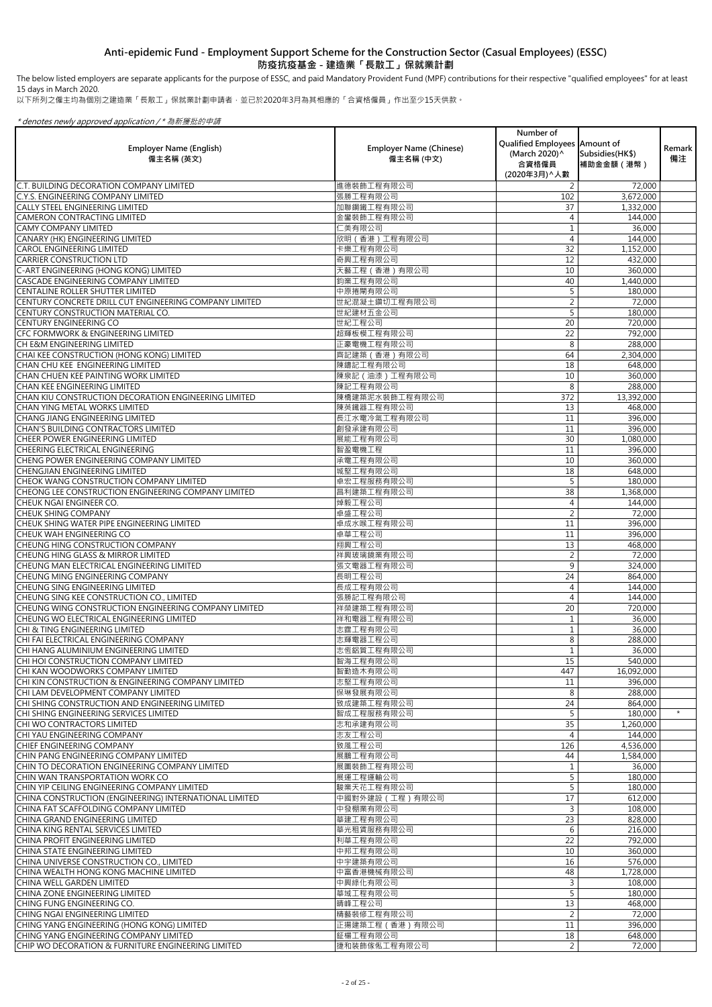The below listed employers are separate applicants for the purpose of ESSC, and paid Mandatory Provident Fund (MPF) contributions for their respective "qualified employees" for at least 15 days in March 2020.

以下所列之僱主均為個別之建造業「長散工」保就業計劃申請者,並已於2020年3月為其相應的「合資格僱員」作出至少15天供款。

| <b>Employer Name (English)</b><br>僱主名稱 (英文)                                           | <b>Employer Name (Chinese)</b><br>僱主名稱 (中文) | Number of<br>Qualified Employees Amount of<br>(March 2020) ^<br>合資格僱員<br>(2020年3月) へ人數 | Subsidies (HK\$)<br>補助金金額 (港幣) | Remark<br>備注 |
|---------------------------------------------------------------------------------------|---------------------------------------------|----------------------------------------------------------------------------------------|--------------------------------|--------------|
| . BUILDING DECORATION COMPANY LIMITED                                                 | 進德裝飾工程有限公司                                  | 2                                                                                      | 72,000                         |              |
| C.Y.S. ENGINEERING COMPANY LIMITED                                                    | 張勝工程有限公司                                    | 102                                                                                    | 3,672,000                      |              |
| <b>CALLY STEEL ENGINEERING LIMITED</b>                                                | 加聯鋼鐵工程有限公司                                  | 37                                                                                     | 1,332,000                      |              |
| <b>CAMERON CONTRACTING LIMITED</b><br><b>CAMY COMPANY LIMITED</b>                     | 金鑾裝飾工程有限公司<br>仁美有限公司                        |                                                                                        | 144,000<br>36,000              |              |
| <b>CANARY (HK) ENGINEERING LIMITED</b>                                                | 欣明 (香港)工程有限公司                               | 4                                                                                      | 144,000                        |              |
| <b>CAROL ENGINEERING LIMITED</b>                                                      | 卡樂工程有限公司                                    | 32                                                                                     | 1,152,000                      |              |
| <b>CARRIER CONSTRUCTION LTD</b>                                                       | 奇興工程有限公司                                    | 12                                                                                     | 432,000                        |              |
| C-ART ENGINEERING (HONG KONG) LIMITED                                                 | 天藝工程 (香港) 有限公司                              | 10                                                                                     | 360,000                        |              |
| CASCADE ENGINEERING COMPANY LIMITED                                                   | 鈞業工程有限公司                                    | 40                                                                                     | 1,440,000                      |              |
| CENTALINE ROLLER SHUTTER LIMITED                                                      | 中原捲閘有限公司                                    |                                                                                        | 180,000                        |              |
| CENTURY CONCRETE DRILL CUT ENGINEERING COMPANY LIMITED                                | 世紀混凝土鑽切工程有限公司                               |                                                                                        | 72,000                         |              |
| CENTURY CONSTRUCTION MATERIAL CO.                                                     | 世紀建材五金公司                                    | 5                                                                                      | 180,000                        |              |
| <b>CENTURY ENGINEERING CO</b>                                                         | 世紀工程公司                                      | 20                                                                                     | 720,000                        |              |
| <b>CFC FORMWORK &amp; ENGINEERING LIMITED</b>                                         | 超輝板模工程有限公司                                  | 22                                                                                     | 792,000                        |              |
| CH E&M ENGINEERING LIMITED                                                            | 正豪電機工程有限公司                                  | 8                                                                                      | 288,000                        |              |
| CHAI KEE CONSTRUCTION (HONG KONG) LIMITED                                             | 齊記建築 (香港) 有限公司                              | 64                                                                                     | 2,304,000                      |              |
| CHAN CHU KEE ENGINEERING LIMITED                                                      | 陳鑄記工程有限公司                                   | 18                                                                                     | 648,000                        |              |
| CHAN CHUEN KEE PAINTING WORK LIMITED                                                  | 陳泉記 (油漆)工程有限公司                              | 10                                                                                     | 360,000                        |              |
| CHAN KEE ENGINEERING LIMITED<br>CHAN KIU CONSTRUCTION DECORATION ENGINEERING LIMITED  | 陳記工程有限公司<br>陳橋建築泥水裝飾工程有限公司                  | 8<br>372                                                                               | 288,000                        |              |
| <b>CHAN YING METAL WORKS LIMITED</b>                                                  | 陳英鐵器工程有限公司                                  | 13                                                                                     | 13,392,000<br>468,000          |              |
| <b>CHANG JIANG ENGINEERING LIMITED</b>                                                | 長江水電冷氣工程有限公司                                | 11                                                                                     | 396,000                        |              |
| <b>CHAN'S BUILDING CONTRACTORS LIMITED</b>                                            | 創發承建有限公司                                    | 11                                                                                     | 396,000                        |              |
| <b>CHEER POWER ENGINEERING LIMITED</b>                                                | 展能工程有限公司                                    | 30 <sup>°</sup>                                                                        | 1,080,000                      |              |
| CHEERING ELECTRICAL ENGINEERING                                                       | 智盈電機工程                                      | 11                                                                                     | 396,000                        |              |
| CHENG POWER ENGINEERING COMPANY LIMITED                                               | 承電工程有限公司                                    | 10                                                                                     | 360,000                        |              |
| <b>CHENGJIAN ENGINEERING LIMITED</b>                                                  | 城堅工程有限公司                                    | 18                                                                                     | 648,000                        |              |
| <b>CHEOK WANG CONSTRUCTION COMPANY LIMITED</b>                                        | 卓宏工程服務有限公司                                  |                                                                                        | 180,000                        |              |
| CHEONG LEE CONSTRUCTION ENGINEERING COMPANY LIMITED                                   | 昌利建築工程有限公司                                  | 38                                                                                     | 1,368,000                      |              |
| <b>CHEUK NGAI ENGINEER CO.</b>                                                        | 焯毅工程公司                                      |                                                                                        | 144,000                        |              |
| <b>CHEUK SHING COMPANY</b>                                                            | 卓盛工程公司                                      |                                                                                        | 72,000                         |              |
| CHEUK SHING WATER PIPE ENGINEERING LIMITED<br>CHEUK WAH ENGINEERING CO                | 卓成水喉工程有限公司                                  | 11                                                                                     | 396,000                        |              |
| <b>CHEUNG HING CONSTRUCTION COMPANY</b>                                               | 卓華工程公司<br>翔興工程公司                            | 11<br>13                                                                               | 396,000<br>468,000             |              |
| <b>CHEUNG HING GLASS &amp; MIRROR LIMITED</b>                                         | 祥興玻璃鏡業有限公司                                  |                                                                                        | 72,000                         |              |
| CHEUNG MAN ELECTRICAL ENGINEERING LIMITED                                             | 張文電器工程有限公司                                  | 9                                                                                      | 324,000                        |              |
| <b>CHEUNG MING ENGINEERING COMPANY</b>                                                | 長明工程公司                                      | 24                                                                                     | 864,000                        |              |
| <b>CHEUNG SING ENGINEERING LIMITED</b>                                                | 長成工程有限公司                                    |                                                                                        | 144,000                        |              |
| CHEUNG SING KEE CONSTRUCTION CO., LIMITED                                             | 張勝記工程有限公司                                   | 4                                                                                      | 144,000                        |              |
| CHEUNG WING CONSTRUCTION ENGINEERING COMPANY LIMITED                                  | 祥榮建築工程有限公司                                  | 20                                                                                     | 720,000                        |              |
| CHEUNG WO ELECTRICAL ENGINEERING LIMITED                                              | 祥和電器工程有限公司                                  |                                                                                        | 36,000                         |              |
| <b>CHI &amp; TING ENGINEERING LIMITED</b>                                             | 志霆工程有限公司                                    |                                                                                        | 36,000                         |              |
| CHI FAI ELECTRICAL ENGINEERING COMPANY                                                | 志輝電器工程公司                                    | 8                                                                                      | 288,000                        |              |
| CHI HANG ALUMINIUM ENGINEERING LIMITED                                                | 志恆鋁質工程有限公司                                  |                                                                                        | 36,000                         |              |
| CHI HOI CONSTRUCTION COMPANY LIMITED                                                  | 智海工程有限公司                                    | 15                                                                                     | 540,000                        |              |
| CHI KAN WOODWORKS COMPANY LIMITED                                                     | 智勤造木有限公司                                    | 447                                                                                    | 16,092,000                     |              |
| CHI KIN CONSTRUCTION & ENGINEERING COMPANY LIMITED                                    | 志堅工程有限公司                                    | 11                                                                                     | 396,000                        |              |
| CHI LAM DEVELOPMENT COMPANY LIMITED<br>CHI SHING CONSTRUCTION AND ENGINEERING LIMITED | 保琳發展有限公司<br>致成建築工程有限公司                      | 8<br>24                                                                                | 288,000<br>864,000             |              |
| CHI SHING ENGINEERING SERVICES LIMITED                                                | 智成工程服務有限公司                                  | 5                                                                                      | 180,000                        | $\star$      |
| CHI WO CONTRACTORS LIMITED                                                            | 志和承建有限公司                                    | 35                                                                                     | 1,260,000                      |              |
| CHI YAU ENGINEERING COMPANY                                                           | 志友工程公司                                      |                                                                                        | 144,000                        |              |
| <b>CHIEF ENGINEERING COMPANY</b>                                                      | 致風工程公司                                      | 126                                                                                    | 4,536,000                      |              |
| CHIN PANG ENGINEERING COMPANY LIMITED                                                 | 展鵬工程有限公司                                    | 44                                                                                     | 1,584,000                      |              |
| CHIN TO DECORATION ENGINEERING COMPANY LIMITED                                        | 展圖裝飾工程有限公司                                  |                                                                                        | 36,000                         |              |
| CHIN WAN TRANSPORTATION WORK CO                                                       | 展運工程運輸公司                                    | 5                                                                                      | 180,000                        |              |
| İCHIN YIP CEILING ENGINEERING COMPANY LIMITED                                         | 駿業天花工程有限公司                                  | 5                                                                                      | 180,000                        |              |
| CHINA CONSTRUCTION (ENGINEERING) INTERNATIONAL LIMITED                                | 中國對外建設 (工程) 有限公司                            | 17                                                                                     | 612,000                        |              |
| CHINA FAT SCAFFOLDING COMPANY LIMITED                                                 | 中發棚業有限公司                                    | 3                                                                                      | 108,000                        |              |
| İCHINA GRAND ENGINEERING LIMITED                                                      | 華建工程有限公司                                    | 23                                                                                     | 828,000                        |              |
| İCHINA KING RENTAL SERVICES LIMITED                                                   | 華光租賃服務有限公司                                  | 6                                                                                      | 216,000                        |              |
| <b>CHINA PROFIT ENGINEERING LIMITED</b><br>CHINA STATE ENGINEERING LIMITED            | 利華工程有限公司<br>中邦工程有限公司                        | 22<br>10                                                                               | 792,000<br>360,000             |              |
| CHINA UNIVERSE CONSTRUCTION CO., LIMITED                                              | 中宇建築有限公司                                    | 16                                                                                     | 576,000                        |              |
| CHINA WEALTH HONG KONG MACHINE LIMITED                                                | 中富香港機械有限公司                                  | 48                                                                                     | 1,728,000                      |              |
| <b>CHINA WELL GARDEN LIMITED</b>                                                      | 中興綠化有限公司                                    |                                                                                        | 108,000                        |              |
| CHINA ZONE ENGINEERING LIMITED                                                        | 華域工程有限公司                                    | 5                                                                                      | 180,000                        |              |
| ÍCHING FUNG ENGINEERING CO.                                                           | 晴峰工程公司                                      | 13                                                                                     | 468,000                        |              |
| CHING NGAI ENGINEERING LIMITED                                                        | 精藝裝修工程有限公司                                  | $\overline{2}$                                                                         | 72,000                         |              |
| CHING YANG ENGINEERING (HONG KONG) LIMITED                                            | 正揚建築工程 (香港) 有限公司                            | 11                                                                                     | 396,000                        |              |
| CHING YANG ENGINEERING COMPANY LIMITED                                                | 鉦楊工程有限公司                                    | 18                                                                                     | 648,000                        |              |
| CHIP WO DECORATION & FURNITURE ENGINEERING LIMITED                                    | 捷和装飾傢俬工程有限公司                                | $\overline{2}$                                                                         | 72,000                         |              |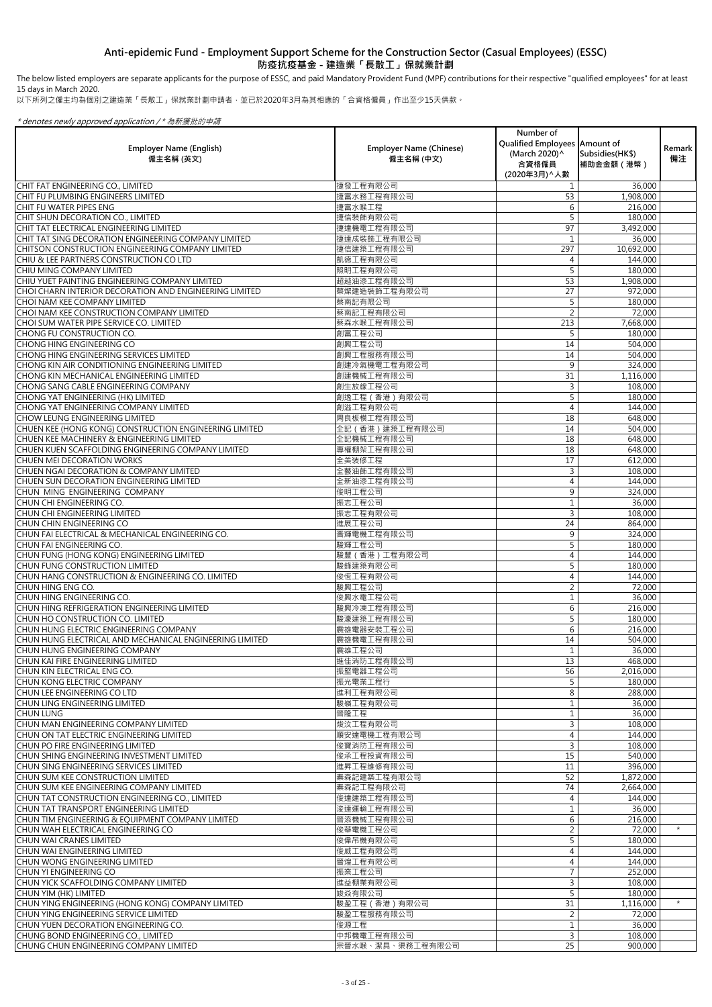The below listed employers are separate applicants for the purpose of ESSC, and paid Mandatory Provident Fund (MPF) contributions for their respective "qualified employees" for at least 15 days in March 2020.

以下所列之僱主均為個別之建造業「長散工」保就業計劃申請者,並已於2020年3月為其相應的「合資格僱員」作出至少15天供款。

|                                                                                                          |                                             | Number of<br>Qualified Employees Amount of |                                |              |
|----------------------------------------------------------------------------------------------------------|---------------------------------------------|--------------------------------------------|--------------------------------|--------------|
| <b>Employer Name (English)</b><br>僱主名稱 (英文)                                                              | <b>Employer Name (Chinese)</b><br>僱主名稱 (中文) | (March 2020)^<br>合資格僱員                     | Subsidies (HK\$)<br>補助金金額 (港幣) | Remark<br>備注 |
|                                                                                                          |                                             | (2020年3月) へ人數                              |                                |              |
| CHIT FAT ENGINEERING CO., LIMITED<br><b>CHIT FU PLUMBING ENGINEERS LIMITED</b>                           | 捷發工程有限公司<br>捷富水務工程有限公司                      | 53                                         | 36,000<br>1,908,000            |              |
| CHIT FU WATER PIPES ENG                                                                                  | 捷富水喉工程                                      | 6                                          | 216,000                        |              |
| CHIT SHUN DECORATION CO., LIMITED                                                                        | 捷信裝飾有限公司                                    |                                            | 180,000                        |              |
| CHIT TAT ELECTRICAL ENGINEERING LIMITED                                                                  | 捷達機電工程有限公司                                  | 97                                         | 3,492,000                      |              |
| CHIT TAT SING DECORATION ENGINEERING COMPANY LIMITED<br>CHITSON CONSTRUCTION ENGINEERING COMPANY LIMITED | 捷達成裝飾工程有限公司<br>捷信建築工程有限公司                   | 297                                        | 36,000<br>10,692,000           |              |
| CHIU & LEE PARTNERS CONSTRUCTION CO LTD                                                                  | 凱德工程有限公司                                    | 4                                          | 144,000                        |              |
| <b>CHIU MING COMPANY LIMITED</b>                                                                         | 照明工程有限公司                                    |                                            | 180,000                        |              |
| CHIU YUET PAINTING ENGINEERING COMPANY LIMITED                                                           | 超越油漆工程有限公司                                  | 53                                         | 1,908,000                      |              |
| CHOI CHARN INTERIOR DECORATION AND ENGINEERING LIMITED                                                   | 蔡燦建造裝飾工程有限公司                                | 27                                         | 972,000                        |              |
| <b>CHOI NAM KEE COMPANY LIMITED</b><br>CHOI NAM KEE CONSTRUCTION COMPANY LIMITED                         | 蔡南記有限公司<br>蔡南記工程有限公司                        | $\overline{2}$                             | 180,000<br>72,000              |              |
| CHOI SUM WATER PIPE SERVICE CO. LIMITED                                                                  | 蔡森水喉工程有限公司                                  | 213                                        | 7,668,000                      |              |
| <b>CHONG FU CONSTRUCTION CO.</b>                                                                         | 創富工程公司                                      |                                            | 180,000                        |              |
| CHONG HING ENGINEERING CO                                                                                | 創興工程公司                                      | 14                                         | 504,000                        |              |
| CHONG HING ENGINEERING SERVICES LIMITED<br>CHONG KIN AIR CONDITIONING ENGINEERING LIMITED                | 創興工程服務有限公司<br>創建冷氣機電工程有限公司                  | 14<br>9                                    | 504,000<br>324,000             |              |
| CHONG KIN MECHANICAL ENGINEERING LIMITED                                                                 | 創建機械工程有限公司                                  | 31                                         | 1,116,000                      |              |
| CHONG SANG CABLE ENGINEERING COMPANY                                                                     | 創生放線工程公司                                    | 3                                          | 108,000                        |              |
| CHONG YAT ENGINEERING (HK) LIMITED                                                                       | 創逸工程 (香港) 有限公司                              | 5                                          | 180,000                        |              |
| CHONG YAT ENGINEERING COMPANY LIMITED<br>CHOW LEUNG ENGINEERING LIMITED                                  | 創溢工程有限公司<br>周良板模工程有限公司                      | 4<br>18                                    | 144,000                        |              |
| CHUEN KEE (HONG KONG) CONSTRUCTION ENGINEERING LIMITED                                                   | 全記 (香港)建築工程有限公司                             | 14                                         | 648,000<br>504,000             |              |
| CHUEN KEE MACHINERY & ENGINEERING LIMITED                                                                | 全記機械工程有限公司                                  | 18                                         | 648,000                        |              |
| CHUEN KUEN SCAFFOLDING ENGINEERING COMPANY LIMITED                                                       | 專權棚架工程有限公司                                  | 18                                         | 648,000                        |              |
| CHUEN MEI DECORATION WORKS                                                                               | 全美装修工程                                      | 17                                         | 612,000                        |              |
| CHUEN NGAI DECORATION & COMPANY LIMITED<br>CHUEN SUN DECORATION ENGINEERING LIMITED                      | 全藝油飾工程有限公司<br>全新油漆工程有限公司                    | 3<br>$\overline{4}$                        | 108,000<br>144,000             |              |
| CHUN MING ENGINEERING COMPANY                                                                            | 俊明工程公司                                      | 9                                          | 324,000                        |              |
| CHUN CHI ENGINEERING CO.                                                                                 | 振志工程公司                                      |                                            | 36,000                         |              |
| ÍCHUN CHI ENGINEERING LIMITED                                                                            | 振志工程有限公司                                    | 3                                          | 108,000                        |              |
| <b>CHUN CHIN ENGINEERING CO</b><br>CHUN FAI ELECTRICAL & MECHANICAL ENGINEERING CO.                      | 進展工程公司<br>晋輝電機工程有限公司                        | 24<br>9                                    | 864,000<br>324,000             |              |
| CHUN FAI ENGINEERING CO.                                                                                 | 駿輝工程公司                                      | 5                                          | 180,000                        |              |
| CHUN FUNG (HONG KONG) ENGINEERING LIMITED                                                                | 駿豐 (香港)工程有限公司                               | 4                                          | 144,000                        |              |
| CHUN FUNG CONSTRUCTION LIMITED                                                                           | 駿鋒建築有限公司                                    | 5                                          | 180,000                        |              |
| CHUN HANG CONSTRUCTION & ENGINEERING CO. LIMITED                                                         | 俊恆工程有限公司                                    | 4                                          | 144,000                        |              |
| <b>CHUN HING ENG CO.</b><br>CHUN HING ENGINEERING CO.                                                    | 駿興工程公司<br>俊興水電工程公司                          | 2                                          | 72,000<br>36,000               |              |
| CHUN HING REFRIGERATION ENGINEERING LIMITED                                                              | 駿興冷凍工程有限公司                                  | 6                                          | 216,000                        |              |
| CHUN HO CONSTRUCTION CO. LIMITED                                                                         | 駿濠建築工程有限公司                                  | 5                                          | 180,000                        |              |
| CHUN HUNG ELECTRIC ENGINEERING COMPANY                                                                   | 震雄電器安裝工程公司                                  | 6                                          | 216,000                        |              |
| CHUN HUNG ELECTRICAL AND MECHANICAL ENGINEERING LIMITED<br><b>CHUN HUNG ENGINEERING COMPANY</b>          | 震雄機電工程有限公司<br>震雄工程公司                        | 14                                         | 504,000<br>36,000              |              |
| CHUN KAI FIRE ENGINEERING LIMITED                                                                        | 進佳消防工程有限公司                                  | 13                                         | 468,000                        |              |
| CHUN KIN ELECTRICAL ENG CO.                                                                              | 振堅電器工程公司                                    | 56                                         | 2,016,000                      |              |
| CHUN KONG ELECTRIC COMPANY                                                                               | 振光電業工程行                                     | 5                                          | 180,000                        |              |
| ÍCHUN LEE ENGINEERING CO LTD<br><b>CHUN LING ENGINEERING LIMITED</b>                                     | 進利工程有限公司<br>駿嶺工程有限公司                        | 8                                          | 288,000                        |              |
| <b>CHUN LUNG</b>                                                                                         | 晉隆工程                                        |                                            | 36,000<br>36,000               |              |
| CHUN MAN ENGINEERING COMPANY LIMITED                                                                     | 焌汶工程有限公司                                    | 3                                          | 108,000                        |              |
| CHUN ON TAT ELECTRIC ENGINEERING LIMITED                                                                 | 順安達電機工程有限公司                                 | 4                                          | 144,000                        |              |
| ICHUN PO FIRE ENGINEERING LIMITED                                                                        | 俊寶消防工程有限公司                                  | 3                                          | 108,000                        |              |
| <b>CHUN SHING ENGINEERING INVESTMENT LIMITED</b><br>CHUN SING ENGINEERING SERVICES LIMITED               | 俊承工程投資有限公司<br>進昇工程維修有限公司                    | 15<br>11                                   | 540,000<br>396,000             |              |
| CHUN SUM KEE CONSTRUCTION LIMITED                                                                        | 秦森記建築工程有限公司                                 | 52                                         | 1,872,000                      |              |
| CHUN SUM KEE ENGINEERING COMPANY LIMITED                                                                 | 秦森記工程有限公司                                   | 74                                         | 2,664,000                      |              |
| CHUN TAT CONSTRUCTION ENGINEERING CO., LIMITED                                                           | 俊達建築工程有限公司                                  | 4                                          | 144,000                        |              |
| CHUN TAT TRANSPORT ENGINEERING LIMITED<br>CHUN TIM ENGINEERING & EQUIPMENT COMPANY LIMITED               | 浚達運輸工程有限公司<br>晉添機械工程有限公司                    |                                            | 36,000                         |              |
| CHUN WAH ELECTRICAL ENGINEERING CO                                                                       | 俊華電機工程公司                                    | 6<br>$\overline{2}$                        | 216,000<br>72,000              | $\star$      |
| İCHUN WAI CRANES LIMITED                                                                                 | 俊偉吊機有限公司                                    | 5                                          | 180,000                        |              |
| CHUN WAI ENGINEERING LIMITED                                                                             | 俊威工程有限公司                                    | 4                                          | 144,000                        |              |
| İCHUN WONG ENGINEERING LIMITED                                                                           | 晉煌工程有限公司                                    | 4                                          | 144,000                        |              |
| <b>CHUN YI ENGINEERING CO</b><br>CHUN YICK SCAFFOLDING COMPANY LIMITED                                   | 振業工程公司<br>進益棚業有限公司                          | 3                                          | 252,000<br>108,000             |              |
| CHUN YIM (HK) LIMITED                                                                                    | 竣焱有限公司                                      | 5                                          | 180,000                        |              |
| CHUN YING ENGINEERING (HONG KONG) COMPANY LIMITED                                                        | 駿盈工程 (香港) 有限公司                              | 31                                         | 1,116,000                      |              |
| CHUN YING ENGINEERING SERVICE LIMITED                                                                    | 駿盈工程服務有限公司                                  | $\overline{2}$                             | 72,000                         |              |
| ICHUN YUEN DECORATION ENGINEERING CO.<br>CHUNG BOND ENGINEERING CO., LIMITED                             | 俊源工程<br>中邦機電工程有限公司                          | $\mathbf{3}$                               | 36,000                         |              |
| CHUNG CHUN ENGINEERING COMPANY LIMITED                                                                   | 宗晉水喉、潔具、渠務工程有限公司                            | 25                                         | 108,000<br>900,000             |              |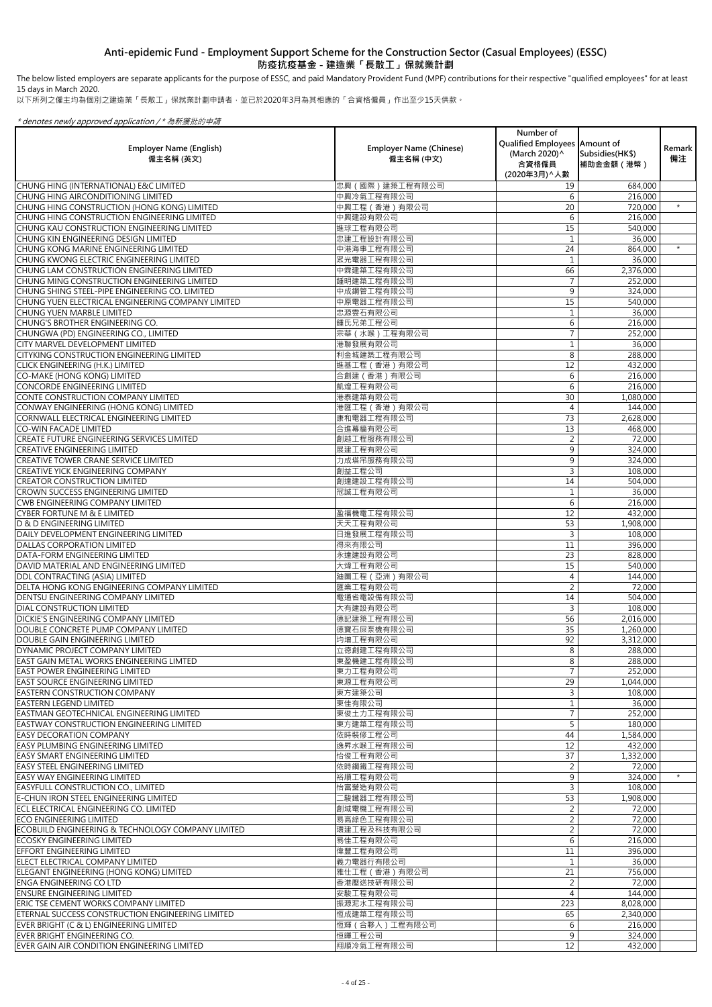The below listed employers are separate applicants for the purpose of ESSC, and paid Mandatory Provident Fund (MPF) contributions for their respective "qualified employees" for at least 15 days in March 2020.

以下所列之僱主均為個別之建造業「長散工」保就業計劃申請者,並已於2020年3月為其相應的「合資格僱員」作出至少15天供款。

|                                                                                                     |                                | Number of                     |                               |               |
|-----------------------------------------------------------------------------------------------------|--------------------------------|-------------------------------|-------------------------------|---------------|
| <b>Employer Name (English)</b>                                                                      | <b>Employer Name (Chinese)</b> | Qualified Employees Amount of |                               | <b>Remark</b> |
| 僱主名稱 (英文)                                                                                           | 僱主名稱 (中文)                      | (March 2020)^<br>合資格僱員        | Subsidies(HK\$)<br>補助金金額 (港幣) | 備注            |
|                                                                                                     |                                | (2020年3月) ^ 人數                |                               |               |
| CHUNG HING (INTERNATIONAL) E&C LIMITED                                                              | 忠興 (國際)建築工程有限公司                | 19                            | 684,000                       |               |
| CHUNG HING AIRCONDITIONING LIMITED                                                                  | 中興冷氣工程有限公司                     | 6                             | 216,000                       |               |
| CHUNG HING CONSTRUCTION (HONG KONG) LIMITED                                                         | 中興工程 (香港) 有限公司                 | 20                            | 720,000                       | $\star$       |
| CHUNG HING CONSTRUCTION ENGINEERING LIMITED                                                         | 中興建設有限公司                       | 6                             | 216,000                       |               |
| CHUNG KAU CONSTRUCTION ENGINEERING LIMITED                                                          | 進球工程有限公司                       | 15                            | 540,000                       |               |
| CHUNG KIN ENGINEERING DESIGN LIMITED                                                                | 忠建工程設計有限公司                     |                               | 36,000                        |               |
| CHUNG KONG MARINE ENGINEERING LIMITED                                                               | 中港海事工程有限公司                     | 24                            | 864,000                       | $\star$       |
| CHUNG KWONG ELECTRIC ENGINEERING LIMITED                                                            | 眾光電器工程有限公司                     |                               | 36,000                        |               |
| CHUNG LAM CONSTRUCTION ENGINEERING LIMITED                                                          | 中霖建築工程有限公司                     | 66                            | 2,376,000                     |               |
| CHUNG MING CONSTRUCTION ENGINEERING LIMITED                                                         | 鍾明建築工程有限公司                     |                               | 252,000                       |               |
| CHUNG SHING STEEL-PIPE ENGINEERING CO. LIMITED<br>CHUNG YUEN ELECTRICAL ENGINEERING COMPANY LIMITED | 中成鋼管工程有限公司<br>中原電器工程有限公司       | 9<br>15                       | 324,000                       |               |
| <b>CHUNG YUEN MARBLE LIMITED</b>                                                                    | 忠源雲石有限公司                       |                               | 540,000<br>36,000             |               |
| CHUNG'S BROTHER ENGINEERING CO.                                                                     | 鍾氏兄弟工程公司                       | 6                             | 216,000                       |               |
| CHUNGWA (PD) ENGINEERING CO., LIMITED                                                               | 宗華 (水喉)工程有限公司                  |                               | 252,000                       |               |
| <b>CITY MARVEL DEVELOPMENT LIMITED</b>                                                              | 港聯發展有限公司                       |                               | 36,000                        |               |
| <b>CITYKING CONSTRUCTION ENGINEERING LIMITED</b>                                                    | 利金城建築工程有限公司                    | 8                             | 288,000                       |               |
| <b>CLICK ENGINEERING (H.K.) LIMITED</b>                                                             | 進基工程 (香港) 有限公司                 | 12                            | 432,000                       |               |
| CO-MAKE (HONG KONG) LIMITED                                                                         | 合創建 (香港) 有限公司                  | 6                             | 216,000                       |               |
| CONCORDE ENGINEERING LIMITED                                                                        | 凱煌工程有限公司                       | 6                             | 216,000                       |               |
| CONTE CONSTRUCTION COMPANY LIMITED                                                                  | 港泰建築有限公司                       | 30                            | 1,080,000                     |               |
| CONWAY ENGINEERING (HONG KONG) LIMITED                                                              | 港匯工程 (香港) 有限公司                 | 4                             | 144,000                       |               |
| CORNWALL ELECTRICAL ENGINEERING LIMITED                                                             | 康和電器工程有限公司                     | 73                            | 2,628,000                     |               |
| <b>CO-WIN FACADE LIMITED</b>                                                                        | 合進幕牆有限公司                       | 13                            | 468,000                       |               |
| CREATE FUTURE ENGINEERING SERVICES LIMITED<br><b>CREATIVE ENGINEERING LIMITED</b>                   | 創越工程服務有限公司<br>展建工程有限公司         | $\overline{2}$<br>9           | 72,000                        |               |
| <b>CREATIVE TOWER CRANE SERVICE LIMITED</b>                                                         | 力成塔吊服務有限公司                     | 9                             | 324,000<br>324,000            |               |
| <b>CREATIVE YICK ENGINEERING COMPANY</b>                                                            | 創益工程公司                         | 3                             | 108,000                       |               |
| <b>CREATOR CONSTRUCTION LIMITED</b>                                                                 | 創達建設工程有限公司                     | 14                            | 504,000                       |               |
| <b>CROWN SUCCESS ENGINEERING LIMITED</b>                                                            | 冠誠工程有限公司                       |                               | 36,000                        |               |
| <b>CWB ENGINEERING COMPANY LIMITED</b>                                                              |                                | 6                             | 216,000                       |               |
| <b>CYBER FORTUNE M &amp; E LIMITED</b>                                                              | 盈福機電工程有限公司                     | 12                            | 432,000                       |               |
| D & D ENGINEERING LIMITED                                                                           | 天天工程有限公司                       | 53                            | 1,908,000                     |               |
| DAILY DEVELOPMENT ENGINEERING LIMITED                                                               | 日進發展工程有限公司                     | 3                             | 108,000                       |               |
| <b>DALLAS CORPORATION LIMITED</b>                                                                   | 得來有限公司                         | 11                            | 396,000                       |               |
| DATA-FORM ENGINEERING LIMITED                                                                       | 永達建設有限公司                       | 23                            | 828,000                       |               |
| DAVID MATERIAL AND ENGINEERING LIMITED                                                              | 大煒工程有限公司                       | 15                            | 540,000                       |               |
| <b>DDL CONTRACTING (ASIA) LIMITED</b>                                                               | 迪圖工程 (亞洲) 有限公司                 | $\overline{4}$                | 144,000                       |               |
| DELTA HONG KONG ENGINEERING COMPANY LIMITED<br><b>DENTSU ENGINEERING COMPANY LIMITED</b>            | 匯業工程有限公司<br>電通省電設備有限公司         | $\overline{2}$<br>14          | 72,000<br>504,000             |               |
| <b>DIAL CONSTRUCTION LIMITED</b>                                                                    | 大有建設有限公司                       | 3                             | 108,000                       |               |
| <b>DICKIE'S ENGINEERING COMPANY LIMITED</b>                                                         | 德記建築工程有限公司                     | 56                            | 2,016,000                     |               |
| DOUBLE CONCRETE PUMP COMPANY LIMITED                                                                | 德寶石屎泵機有限公司                     | 35                            | 1,260,000                     |               |
| DOUBLE GAIN ENGINEERING LIMITED                                                                     | 均增工程有限公司                       | 92                            | 3,312,000                     |               |
| DYNAMIC PROJECT COMPANY LIMITED                                                                     | 立德創建工程有限公司                     | 8                             | 288,000                       |               |
| <b>EAST GAIN METAL WORKS ENGINEERING LIMTED</b>                                                     | 東盈機建工程有限公司                     | 8                             | 288,000                       |               |
| <b>EAST POWER ENGINEERING LIMITED</b>                                                               | 東力工程有限公司                       |                               | 252,000                       |               |
| <b>EAST SOURCE ENGINEERING LIMITED</b>                                                              | 東源工程有限公司                       | 29                            | 1,044,000                     |               |
| <b>EASTERN CONSTRUCTION COMPANY</b>                                                                 | 東方建築公司                         | 3                             | 108,000                       |               |
| <b>EASTERN LEGEND LIMITED</b>                                                                       | 東佳有限公司                         |                               | 36,000                        |               |
| <b>EASTMAN GEOTECHNICAL ENGINEERING LIMITED</b><br><b>EASTWAY CONSTRUCTION ENGINEERING LIMITED</b>  | 東俊土力工程有限公司                     | 5                             | 252,000                       |               |
| <b>EASY DECORATION COMPANY</b>                                                                      | 東方建築工程有限公司<br>依時裝修工程公司         | 44                            | 180,000<br>1,584,000          |               |
| <b>EASY PLUMBING ENGINEERING LIMITED</b>                                                            | 逸昇水喉工程有限公司                     | 12                            | 432,000                       |               |
| <b>EASY SMART ENGINEERING LIMITED</b>                                                               | 怡俊工程有限公司                       | 37                            | 1,332,000                     |               |
| <b>EASY STEEL ENGINEERING LIMITED</b>                                                               | 依時鋼鐵工程有限公司                     | $\overline{2}$                | 72,000                        |               |
| <b>EASY WAY ENGINEERING LIMITED</b>                                                                 | 裕順工程有限公司                       | 9                             | 324,000                       | $\star$       |
| <b>EASYFULL CONSTRUCTION CO., LIMITED</b>                                                           | 怡富營造有限公司                       | 3                             | 108,000                       |               |
| <b>E-CHUN IRON STEEL ENGINEERING LIMITED</b>                                                        | [駿鐵器工程有限公司                     | 53                            | 1,908,000                     |               |
| ECL ELECTRICAL ENGINEERING CO. LIMITED                                                              | 創域電機工程有限公司                     | $\overline{2}$                | 72,000                        |               |
| <b>ECO ENGINEERING LIMITED</b>                                                                      | 易高綠色工程有限公司                     | $\overline{2}$                | 72,000                        |               |
| ECOBUILD ENGINEERING & TECHNOLOGY COMPANY LIMITED                                                   | 環建工程及科技有限公司                    | $\overline{2}$                | 72,000                        |               |
| <b>ECOSKY ENGINEERING LIMITED</b>                                                                   | 易佳工程有限公司                       | 6                             | 216,000                       |               |
| <b>EFFORT ENGINEERING LIMITED</b>                                                                   | 偉豐工程有限公司                       | 11                            | 396,000                       |               |
| ELECT ELECTRICAL COMPANY LIMITED                                                                    | 義力電器行有限公司                      |                               | 36,000                        |               |
| ELEGANT ENGINEERING (HONG KONG) LIMITED<br><b>ENGA ENGINEERING CO LTD</b>                           | 雅仕工程 (香港) 有限公司<br>香港壓送技研有限公司   | 21                            | 756,000                       |               |
| <b>ENSURE ENGINEERING LIMITED</b>                                                                   | 安駿工程有限公司                       | 2<br>4                        | 72,000<br>144,000             |               |
| <b>ERIC TSE CEMENT WORKS COMPANY LIMITED</b>                                                        | 振源泥水工程有限公司                     | 223                           | 8,028,000                     |               |
| ETERNAL SUCCESS CONSTRUCTION ENGINEERING LIMITED                                                    | 恆成建築工程有限公司                     | 65                            | 2,340,000                     |               |
| EVER BRIGHT (C & L) ENGINEERING LIMITED                                                             | 恆輝 ( 合夥人 ) 工程有限公司              | 6                             | 216,000                       |               |
| EVER BRIGHT ENGINEERING CO.                                                                         | 恒暉工程公司                         | 9                             | 324,000                       |               |
| EVER GAIN AIR CONDITION ENGINEERING LIMITED                                                         | 翔順冷氣工程有限公司                     | 12                            | 432,000                       |               |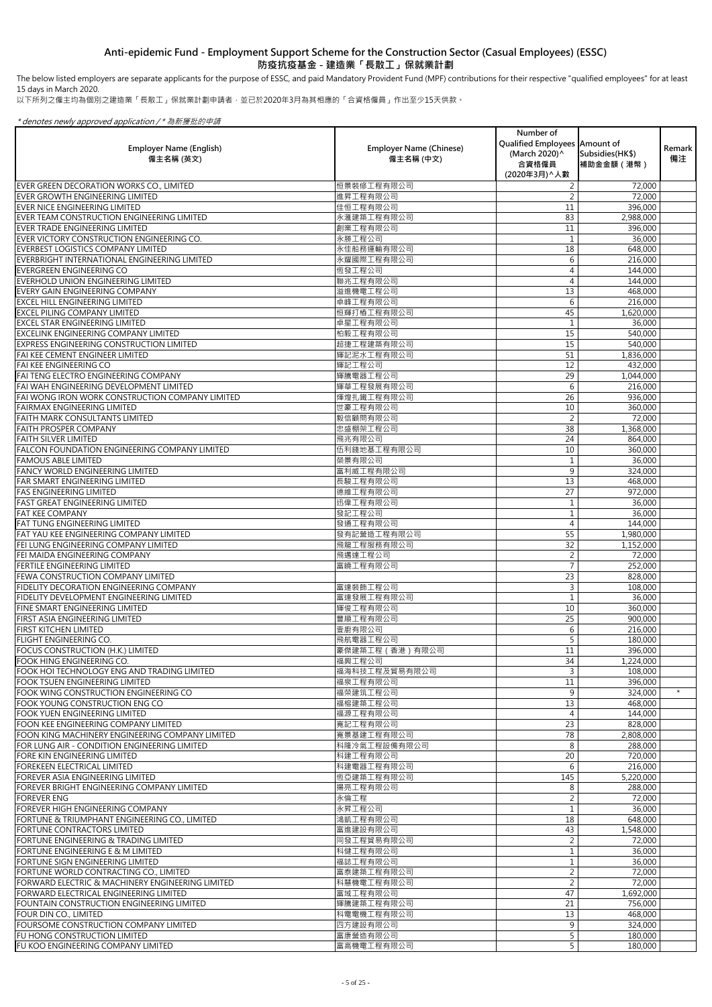The below listed employers are separate applicants for the purpose of ESSC, and paid Mandatory Provident Fund (MPF) contributions for their respective "qualified employees" for at least 15 days in March 2020.

以下所列之僱主均為個別之建造業「長散工」保就業計劃申請者,並已於2020年3月為其相應的「合資格僱員」作出至少15天供款。

| <b>Employer Name (English)</b><br>僱主名稱 (英文)                                                       | <b>Employer Name (Chinese)</b><br>僱主名稱 (中文) | Number of<br>Qualified Employees   Amount of<br>(March 2020) ^<br>合資格僱員<br>(2020年3月) ^ 人數 | Subsidies (HK\$)<br>補助金金額 (港幣) | Remark<br>備注 |
|---------------------------------------------------------------------------------------------------|---------------------------------------------|-------------------------------------------------------------------------------------------|--------------------------------|--------------|
| EVER GREEN DECORATION WORKS CO., LIMITED                                                          | 恒景裝修工程有限公司                                  |                                                                                           | 72,000                         |              |
| EVER GROWTH ENGINEERING LIMITED                                                                   | 進昇工程有限公司                                    |                                                                                           | 72,000                         |              |
| EVER NICE ENGINEERING LIMITED                                                                     | 佳恒工程有限公司                                    | 11                                                                                        | 396,000                        |              |
| EVER TEAM CONSTRUCTION ENGINEERING LIMITED                                                        | 永滙建築工程有限公司                                  | 83                                                                                        | 2,988,000                      |              |
| EVER TRADE ENGINEERING LIMITED                                                                    | 創業工程有限公司                                    | 11                                                                                        | 396,000                        |              |
| EVER VICTORY CONSTRUCTION ENGINEERING CO.<br><b>IEVERBEST LOGISTICS COMPANY LIMITED</b>           | 永勝工程公司<br>永佳船務運輸有限公司                        | 18                                                                                        | 36,000                         |              |
| EVERBRIGHT INTERNATIONAL ENGINEERING LIMITED                                                      | 永耀國際工程有限公司                                  | 6                                                                                         | 648,000<br>216,000             |              |
| <b>EVERGREEN ENGINEERING CO</b>                                                                   | 恆發工程公司                                      | 4                                                                                         | 144,000                        |              |
| EVERHOLD UNION ENGINEERING LIMITED                                                                | 聯兆工程有限公司                                    | 4                                                                                         | 144,000                        |              |
| EVERY GAIN ENGINEERING COMPANY                                                                    | 溢進機電工程公司                                    | 13                                                                                        | 468,000                        |              |
| <b>EXCEL HILL ENGINEERING LIMITED</b>                                                             | 卓峰工程有限公司                                    | 6                                                                                         | 216,000                        |              |
| <b>EXCEL PILING COMPANY LIMITED</b>                                                               | 恒輝打樁工程有限公司                                  | 45                                                                                        | 1,620,000                      |              |
| <b>EXCEL STAR ENGINEERING LIMITED</b>                                                             | 卓星工程有限公司                                    |                                                                                           | 36,000                         |              |
| EXCELINK ENGINEERING COMPANY LIMITED                                                              | 柏毅工程有限公司                                    | 15                                                                                        | 540,000                        |              |
| <b>EXPRESS ENGINEERING CONSTRUCTION LIMITED</b>                                                   | 超捷工程建築有限公司                                  | 15                                                                                        | 540,000                        |              |
| <b>FAI KEE CEMENT ENGINEER LIMITED</b>                                                            | 輝記泥水工程有限公司                                  | 51                                                                                        | 1,836,000                      |              |
| <b>FAI KEE ENGINEERING CO</b><br>FAI TENG ELECTRO ENGINEERING COMPANY                             | 輝記工程公司<br>輝騰電器工程公司                          | 12<br>29                                                                                  | 432,000<br>1,044,000           |              |
| FAI WAH ENGINEERING DEVELOPMENT LIMITED                                                           | 輝華工程發展有限公司                                  | 6                                                                                         | 216,000                        |              |
| FAI WONG IRON WORK CONSTRUCTION COMPANY LIMITED                                                   | 煇煌扎鐵工程有限公司                                  | 26                                                                                        | 936,000                        |              |
| <b>FAIRMAX ENGINEERING LIMITED</b>                                                                | 世豪工程有限公司                                    | 10                                                                                        | 360,000                        |              |
| <b>FAITH MARK CONSULTANTS LIMITED</b>                                                             | 毅信顧問有限公司                                    |                                                                                           | 72,000                         |              |
| <b>FAITH PROSPER COMPANY</b>                                                                      | 忠盛棚架工程公司                                    | 38                                                                                        | 1,368,000                      |              |
| <b>FAITH SILVER LIMITED</b>                                                                       | 飛兆有限公司                                      | 24                                                                                        | 864,000                        |              |
| <b>FALCON FOUNDATION ENGINEERING COMPANY LIMITED</b>                                              | 伍利錢地基工程有限公司                                 | 10                                                                                        | 360,000                        |              |
| <b>FAMOUS ABLE LIMITED</b>                                                                        | 榮景有限公司                                      |                                                                                           | 36,000                         |              |
| FANCY WORLD ENGINEERING LIMITED<br>FAR SMART ENGINEERING LIMITED                                  | 富利威工程有限公司<br>長駿工程有限公司                       | 9<br>13                                                                                   | 324,000                        |              |
| <b>FAS ENGINEERING LIMITED</b>                                                                    | 德維工程有限公司                                    | 27                                                                                        | 468,000<br>972,000             |              |
| <b>FAST GREAT ENGINEERING LIMITED</b>                                                             | 迅偉工程有限公司                                    |                                                                                           | 36,000                         |              |
| <b>FAT KEE COMPANY</b>                                                                            | 發記工程公司                                      |                                                                                           | 36,000                         |              |
| <b>FAT TUNG ENGINEERING LIMITED</b>                                                               | 發通工程有限公司                                    |                                                                                           | 144,000                        |              |
| FAT YAU KEE ENGINEERING COMPANY LIMITED                                                           | 發有記營造工程有限公司                                 | 55                                                                                        | 1,980,000                      |              |
| FEI LUNG ENGINEERING COMPANY LIMITED                                                              | 飛龍工程服務有限公司                                  | 32                                                                                        | 1,152,000                      |              |
| <b>FEI MAIDA ENGINEERING COMPANY</b>                                                              | 飛邁達工程公司                                     | $\overline{2}$                                                                            | 72,000                         |              |
| <b>FERTILE ENGINEERING LIMITED</b>                                                                | 富曉工程有限公司                                    |                                                                                           | 252,000                        |              |
| <b>FEWA CONSTRUCTION COMPANY LIMITED</b><br><b>FIDELITY DECORATION ENGINEERING COMPANY</b>        | 富達裝飾工程公司                                    | 23                                                                                        | 828,000                        |              |
| <b>FIDELITY DEVELOPMENT ENGINEERING LIMITED</b>                                                   | 富達發展工程有限公司                                  |                                                                                           | 108,000<br>36,000              |              |
| <b>FINE SMART ENGINEERING LIMITED</b>                                                             | 輝俊工程有限公司                                    | 10                                                                                        | 360,000                        |              |
| <b>FIRST ASIA ENGINEERING LIMITED</b>                                                             | 豐順工程有限公司                                    | 25                                                                                        | 900,000                        |              |
| <b>FIRST KITCHEN LIMITED</b>                                                                      | 壹廚有限公司                                      | 6                                                                                         | 216,000                        |              |
| <b>FLIGHT ENGINEERING CO.</b>                                                                     | 飛航電器工程公司                                    |                                                                                           | 180,000                        |              |
| <b>FOCUS CONSTRUCTION (H.K.) LIMITED</b>                                                          | 豪傑建築工程 (香港) 有限公司                            | 11                                                                                        | 396,000                        |              |
| FOOK HING ENGINEERING CO.                                                                         | 福興工程公司                                      | 34                                                                                        | 1,224,000                      |              |
| FOOK HOI TECHNOLOGY ENG AND TRADING LIMITED                                                       | 福海科技工程及貿易有限公司                               |                                                                                           | 108,000                        |              |
| <b>FOOK TSUEN ENGINEERING LIMITED</b><br>FOOK WING CONSTRUCTION ENGINEERING CO                    | 福泉工程有限公司<br>福荣建筑工程公司                        | 11<br>9                                                                                   | 396,000                        | $\star$      |
| <b>FOOK YOUNG CONSTRUCTION ENG CO</b>                                                             | 福榕建築工程公司                                    | 13                                                                                        | 324,000<br>468,000             |              |
| <b>FOOK YUEN ENGINEERING LIMITED</b>                                                              | 福源工程有限公司                                    | 4                                                                                         | 144,000                        |              |
| <b>FOON KEE ENGINEERING COMPANY LIMITED</b>                                                       | 寬記工程有限公司                                    | 23                                                                                        | 828,000                        |              |
| FOON KING MACHINERY ENGINEERING COMPANY LIMITED                                                   | 寬景基建工程有限公司                                  | 78                                                                                        | 2,808,000                      |              |
| FOR LUNG AIR - CONDITION ENGINEERING LIMITED                                                      | 科隆冷氣工程設備有限公司                                | 8                                                                                         | 288,000                        |              |
| <b>IFORE KIN ENGINEERING LIMITED</b>                                                              | 科建工程有限公司                                    | 20 <sup>2</sup>                                                                           | 720,000                        |              |
| FOREKEEN ELECTRICAL LIMITED                                                                       | 科建電器工程有限公司                                  | 6                                                                                         | 216,000                        |              |
| <b>FOREVER ASIA ENGINEERING LIMITED</b><br>FOREVER BRIGHT ENGINEERING COMPANY LIMITED             | 恆亞建築工程有限公司<br>揚亮工程有限公司                      | 145<br>8                                                                                  | 5,220,000<br>288,000           |              |
| <b>FOREVER ENG</b>                                                                                | 永倫工程                                        |                                                                                           | 72,000                         |              |
| FOREVER HIGH ENGINEERING COMPANY                                                                  | 永昇工程公司                                      |                                                                                           | 36,000                         |              |
| FORTUNE & TRIUMPHANT ENGINEERING CO., LIMITED                                                     | 鴻凱工程有限公司                                    | 18                                                                                        | 648,000                        |              |
| <b>FORTUNE CONTRACTORS LIMITED</b>                                                                | 富進建設有限公司                                    | 43                                                                                        | 1,548,000                      |              |
| FORTUNE ENGINEERING & TRADING LIMITED                                                             | 同發工程貿易有限公司                                  |                                                                                           | 72,000                         |              |
| <b>FORTUNE ENGINEERING E &amp; M LIMITED</b>                                                      | 科健工程有限公司                                    |                                                                                           | 36,000                         |              |
| <b>FORTUNE SIGN ENGINEERING LIMITED</b>                                                           | 福誌工程有限公司                                    |                                                                                           | 36,000                         |              |
| FORTUNE WORLD CONTRACTING CO., LIMITED                                                            | 富泰建築工程有限公司                                  | $\overline{2}$                                                                            | 72,000                         |              |
| FORWARD ELECTRIC & MACHINERY ENGINEERING LIMITED<br><b>FORWARD ELECTRICAL ENGINEERING LIMITED</b> | 科慧機電工程有限公司<br>富域工程有限公司                      | 47                                                                                        | 72,000<br>1,692,000            |              |
| <b>FOUNTAIN CONSTRUCTION ENGINEERING LIMITED</b>                                                  | 輝騰建築工程有限公司                                  | 21                                                                                        | 756,000                        |              |
| FOUR DIN CO., LIMITED                                                                             | 科電電機工程有限公司                                  | 13                                                                                        | 468,000                        |              |
| <b>FOURSOME CONSTRUCTION COMPANY LIMITED</b>                                                      | 四方建設有限公司                                    | 9                                                                                         | 324,000                        |              |
| <b>FU HONG CONSTRUCTION LIMITED</b>                                                               | 富康營造有限公司                                    |                                                                                           | 180,000                        |              |
| FU KOO ENGINEERING COMPANY LIMITED                                                                | 富高機電工程有限公司                                  | 5 <sup>1</sup>                                                                            | 180,000                        |              |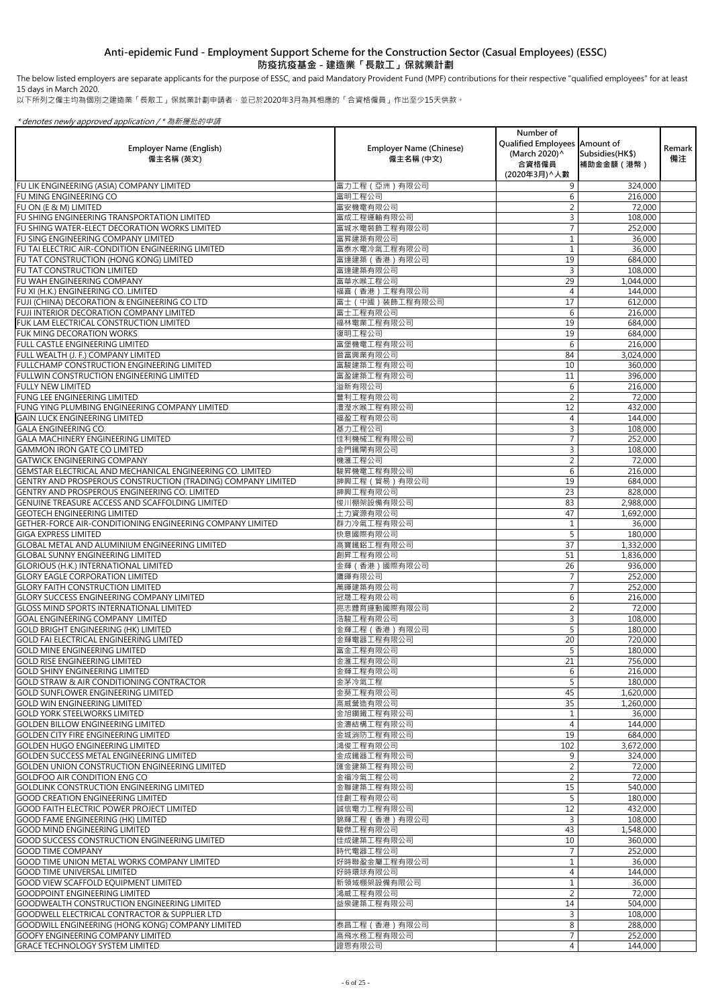The below listed employers are separate applicants for the purpose of ESSC, and paid Mandatory Provident Fund (MPF) contributions for their respective "qualified employees" for at least 15 days in March 2020.

以下所列之僱主均為個別之建造業「長散工」保就業計劃申請者,並已於2020年3月為其相應的「合資格僱員」作出至少15天供款。

|                                                                                                               |                                             | Number of<br>Qualified Employees Amount of |                               |                     |
|---------------------------------------------------------------------------------------------------------------|---------------------------------------------|--------------------------------------------|-------------------------------|---------------------|
| <b>Employer Name (English)</b><br>僱主名稱 (英文)                                                                   | <b>Employer Name (Chinese)</b><br>僱主名稱 (中文) | (March 2020) ^<br>合資格僱員                    | Subsidies (HK\$)<br>補助金金額(港幣) | <b>Remark</b><br>備注 |
|                                                                                                               | 富力工程 (亞洲)有限公司                               | (2020年3月) ^ 人數<br>9                        |                               |                     |
| FU LIK ENGINEERING (ASIA) COMPANY LIMITED<br>FU MING ENGINEERING CO                                           | 富明工程公司                                      | 6                                          | 324,000<br>216,000            |                     |
| FU ON (E & M) LIMITED                                                                                         | 富安機電有限公司                                    |                                            | 72,000                        |                     |
| FU SHING ENGINEERING TRANSPORTATION LIMITED                                                                   | 富成工程運輸有限公司                                  | 3                                          | 108,000                       |                     |
| FU SHING WATER-ELECT DECORATION WORKS LIMITED                                                                 | 富城水電裝飾工程有限公司                                |                                            | 252,000                       |                     |
| FU SING ENGINEERING COMPANY LIMITED                                                                           | 富昇建築有限公司                                    |                                            | 36,000                        |                     |
| FU TAI ELECTRIC AIR-CONDITION ENGINEERING LIMITED<br>FU TAT CONSTRUCTION (HONG KONG) LIMITED                  | 富泰水電冷氣工程有限公司<br>富達建築 (香港) 有限公司              | 19                                         | 36,000<br>684,000             |                     |
| FU TAT CONSTRUCTION LIMITED                                                                                   | 富達建築有限公司                                    | 3                                          | 108,000                       |                     |
| <b>FU WAH ENGINEERING COMPANY</b>                                                                             | 富華水喉工程公司                                    | 29                                         | 1,044,000                     |                     |
| FU XI (H.K.) ENGINEERING CO. LIMITED                                                                          | 福喜 (香港)工程有限公司                               |                                            | 144,000                       |                     |
| FUJI (CHINA) DECORATION & ENGINEERING CO LTD                                                                  | 富士 (中國) 装飾工程有限公司                            | 17                                         | 612,000                       |                     |
| <b>FUJI INTERIOR DECORATION COMPANY LIMITED</b>                                                               | 富士工程有限公司<br>福林電業工程有限公司                      | 6                                          | 216,000                       |                     |
| FUK LAM ELECTRICAL CONSTRUCTION LIMITED<br><b>FUK MING DECORATION WORKS</b>                                   | 復明工程公司                                      | 19<br>19                                   | 684,000<br>684,000            |                     |
| FULL CASTLE ENGINEERING LIMITED                                                                               | 富堡機電工程有限公司                                  | 6                                          | 216,000                       |                     |
| FULL WEALTH (J. F.) COMPANY LIMITED                                                                           | 晉富興業有限公司                                    | 84                                         | 3,024,000                     |                     |
| FULLCHAMP CONSTRUCTION ENGINEERING LIMITED                                                                    | 富駿建築工程有限公司                                  | 10                                         | 360,000                       |                     |
| <b>FULLWIN CONSTRUCTION ENGINEERING LIMITED</b>                                                               | 富盈建築工程有限公司                                  | 11                                         | 396,000                       |                     |
| <b>FULLY NEW LIMITED</b>                                                                                      | 溢新有限公司                                      | 6                                          | 216,000                       |                     |
| <b>FUNG LEE ENGINEERING LIMITED</b>                                                                           | 豐利工程有限公司<br>澧瀅水喉工程有限公司                      | $\overline{2}$<br>12                       | 72,000<br>432,000             |                     |
| FUNG YING PLUMBING ENGINEERING COMPANY LIMITED<br><b>GAIN LUCK ENGINEERING LIMITED</b>                        | 福盈工程有限公司                                    |                                            | 144,000                       |                     |
| <b>GALA ENGINEERING CO.</b>                                                                                   | 基力工程公司                                      |                                            | 108,000                       |                     |
| GALA MACHINERY ENGINEERING LIMITED                                                                            | 佳利機械工程有限公司                                  |                                            | 252,000                       |                     |
| <b>GAMMON IRON GATE CO LIMITED</b>                                                                            | 金門鐵閘有限公司                                    | 3                                          | 108,000                       |                     |
| <b>GATWICK ENGINEERING COMPANY</b>                                                                            | 機滙工程公司                                      | 2                                          | 72,000                        |                     |
| GEMSTAR ELECTRICAL AND MECHANICAL ENGINEERING CO. LIMITED                                                     | 駿昇機電工程有限公司                                  | 6                                          | 216,000                       |                     |
| GENTRY AND PROSPEROUS CONSTRUCTION (TRADING) COMPANY LIMITED<br>GENTRY AND PROSPEROUS ENGINEERING CO. LIMITED | 紳興工程 (貿易)有限公司<br>紳興工程有限公司                   | 19<br>23                                   | 684,000                       |                     |
| GENUINE TREASURE ACCESS AND SCAFFOLDING LIMITED                                                               | 俊川棚架設備有限公司                                  | 83                                         | 828,000<br>2,988,000          |                     |
| <b>GEOTECH ENGINEERING LIMITED</b>                                                                            | 土力資源有限公司                                    | 47                                         | 1,692,000                     |                     |
| GETHER-FORCE AIR-CONDITIONING ENGINEERING COMPANY LIMITED                                                     | 群力冷氣工程有限公司                                  |                                            | 36,000                        |                     |
| <b>GIGA EXPRESS LIMITED</b>                                                                                   | 快意國際有限公司                                    | 5                                          | 180,000                       |                     |
| <b>GLOBAL METAL AND ALUMINIUM ENGINEERING LIMITED</b>                                                         | 高寶鐵鋁工程有限公司                                  | 37                                         | 1,332,000                     |                     |
| <b>GLOBAL SUNNY ENGINEERING LIMITED</b>                                                                       | 創昇工程有限公司                                    | 51                                         | 1,836,000                     |                     |
| <b>GLORIOUS (H.K.) INTERNATIONAL LIMITED</b><br><b>GLORY EAGLE CORPORATION LIMITED</b>                        | 金輝 (香港)國際有限公司<br>鷹暉有限公司                     | 26                                         | 936,000<br>252,000            |                     |
| <b>GLORY FAITH CONSTRUCTION LIMITED</b>                                                                       | 萬暉建築有限公司                                    |                                            | 252,000                       |                     |
| <b>GLORY SUCCESS ENGINEERING COMPANY LIMITED</b>                                                              | 冠晟工程有限公司                                    | 6                                          | 216,000                       |                     |
| <b>GLOSS MIND SPORTS INTERNATIONAL LIMITED</b>                                                                | 亮志體育運動國際有限公司                                |                                            | 72,000                        |                     |
| <b>GOAL ENGINEERING COMPANY LIMITED</b>                                                                       | 浩駿工程有限公司                                    | 3                                          | 108,000                       |                     |
| <b>GOLD BRIGHT ENGINEERING (HK) LIMITED</b>                                                                   | 金輝工程 (香港) 有限公司                              | 5                                          | 180,000                       |                     |
| <b>GOLD FAI ELECTRICAL ENGINEERING LIMITED</b><br><b>GOLD MINE ENGINEERING LIMITED</b>                        | 金輝電器工程有限公司<br>富金工程有限公司                      | 20                                         | 720,000<br>180,000            |                     |
| <b>GOLD RISE ENGINEERING LIMITED</b>                                                                          | 金滙工程有限公司                                    | 21                                         | 756,000                       |                     |
| <b>GOLD SHINY ENGINEERING LIMITED</b>                                                                         | 金輝工程有限公司                                    | 6                                          | 216,000                       |                     |
| <b>GOLD STRAW &amp; AIR CONDITIONING CONTRACTOR</b>                                                           | 金茅冷氣工程                                      |                                            | 180,000                       |                     |
| <b>GOLD SUNFLOWER ENGINEERING LIMITED</b>                                                                     | 金葵工程有限公司                                    | 45                                         | 1,620,000                     |                     |
| <b>GOLD WIN ENGINEERING LIMITED</b>                                                                           | 高威營造有限公司                                    | 35                                         | 1,260,000                     |                     |
| <b>GOLD YORK STEELWORKS LIMITED</b><br><b>GOLDEN BILLOW ENGINEERING LIMITED</b>                               | 金旭鋼鐵工程有限公司<br>金濤結構工程有限公司                    |                                            | 36,000<br>144,000             |                     |
| <b>GOLDEN CITY FIRE ENGINEERING LIMITED</b>                                                                   | 金城消防工程有限公司                                  | 19                                         | 684,000                       |                     |
| <b>GOLDEN HUGO ENGINEERING LIMITED</b>                                                                        | 鴻俊工程有限公司                                    | 102                                        | 3,672,000                     |                     |
| <b>GOLDEN SUCCESS METAL ENGINEERING LIMITED</b>                                                               | 金成鐵器工程有限公司                                  | $\mathsf{Q}$                               | 324,000                       |                     |
| <b>GOLDEN UNION CONSTRUCTION ENGINEERING LIMITED</b>                                                          | 匯金建築工程有限公司                                  | $\overline{2}$                             | 72,000                        |                     |
| <b>GOLDFOO AIR CONDITION ENG CO</b>                                                                           | 金福冷氣工程公司                                    | 2                                          | 72,000                        |                     |
| <b>GOLDLINK CONSTRUCTION ENGINEERING LIMITED</b><br><b>GOOD CREATION ENGINEERING LIMITED</b>                  | 金聯建築工程有限公司<br>佳創工程有限公司                      | 15                                         | 540,000<br>180,000            |                     |
| <b>GOOD FAITH ELECTRIC POWER PROJECT LIMITED</b>                                                              | 誠信電力工程有限公司                                  | 12                                         | 432,000                       |                     |
| <b>GOOD FAME ENGINEERING (HK) LIMITED</b>                                                                     | 錦輝工程 (香港) 有限公司                              | 3                                          | 108,000                       |                     |
| <b>GOOD MIND ENGINEERING LIMITED</b>                                                                          | 駿傑工程有限公司                                    | 43                                         | 1,548,000                     |                     |
| <b>GOOD SUCCESS CONSTRUCTION ENGINEERING LIMITED</b>                                                          | 佳成建築工程有限公司                                  | 10                                         | 360,000                       |                     |
| <b>GOOD TIME COMPANY</b>                                                                                      | 時代電器工程公司                                    |                                            | 252,000                       |                     |
| <b>GOOD TIME UNION METAL WORKS COMPANY LIMITED</b>                                                            | 好時聯盈金屬工程有限公司                                |                                            | 36,000                        |                     |
| <b>GOOD TIME UNIVERSAL LIMITED</b><br><b>GOOD VIEW SCAFFOLD EQUIPMENT LIMITED</b>                             | 好時環球有限公司<br>新領域棚架設備有限公司                     |                                            | 144,000<br>36,000             |                     |
| <b>GOODPOINT ENGINEERING LIMITED</b>                                                                          | 鴻威工程有限公司                                    | $\overline{2}$                             | 72,000                        |                     |
| <b>GOODWEALTH CONSTRUCTION ENGINEERING LIMITED</b>                                                            | 益泉建築工程有限公司                                  | 14                                         | 504,000                       |                     |
| <b>GOODWELL ELECTRICAL CONTRACTOR &amp; SUPPLIER LTD</b>                                                      |                                             | 3                                          | 108,000                       |                     |
| GOODWILL ENGINEERING (HONG KONG) COMPANY LIMITED                                                              | 泰昌工程 (香港) 有限公司                              | 8                                          | 288,000                       |                     |
| <b>GOOFY ENGINEERING COMPANY LIMITED</b>                                                                      | 高飛水務工程有限公司                                  | $\overline{7}$                             | 252,000                       |                     |
| <b>GRACE TECHNOLOGY SYSTEM LIMITED</b>                                                                        | 證恩有限公司                                      | 4                                          | 144,000                       |                     |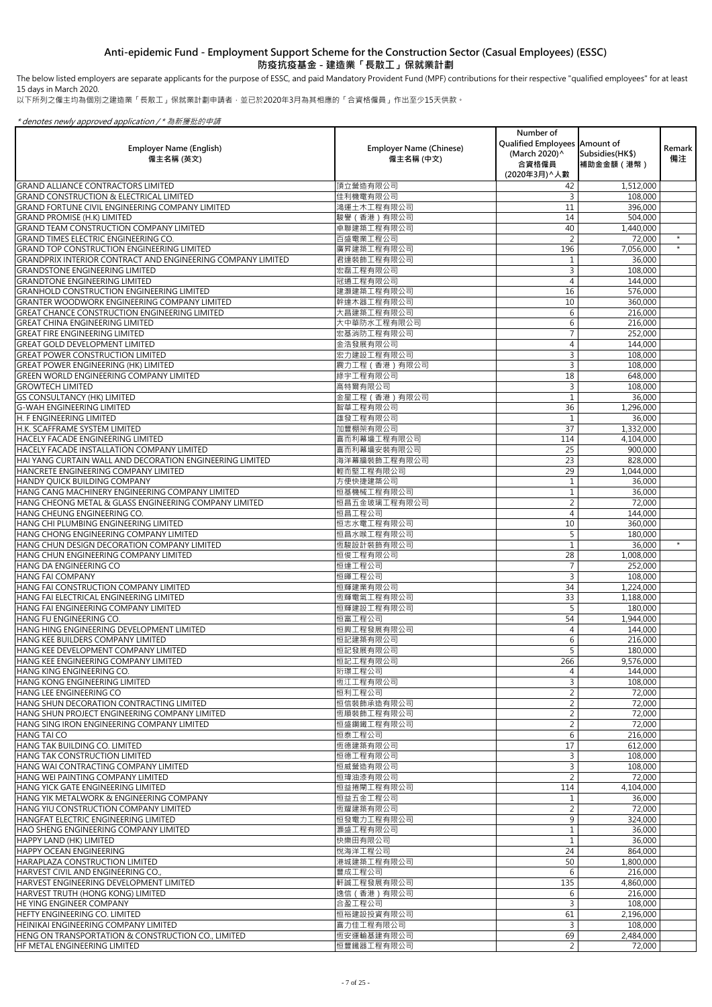The below listed employers are separate applicants for the purpose of ESSC, and paid Mandatory Provident Fund (MPF) contributions for their respective "qualified employees" for at least 15 days in March 2020.

以下所列之僱主均為個別之建造業「長散工」保就業計劃申請者,並已於2020年3月為其相應的「合資格僱員」作出至少15天供款。

|                                                                                                          |                                | Number of                                      |                      |         |
|----------------------------------------------------------------------------------------------------------|--------------------------------|------------------------------------------------|----------------------|---------|
| <b>Employer Name (English)</b>                                                                           | <b>Employer Name (Chinese)</b> | Qualified Employees Amount of<br>(March 2020)^ | Subsidies (HK\$)     | Remark  |
| 僱主名稱 (英文)                                                                                                | 僱主名稱 (中文)                      | 合資格僱員<br>(2020年3月) へ人數                         | 補助金金額 (港幣)           | 備注      |
| <b>GRAND ALLIANCE CONTRACTORS LIMITED</b>                                                                | 頂立營造有限公司                       | 42                                             | 1,512,000            |         |
| <b>GRAND CONSTRUCTION &amp; ELECTRICAL LIMITED</b>                                                       | 佳利機電有限公司                       | 3                                              | 108,000              |         |
| <b>GRAND FORTUNE CIVIL ENGINEERING COMPANY LIMITED</b>                                                   | 鴻運土木工程有限公司                     | 11                                             | 396,000              |         |
| <b>GRAND PROMISE (H.K) LIMITED</b><br><b>GRAND TEAM CONSTRUCTION COMPANY LIMITED</b>                     | 駿譽 (香港) 有限公司<br>卓聯建築工程有限公司     | 14<br>40                                       | 504,000<br>1,440,000 |         |
| <b>GRAND TIMES ELECTRIC ENGINEERING CO.</b>                                                              | 百盛電業工程公司                       | 2                                              | 72,000               | $\star$ |
| IGRAND TOP CONSTRUCTION ENGINEERING LIMITED                                                              | 廣昇建築工程有限公司                     | 196                                            | 7,056,000            | $\star$ |
| <b>GRANDPRIX INTERIOR CONTRACT AND ENGINEERING COMPANY LIMITED</b>                                       | 君達裝飾工程有限公司                     |                                                | 36,000               |         |
| <b>IGRANDSTONE ENGINEERING LIMITED</b>                                                                   | 宏磊工程有限公司                       | $\overline{3}$                                 | 108,000              |         |
| <b>GRANDTONE ENGINEERING LIMITED</b>                                                                     | 冠通工程有限公司                       | 4                                              | 144,000              |         |
| <b>IGRANHOLD CONSTRUCTION ENGINEERING LIMITED</b><br><b>GRANTER WOODWORK ENGINEERING COMPANY LIMITED</b> | 建灝建築工程有限公司<br>幹達木器工程有限公司       | 16<br>10                                       | 576,000<br>360,000   |         |
| <b>IGREAT CHANCE CONSTRUCTION ENGINEERING LIMITED</b>                                                    | 大昌建築工程有限公司                     | 6                                              | 216,000              |         |
| <b>GREAT CHINA ENGINEERING LIMITED</b>                                                                   | 大中華防水工程有限公司                    | 6                                              | 216,000              |         |
| <b>GREAT FIRE ENGINEERING LIMITED</b>                                                                    | 宏基消防工程有限公司                     |                                                | 252,000              |         |
| <b>GREAT GOLD DEVELOPMENT LIMITED</b>                                                                    | 金浩發展有限公司                       | 4                                              | 144,000              |         |
| <b>GREAT POWER CONSTRUCTION LIMITED</b>                                                                  | 宏力建設工程有限公司                     |                                                | 108,000              |         |
| <b>GREAT POWER ENGINEERING (HK) LIMITED</b><br><b>GREEN WORLD ENGINEERING COMPANY LIMITED</b>            | 震力工程 (香港)有限公司<br>綠宇工程有限公司      | 3<br>18                                        | 108,000<br>648,000   |         |
| <b>GROWTECH LIMITED</b>                                                                                  | 高特爾有限公司                        | 3                                              | 108,000              |         |
| <b>GS CONSULTANCY (HK) LIMITED</b>                                                                       | 金星工程 (香港) 有限公司                 |                                                | 36,000               |         |
| <b>G-WAH ENGINEERING LIMITED</b>                                                                         | 智華工程有限公司                       | 36                                             | 1,296,000            |         |
| <b>H. F ENGINEERING LIMITED</b>                                                                          | 雄發工程有限公司                       |                                                | 36,000               |         |
| H.K. SCAFFRAME SYSTEM LIMITED                                                                            | 加豐棚架有限公司                       | 37                                             | 1,332,000            |         |
| <b>HACELY FACADE ENGINEERING LIMITED</b><br><b>HACELY FACADE INSTALLATION COMPANY LIMITED</b>            | 喜而利幕墻工程有限公司                    | 114<br>25                                      | 4,104,000            |         |
| HAI YANG CURTAIN WALL AND DECORATION ENGINEERING LIMITED                                                 | 喜而利幕墻安裝有限公司<br>海洋幕牆裝飾工程有限公司    | 23                                             | 900,000<br>828,000   |         |
| HANCRETE ENGINEERING COMPANY LIMITED                                                                     | 輕而堅工程有限公司                      | 29                                             | 1,044,000            |         |
| <b>HANDY QUICK BUILDING COMPANY</b>                                                                      | 方便快捷建築公司                       |                                                | 36,000               |         |
| HANG CANG MACHINERY ENGINEERING COMPANY LIMITED                                                          | 恒基機械工程有限公司                     |                                                | 36,000               |         |
| HANG CHEONG METAL & GLASS ENGINEERING COMPANY LIMITED                                                    | 恒昌五金玻璃工程有限公司                   | $\overline{2}$                                 | 72,000               |         |
| IHANG CHEUNG ENGINEERING CO.<br>HANG CHI PLUMBING ENGINEERING LIMITED                                    | 恒昌工程公司                         | 4<br>10                                        | 144,000              |         |
| HANG CHONG ENGINEERING COMPANY LIMITED                                                                   | 恒志水電工程有限公司<br>恒昌水喉工程有限公司       | 5                                              | 360,000<br>180,000   |         |
| HANG CHUN DESIGN DECORATION COMPANY LIMITED                                                              | 恆駿設計裝飾有限公司                     |                                                | 36,000               | $\star$ |
| HANG CHUN ENGINEERING COMPANY LIMITED                                                                    | 恒俊工程有限公司                       | 28                                             | 1,008,000            |         |
| HANG DA ENGINEERING CO                                                                                   | 恒達工程公司                         |                                                | 252,000              |         |
| <b>HANG FAI COMPANY</b>                                                                                  | 恒暉工程公司                         | 3                                              | 108,000              |         |
| HANG FAI CONSTRUCTION COMPANY LIMITED<br>HANG FAI ELECTRICAL ENGINEERING LIMITED                         | 恒輝建業有限公司<br>恆輝電氣工程有限公司         | 34<br>33                                       | 1,224,000            |         |
| HANG FAI ENGINEERING COMPANY LIMITED                                                                     | 恒輝建設工程有限公司                     | 5                                              | 1,188,000<br>180,000 |         |
| HANG FU ENGINEERING CO.                                                                                  | 恒富工程公司                         | 54                                             | 1,944,000            |         |
| HANG HING ENGINEERING DEVELOPMENT LIMITED                                                                | 恒興工程發展有限公司                     | 4                                              | 144,000              |         |
| HANG KEE BUILDERS COMPANY LIMITED                                                                        | 恒記建築有限公司                       | 6                                              | 216,000              |         |
| HANG KEE DEVELOPMENT COMPANY LIMITED                                                                     | 恒記發展有限公司                       | 5                                              | 180,000              |         |
| HANG KEE ENGINEERING COMPANY LIMITED<br>HANG KING ENGINEERING CO.                                        | 恒記工程有限公司<br>珩璟工程公司             | 266<br>4                                       | 9,576,000<br>144,000 |         |
| HANG KONG ENGINEERING LIMITED                                                                            | 恆江工程有限公司                       |                                                | 108,000              |         |
| HANG LEE ENGINEERING CO                                                                                  | 恒利工程公司                         |                                                | 72,000               |         |
| HANG SHUN DECORATION CONTRACTING LIMITED                                                                 | 恒信裝飾承造有限公司                     | $\overline{2}$                                 | 72,000               |         |
| HANG SHUN PROJECT ENGINEERING COMPANY LIMITED                                                            | 恆順裝飾工程有限公司                     |                                                | 72,000               |         |
| HANG SING IRON ENGINEERING COMPANY LIMITED                                                               | 恒盛鋼鐵工程有限公司                     | $\overline{2}$                                 | 72,000               |         |
| HANG TAI CO<br><b>HANG TAK BUILDING CO. LIMITED</b>                                                      | 恒泰工程公司<br>恆德建築有限公司             | 6<br>17                                        | 216,000<br>612,000   |         |
| <b>HANG TAK CONSTRUCTION LIMITED</b>                                                                     | 恒德工程有限公司                       | $\mathcal{E}$                                  | 108,000              |         |
| <b>HANG WAI CONTRACTING COMPANY LIMITED</b>                                                              | 恒威營造有限公司                       | $\overline{3}$                                 | 108,000              |         |
| HANG WEI PAINTING COMPANY LIMITED                                                                        | 恒瑋油漆有限公司                       |                                                | 72,000               |         |
| IHANG YICK GATE ENGINEERING LIMITED                                                                      | 恒益捲閘工程有限公司                     | 114                                            | 4,104,000            |         |
| IHANG YIK METALWORK & ENGINEERING COMPANY                                                                | 恒益五金工程公司                       |                                                | 36,000               |         |
| HANG YIU CONSTRUCTION COMPANY LIMITED<br>HANGFAT ELECTRIC ENGINEERING LIMITED                            | 恆耀建築有限公司<br>恒發電力工程有限公司         | $\overline{2}$<br>9                            | 72,000<br>324,000    |         |
| HAO SHENG ENGINEERING COMPANY LIMITED                                                                    | 灝盛工程有限公司                       |                                                | 36,000               |         |
| HAPPY LAND (HK) LIMITED                                                                                  | 快樂田有限公司                        |                                                | 36,000               |         |
| <b>HAPPY OCEAN ENGINEERING</b>                                                                           | 悦海洋工程公司                        | 24                                             | 864,000              |         |
| <b>I</b> HARAPLAZA CONSTRUCTION LIMITED                                                                  | 港城建築工程有限公司                     | 50                                             | 1,800,000            |         |
| HARVEST CIVIL AND ENGINEERING CO.<br>HARVEST ENGINEERING DEVELOPMENT LIMITED                             | 豐成工程公司<br>軒誠工程發展有限公司           | 6                                              | 216,000              |         |
| HARVEST TRUTH (HONG KONG) LIMITED                                                                        | 逸信 (香港) 有限公司                   | 135<br>6                                       | 4,860,000<br>216,000 |         |
| <b>HE YING ENGINEER COMPANY</b>                                                                          | 合盈工程公司                         | 3                                              | 108,000              |         |
| HEFTY ENGINEERING CO. LIMITED                                                                            | 恒裕建設投資有限公司                     | 61                                             | 2,196,000            |         |
| HEINIKAI ENGINEERING COMPANY LIMITED                                                                     | 喜力佳工程有限公司                      | 3                                              | 108,000              |         |
| HENG ON TRANSPORTATION & CONSTRUCTION CO., LIMITED                                                       | 恆安運輸基建有限公司                     | 69                                             | 2,484,000            |         |
| HF METAL ENGINEERING LIMITED                                                                             | 恒豐鐵器工程有限公司                     | $\overline{2}$                                 | 72,000               |         |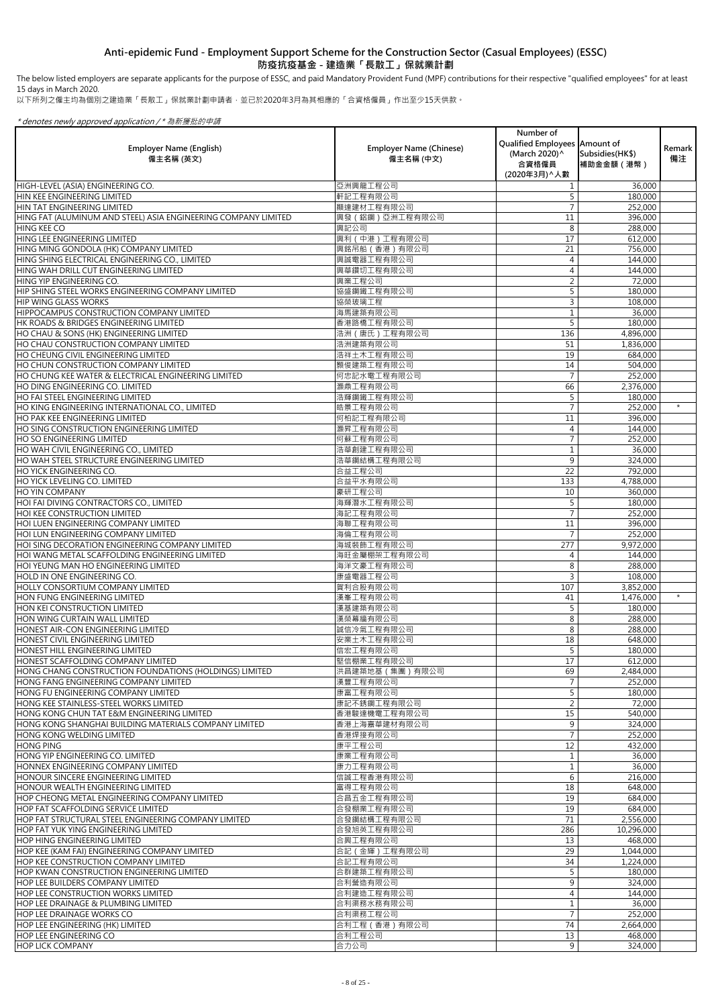以下所列之僱主均為個別之建造業「長散工」保就業計劃申請者,並已於2020年3月為其相應的「合資格僱員」作出至少15天供款。

### \* denotes newly approved application / \* 為新獲批的申請

| <b>Employer Name (English)</b><br>僱主名稱 (英文)                                                         | <b>Employer Name (Chinese)</b><br>僱主名稱 (中文) | Number of<br>Qualified Employees   Amount of<br>(March 2020) ^<br>合資格僱員<br>(2020年3月) ^ 人數 | Subsidies (HK\$)<br>補助金金額(港幣) | Remark  <br>備注 |
|-----------------------------------------------------------------------------------------------------|---------------------------------------------|-------------------------------------------------------------------------------------------|-------------------------------|----------------|
| HIGH-LEVEL (ASIA) ENGINEERING CO.                                                                   | 亞洲興龍工程公司                                    |                                                                                           | 36,000                        |                |
| HIN KEE ENGINEERING LIMITED                                                                         | 軒記工程有限公司                                    | 5                                                                                         | 180,000                       |                |
| HIN TAT ENGINEERING LIMITED                                                                         | 顯達建材工程有限公司                                  |                                                                                           | 252,000                       |                |
| HING FAT (ALUMINUM AND STEEL) ASIA ENGINEERING COMPANY LIMITED                                      | 興發 (鋁鋼)亞洲工程有限公司                             | 11                                                                                        | 396,000                       |                |
| <b>HING KEE CO</b>                                                                                  | 興記公司                                        | 8                                                                                         | 288,000                       |                |
| HING LEE ENGINEERING LIMITED                                                                        | 興利 (中港)工程有限公司                               | 17                                                                                        | 612,000                       |                |
| HING MING GONDOLA (HK) COMPANY LIMITED                                                              | 興銘吊船 (香港) 有限公司                              | 21                                                                                        | 756,000                       |                |
| HING SHING ELECTRICAL ENGINEERING CO., LIMITED                                                      | 興誠電器工程有限公司                                  |                                                                                           | 144,000                       |                |
| HING WAH DRILL CUT ENGINEERING LIMITED                                                              | 興華鑽切工程有限公司                                  |                                                                                           | 144,000                       |                |
| HING YIP ENGINEERING CO.                                                                            | 興業工程公司                                      | 2                                                                                         | 72,000                        |                |
| HIP SHING STEEL WORKS ENGINEERING COMPANY LIMITED                                                   | 協盛鋼鐵工程有限公司                                  |                                                                                           | 180,000                       |                |
| <b>HIP WING GLASS WORKS</b><br>HIPPOCAMPUS CONSTRUCTION COMPANY LIMITED                             | 協榮玻璃工程<br>海馬建築有限公司                          |                                                                                           | 108,000<br>36,000             |                |
| HK ROADS & BRIDGES ENGINEERING LIMITED                                                              | 香港路橋工程有限公司                                  | 5                                                                                         | 180,000                       |                |
| HO CHAU & SONS (HK) ENGINEERING LIMITED                                                             | 浩洲(唐氏)工程有限公司                                | 136                                                                                       | 4,896,000                     |                |
| HO CHAU CONSTRUCTION COMPANY LIMITED                                                                | 浩洲建築有限公司                                    | 51                                                                                        | 1,836,000                     |                |
| HO CHEUNG CIVIL ENGINEERING LIMITED                                                                 | 浩祥土木工程有限公司                                  | 19                                                                                        | 684,000                       |                |
| HO CHUN CONSTRUCTION COMPANY LIMITED                                                                | 顥俊建築工程有限公司                                  | 14                                                                                        | 504,000                       |                |
| HO CHUNG KEE WATER & ELECTRICAL ENGINEERING LIMITED                                                 | 何忠記水電工程有限公司                                 |                                                                                           | 252,000                       |                |
| HO DING ENGINEERING CO. LIMITED                                                                     | 灝鼎工程有限公司                                    | 66                                                                                        | 2,376,000                     |                |
| HO FAI STEEL ENGINEERING LIMITED                                                                    | 浩輝鋼鐵工程有限公司                                  |                                                                                           | 180,000                       |                |
| HO KING ENGINEERING INTERNATIONAL CO., LIMITED                                                      | 皓景工程有限公司                                    | $\overline{7}$                                                                            | 252,000                       | $\star$        |
| HO PAK KEE ENGINEERING LIMITED                                                                      | 何柏記工程有限公司                                   | 11                                                                                        | 396,000                       |                |
| HO SING CONSTRUCTION ENGINEERING LIMITED                                                            | 灏昇工程有限公司                                    |                                                                                           | 144,000                       |                |
| <b>HO SO ENGINEERING LIMITED</b>                                                                    | 何蘇工程有限公司                                    |                                                                                           | 252,000                       |                |
| HO WAH CIVIL ENGINEERING CO., LIMITED                                                               | 浩華創建工程有限公司                                  |                                                                                           | 36,000                        |                |
| HO WAH STEEL STRUCTURE ENGINEERING LIMITED                                                          | 浩華鋼結構工程有限公司                                 | 9                                                                                         | 324,000                       |                |
| HO YICK ENGINEERING CO.                                                                             | 合益工程公司                                      | 22                                                                                        | 792,000                       |                |
| <b>HO YICK LEVELING CO. LIMITED</b>                                                                 | 合益平水有限公司                                    | 133                                                                                       | 4,788,000                     |                |
| <b>HO YIN COMPANY</b>                                                                               | 豪研工程公司                                      | 10                                                                                        | 360,000                       |                |
| HOI FAI DIVING CONTRACTORS CO., LIMITED                                                             | 海輝潛水工程有限公司                                  |                                                                                           | 180,000                       |                |
| HOI KEE CONSTRUCTION LIMITED                                                                        | 海記工程有限公司                                    | $\overline{7}$                                                                            | 252,000                       |                |
| HOI LUEN ENGINEERING COMPANY LIMITED                                                                | 海聯工程有限公司                                    | 11<br>$\overline{7}$                                                                      | 396,000                       |                |
| HOI LUN ENGINEERING COMPANY LIMITED                                                                 | 海倫工程有限公司                                    |                                                                                           | 252,000                       |                |
| HOI SING DECORATION ENGINEERING COMPANY LIMITED<br>HOI WANG METAL SCAFFOLDING ENGINEERING LIMITED   | 海城裝飾工程有限公司<br>海旺金屬棚架工程有限公司                  | 277                                                                                       | 9,972,000                     |                |
| HOI YEUNG MAN HO ENGINEERING LIMITED                                                                | 海洋文豪工程有限公司                                  | 8                                                                                         | 144,000<br>288,000            |                |
| HOLD IN ONE ENGINEERING CO.                                                                         | 康盛電器工程公司                                    | 3                                                                                         | 108,000                       |                |
| <b>HOLLY CONSORTIUM COMPANY LIMITED</b>                                                             | 賀利合股有限公司                                    | 107                                                                                       | 3,852,000                     |                |
| HON FUNG ENGINEERING LIMITED                                                                        | 漢峯工程有限公司                                    | 41                                                                                        | 1,476,000                     | $\star$        |
| HON KEI CONSTRUCTION LIMITED                                                                        | 漢基建築有限公司                                    |                                                                                           | 180,000                       |                |
| HON WING CURTAIN WALL LIMITED                                                                       | 漢榮幕牆有限公司                                    | 8                                                                                         | 288,000                       |                |
| HONEST AIR-CON ENGINEERING LIMITED                                                                  | 誠信冷氣工程有限公司                                  | 8                                                                                         | 288,000                       |                |
| <b>HONEST CIVIL ENGINEERING LIMITED</b>                                                             | 安業土木工程有限公司                                  | 18                                                                                        | 648,000                       |                |
| HONEST HILL ENGINEERING LIMITED                                                                     | 信宏工程有限公司                                    |                                                                                           | 180,000                       |                |
| HONEST SCAFFOLDING COMPANY LIMITED                                                                  | 堅信棚業工程有限公司                                  | 17                                                                                        | 612,000                       |                |
| HONG CHANG CONSTRUCTION FOUNDATIONS (HOLDINGS) LIMITED                                              | 洪昌建築地基 (集團) 有限公司                            | 69                                                                                        | 2,484,000                     |                |
| HONG FANG ENGINEERING COMPANY LIMITED                                                               | 漢豐工程有限公司                                    |                                                                                           | 252,000                       |                |
| HONG FU ENGINEERING COMPANY LIMITED                                                                 | 康富工程有限公司                                    |                                                                                           | 180,000                       |                |
| HONG KEE STAINLESS-STEEL WORKS LIMITED                                                              | 康記不銹鋼工程有限公司                                 | $\overline{2}$                                                                            | 72,000                        |                |
| HONG KONG CHUN TAT E&M ENGINEERING LIMITED<br>HONG KONG SHANGHAI BUILDING MATERIALS COMPANY LIMITED | 香港駿達機電工程有限公司<br>香港上海嘉華建材有限公司                | 15<br>9                                                                                   | 540,000                       |                |
| <b>HONG KONG WELDING LIMITED</b>                                                                    | 香港焊接有限公司                                    |                                                                                           | 324,000                       |                |
| <b>HONG PING</b>                                                                                    | 康平工程公司                                      | 12                                                                                        | 252,000<br>432,000            |                |
| HONG YIP ENGINEERING CO. LIMITED                                                                    | 康業工程有限公司                                    |                                                                                           | 36,000                        |                |
| HONNEX ENGINEERING COMPANY LIMITED                                                                  | 康力工程有限公司                                    |                                                                                           | 36,000                        |                |
| HONOUR SINCERE ENGINEERING LIMITED                                                                  | 信誠工程香港有限公司                                  | 6                                                                                         | 216,000                       |                |
| HONOUR WEALTH ENGINEERING LIMITED                                                                   | 富得工程有限公司                                    | 18                                                                                        | 648,000                       |                |
| HOP CHEONG METAL ENGINEERING COMPANY LIMITED                                                        | 合昌五金工程有限公司                                  | 19                                                                                        | 684,000                       |                |
| HOP FAT SCAFFOLDING SERVICE LIMITED                                                                 | 合發棚業工程有限公司                                  | 19                                                                                        | 684,000                       |                |
| HOP FAT STRUCTURAL STEEL ENGINEERING COMPANY LIMITED                                                | 合發鋼結構工程有限公司                                 | 71                                                                                        | 2,556,000                     |                |
| HOP FAT YUK YING ENGINEERING LIMITED                                                                | 合發旭英工程有限公司                                  | 286                                                                                       | 10,296,000                    |                |
| <b>HOP HING ENGINEERING LIMITED</b>                                                                 | 合興工程有限公司                                    | 13                                                                                        | 468,000                       |                |
| HOP KEE (KAM FAI) ENGINEERING COMPANY LIMITED                                                       | 合記 (金輝)工程有限公司                               | 29                                                                                        | 1,044,000                     |                |
| HOP KEE CONSTRUCTION COMPANY LIMITED                                                                | 合記工程有限公司                                    | 34                                                                                        | 1,224,000                     |                |
| HOP KWAN CONSTRUCTION ENGINEERING LIMITED                                                           | 合群建築工程有限公司                                  |                                                                                           | 180,000                       |                |
| HOP LEE BUILDERS COMPANY LIMITED                                                                    | 合利營造有限公司                                    | 9                                                                                         | 324,000                       |                |
| <b>HOP LEE CONSTRUCTION WORKS LIMITED</b>                                                           | 合利建造工程有限公司                                  |                                                                                           | 144,000                       |                |
| HOP LEE DRAINAGE & PLUMBING LIMITED<br><b>HOP LEE DRAINAGE WORKS CO</b>                             | 合利渠務水務有限公司<br>合利渠務工程公司                      |                                                                                           | 36,000<br>252,000             |                |
| <b>HOP LEE ENGINEERING (HK) LIMITED</b>                                                             | 合利工程 (香港) 有限公司                              | 74                                                                                        | 2,664,000                     |                |
| HOP LEE ENGINEERING CO                                                                              | 合利工程公司                                      | 13                                                                                        | 468,000                       |                |
| <b>HOP LICK COMPANY</b>                                                                             | 合力公司                                        | 9 <sup>1</sup>                                                                            | 324,000                       |                |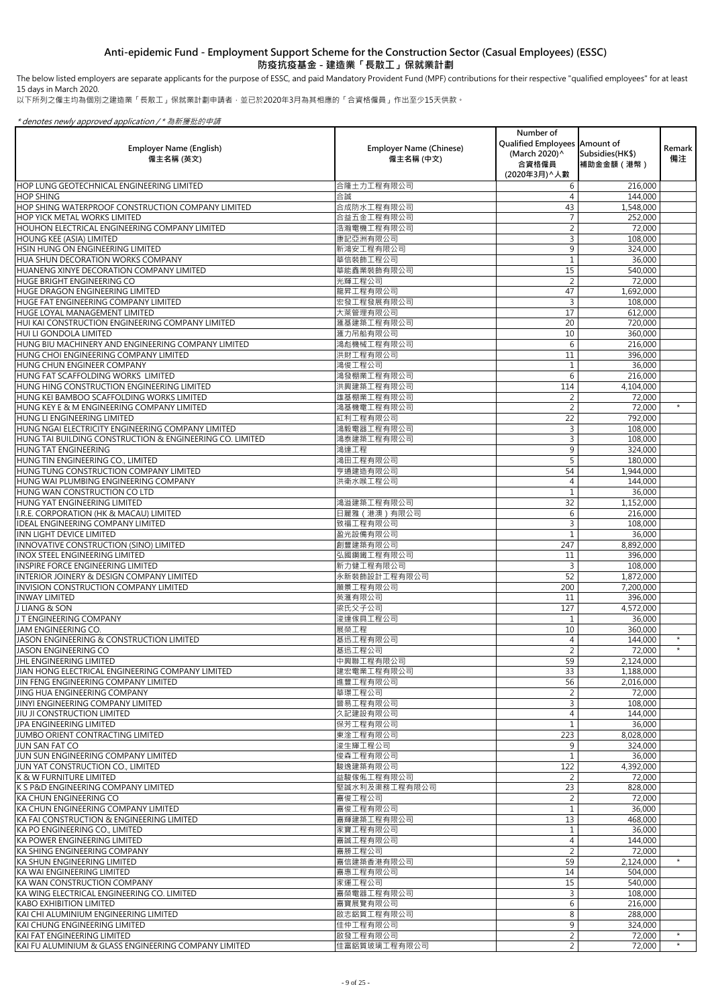以下所列之僱主均為個別之建造業「長散工」保就業計劃申請者,並已於2020年3月為其相應的「合資格僱員」作出至少15天供款。

\* denotes newly approved application / \* 為新獲批的申請

| <b>Employer Name (English)</b><br>僱主名稱 (英文)                                                    | <b>Employer Name (Chinese)</b><br>僱主名稱 (中文) | Number of<br>Qualified Employees   Amount of<br>(March 2020) ^<br>合資格僱員<br>(2020年3月) ^ 人數 | Subsidies (HK\$)<br>補助金金額 (港幣) | Remark<br>備注 |
|------------------------------------------------------------------------------------------------|---------------------------------------------|-------------------------------------------------------------------------------------------|--------------------------------|--------------|
| <b>HOP LUNG GEOTECHNICAL ENGINEERING LIMITED</b>                                               | 合隆土力工程有限公司                                  | 6                                                                                         | 216,000                        |              |
| <b>HOP SHING</b>                                                                               | 合誠                                          |                                                                                           | 144,000                        |              |
| <b>HOP SHING WATERPROOF CONSTRUCTION COMPANY LIMITED</b>                                       | 合成防水工程有限公司                                  | 43                                                                                        | 1,548,000                      |              |
| <b>HOP YICK METAL WORKS LIMITED</b>                                                            | 合益五金工程有限公司                                  |                                                                                           | 252,000                        |              |
| <b>HOUHON ELECTRICAL ENGINEERING COMPANY LIMITED</b>                                           | 浩瀚電機工程有限公司                                  |                                                                                           | 72,000                         |              |
| <b>HOUNG KEE (ASIA) LIMITED</b>                                                                | 康記亞洲有限公司                                    |                                                                                           | 108,000                        |              |
| <b>HSIN HUNG ON ENGINEERING LIMITED</b><br><b>HUA SHUN DECORATION WORKS COMPANY</b>            | 新鴻安工程有限公司<br>華信裝飾工程公司                       | 9                                                                                         | 324,000<br>36,000              |              |
| <b>HUANENG XINYE DECORATION COMPANY LIMITED</b>                                                | 華能鑫業裝飾有限公司                                  | 15                                                                                        | 540,000                        |              |
| <b>HUGE BRIGHT ENGINEERING CO</b>                                                              | 光輝工程公司                                      |                                                                                           | 72,000                         |              |
| <b>HUGE DRAGON ENGINEERING LIMITED</b>                                                         | 龍昇工程有限公司                                    | 47                                                                                        | 1,692,000                      |              |
| <b>HUGE FAT ENGINEERING COMPANY LIMITED</b>                                                    | 宏發工程發展有限公司                                  | 3                                                                                         | 108,000                        |              |
| <b>HUGE LOYAL MANAGEMENT LIMITED</b>                                                           | 大萊管理有限公司                                    | 17                                                                                        | 612,000                        |              |
| HUI KAI CONSTRUCTION ENGINEERING COMPANY LIMITED                                               | 滙基建築工程有限公司                                  | 20                                                                                        | 720,000                        |              |
| <b>HUI LI GONDOLA LIMITED</b>                                                                  | 滙力吊船有限公司                                    | 10                                                                                        | 360,000                        |              |
| HUNG BIU MACHINERY AND ENGINEERING COMPANY LIMITED                                             | 鴻彪機械工程有限公司                                  | 6                                                                                         | 216,000                        |              |
| <b>HUNG CHOI ENGINEERING COMPANY LIMITED</b>                                                   | 洪財工程有限公司                                    | 11                                                                                        | 396,000                        |              |
| <b>HUNG CHUN ENGINEER COMPANY</b>                                                              | 鴻俊工程公司                                      |                                                                                           | 36,000                         |              |
| HUNG FAT SCAFFOLDING WORKS LIMITED                                                             | 鴻發棚業工程有限公司                                  | 6                                                                                         | 216,000                        |              |
| <b>HUNG HING CONSTRUCTION ENGINEERING LIMITED</b>                                              | 洪興建築工程有限公司                                  | 114                                                                                       | 4,104,000                      |              |
| <b>HUNG KEI BAMBOO SCAFFOLDING WORKS LIMITED</b>                                               | 雄基棚業工程有限公司                                  |                                                                                           | 72,000                         | $\star$      |
| HUNG KEY E & M ENGINEERING COMPANY LIMITED                                                     | 鴻基機電工程有限公司<br>紅利工程有限公司                      | 2                                                                                         | 72,000                         |              |
| <b>HUNG LI ENGINEERING LIMITED</b><br><b>HUNG NGAI ELECTRICITY ENGINEERING COMPANY LIMITED</b> | 鴻毅電器工程有限公司                                  | 22                                                                                        | 792,000<br>108,000             |              |
| <b>HUNG TAI BUILDING CONSTRUCTION &amp; ENGINEERING CO. LIMITED</b>                            | 鴻泰建築工程有限公司                                  |                                                                                           | 108,000                        |              |
| <b>HUNG TAT ENGINEERING</b>                                                                    | 鴻達工程                                        | 9                                                                                         | 324,000                        |              |
| HUNG TIN ENGINEERING CO., LIMITED                                                              | 鴻田工程有限公司                                    |                                                                                           | 180,000                        |              |
| HUNG TUNG CONSTRUCTION COMPANY LIMITED                                                         | 亨通建造有限公司                                    | 54                                                                                        | 1,944,000                      |              |
| HUNG WAI PLUMBING ENGINEERING COMPANY                                                          | 洪衛水喉工程公司                                    |                                                                                           | 144,000                        |              |
| <b>HUNG WAN CONSTRUCTION CO LTD</b>                                                            |                                             |                                                                                           | 36,000                         |              |
| IHUNG YAT ENGINEERING LIMITED                                                                  | 鴻溢建築工程有限公司                                  | 32                                                                                        | 1,152,000                      |              |
| I.R.E. CORPORATION (HK & MACAU) LIMITED                                                        | 日麗雅 (港澳)有限公司                                | 6                                                                                         | 216,000                        |              |
| <b>IDEAL ENGINEERING COMPANY LIMITED</b>                                                       | 致福工程有限公司                                    |                                                                                           | 108,000                        |              |
| INN LIGHT DEVICE LIMITED                                                                       | 盈光設備有限公司                                    |                                                                                           | 36,000                         |              |
| INNOVATIVE CONSTRUCTION (SINO) LIMITED                                                         | 創豐建築有限公司                                    | 247                                                                                       | 8,892,000                      |              |
| INOX STEEL ENGINEERING LIMITED                                                                 | 弘國鋼鐵工程有限公司                                  | 11                                                                                        | 396,000                        |              |
| <b>INSPIRE FORCE ENGINEERING LIMITED</b><br>INTERIOR JOINERY & DESIGN COMPANY LIMITED          | 新力健工程有限公司<br>永新裝飾設計工程有限公司                   | 3<br>52                                                                                   | 108,000<br>1,872,000           |              |
| INVISION CONSTRUCTION COMPANY LIMITED                                                          | 願景工程有限公司                                    | 200                                                                                       | 7,200,000                      |              |
| <b>INWAY LIMITED</b>                                                                           | 英滙有限公司                                      | 11                                                                                        | 396,000                        |              |
| <b>J LIANG &amp; SON</b>                                                                       | 梁氏父子公司                                      | 127                                                                                       | $\overline{4}$ ,572,000        |              |
| J T ENGINEERING COMPANY                                                                        | 浚達傢具工程公司                                    |                                                                                           | 36,000                         |              |
| <b>JAM ENGINEERING CO.</b>                                                                     | 展榮工程                                        | 10                                                                                        | 360,000                        |              |
| <b>JASON ENGINEERING &amp; CONSTRUCTION LIMITED</b>                                            | 基迅工程有限公司                                    |                                                                                           | 144,000                        | $\star$      |
| <b>JASON ENGINEERING CO</b>                                                                    | 基迅工程公司                                      |                                                                                           | 72,000                         |              |
| JHL ENGINEERING LIMITED                                                                        | 中興聯工程有限公司                                   | 59                                                                                        | 2,124,000                      |              |
| JIAN HONG ELECTRICAL ENGINEERING COMPANY LIMITED                                               | 建宏電業工程有限公司                                  | 33                                                                                        | 1,188,000                      |              |
| <b>JIN FENG ENGINEERING COMPANY LIMITED</b>                                                    | 進豐工程有限公司                                    | 56                                                                                        | 2,016,000                      |              |
| LING HUA ENGINEERING COMPANY                                                                   | 華璟工程公司                                      |                                                                                           | 72,000                         |              |
| <b>JINYI ENGINEERING COMPANY LIMITED</b>                                                       | 晉易工程有限公司                                    | 3                                                                                         | 108,000                        |              |
| <b>JJIU JI CONSTRUCTION LIMITED</b>                                                            | 久記建設有限公司                                    | 4                                                                                         | 144,000                        |              |
| <b>JPA ENGINEERING LIMITED</b><br><b>JUMBO ORIENT CONTRACTING LIMITED</b>                      | 保芳工程有限公司<br>東淦工程有限公司                        | 223                                                                                       | 36,000<br>8,028,000            |              |
| <b>JUN SAN FAT CO</b>                                                                          | 浚生輝工程公司                                     | 9                                                                                         | 324,000                        |              |
| <b>JUN SUN ENGINEERING COMPANY LIMITED</b>                                                     | 俊森工程有限公司                                    |                                                                                           | 36,000                         |              |
| <b>JUN YAT CONSTRUCTION CO., LIMITED</b>                                                       | 駿逸建築有限公司                                    | 122                                                                                       | 4,392,000                      |              |
| IK & W FURNITURE LIMITED                                                                       | 益駿傢俬工程有限公司                                  |                                                                                           | 72,000                         |              |
| <b>K S P&amp;D ENGINEERING COMPANY LIMITED</b>                                                 | 堅誠水利及渠務工程有限公司                               | 23                                                                                        | 828,000                        |              |
| <b>KA CHUN ENGINEERING CO</b>                                                                  | 嘉俊工程公司                                      |                                                                                           | 72,000                         |              |
| KA CHUN ENGINEERING COMPANY LIMITED                                                            | 嘉俊工程有限公司                                    |                                                                                           | 36,000                         |              |
| IKA FAI CONSTRUCTION & ENGINEERING LIMITED                                                     | 嘉輝建築工程有限公司                                  | 13                                                                                        | 468,000                        |              |
| KA PO ENGINEERING CO., LIMITED                                                                 | 家寶工程有限公司                                    |                                                                                           | 36,000                         |              |
| <b>KA POWER ENGINEERING LIMITED</b>                                                            | 嘉誠工程有限公司                                    |                                                                                           | 144,000                        |              |
| KA SHING ENGINEERING COMPANY                                                                   | 嘉勝工程公司                                      | $\overline{\mathcal{L}}$                                                                  | 72,000                         |              |
| KA SHUN ENGINEERING LIMITED                                                                    | 嘉信建築香港有限公司                                  | 59                                                                                        | 2,124,000                      |              |
| İKA WAI ENGINEERING LIMITED                                                                    | 嘉惠工程有限公司                                    | 14                                                                                        | 504,000                        |              |
| KA WAN CONSTRUCTION COMPANY                                                                    | 家運工程公司                                      | 15                                                                                        | 540,000                        |              |
| KA WING ELECTRICAL ENGINEERING CO. LIMITED<br><b>KABO EXHIBITION LIMITED</b>                   | 嘉榮電器工程有限公司<br>嘉寶展覽有限公司                      | 6                                                                                         | 108,000<br>216,000             |              |
| İKAI CHI ALUMINIUM ENGINEERING LIMITED                                                         | 啟志鋁質工程有限公司                                  | 8                                                                                         | 288,000                        |              |
| İKAI CHUNG ENGINEERING LIMITED                                                                 | 佳仲工程有限公司                                    | 9                                                                                         | 324,000                        |              |
| İKAI FAT ENGINEERING LIMITED                                                                   | 啟發工程有限公司                                    | 2                                                                                         | 72,000                         | $\star$      |
| KAI FU ALUMINIUM & GLASS ENGINEERING COMPANY LIMITED                                           | 佳富鋁質玻璃工程有限公司                                | $\overline{2}$                                                                            | 72,000                         | $\star$      |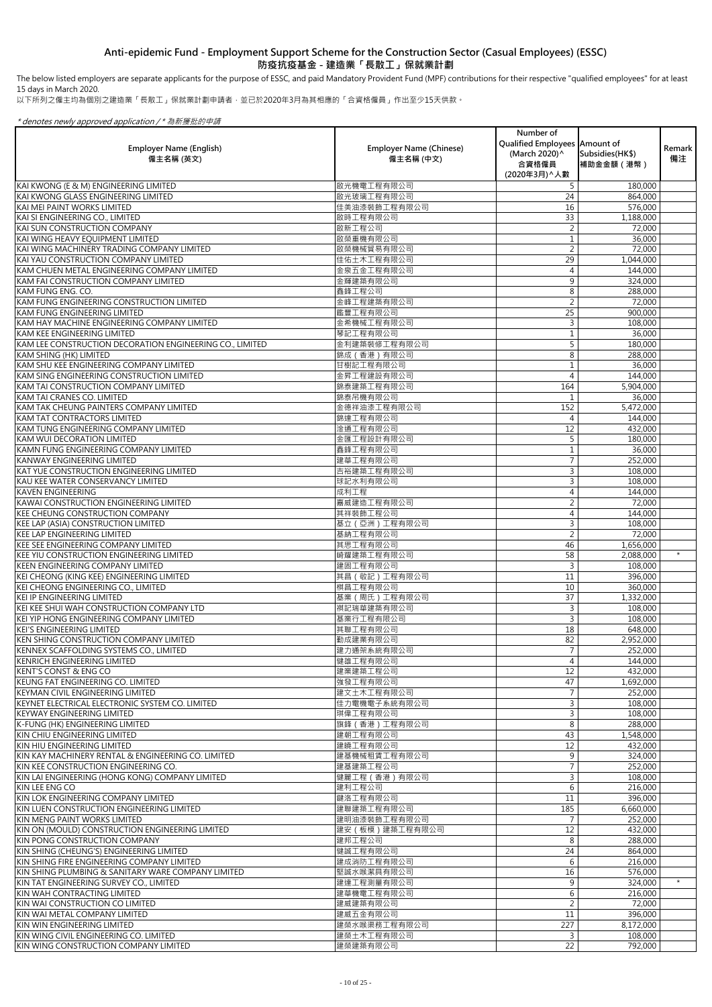The below listed employers are separate applicants for the purpose of ESSC, and paid Mandatory Provident Fund (MPF) contributions for their respective "qualified employees" for at least 15 days in March 2020.

以下所列之僱主均為個別之建造業「長散工」保就業計劃申請者,並已於2020年3月為其相應的「合資格僱員」作出至少15天供款。

|                                                                                        |                                             | Number of<br>Qualified Employees   Amount of |                                |              |
|----------------------------------------------------------------------------------------|---------------------------------------------|----------------------------------------------|--------------------------------|--------------|
| <b>Employer Name (English)</b><br>僱主名稱 (英文)                                            | <b>Employer Name (Chinese)</b><br>僱主名稱 (中文) | (March 2020)^<br>合資格僱員<br>(2020年3月) へ人數      | Subsidies (HK\$)<br>補助金金額 (港幣) | Remark<br>備注 |
| KAI KWONG (E & M) ENGINEERING LIMITED                                                  | 啟光機電工程有限公司                                  | 5                                            | 180,000                        |              |
| KAI KWONG GLASS ENGINEERING LIMITED                                                    | 啟光玻璃工程有限公司                                  | 24                                           | 864,000                        |              |
| KAI MEI PAINT WORKS LIMITED                                                            | 佳美油漆裝飾工程有限公司                                | 16                                           | 576,000                        |              |
| KAI SI ENGINEERING CO., LIMITED                                                        | 啟時工程有限公司                                    | 33                                           | 1,188,000                      |              |
| KAI SUN CONSTRUCTION COMPANY<br>KAI WING HEAVY EQUIPMENT LIMITED                       | 啟新工程公司<br>啟榮重機有限公司                          |                                              | 72,000<br>36,000               |              |
| KAI WING MACHINERY TRADING COMPANY LIMITED                                             | 啟榮機械貿易有限公司                                  | $\overline{2}$                               | 72,000                         |              |
| KAI YAU CONSTRUCTION COMPANY LIMITED                                                   | 佳佑土木工程有限公司                                  | 29                                           | 1,044,000                      |              |
| KAM CHUEN METAL ENGINEERING COMPANY LIMITED                                            | 金泉五金工程有限公司                                  | 4                                            | 144,000                        |              |
| KAM FAI CONSTRUCTION COMPANY LIMITED                                                   | 金輝建築有限公司                                    | 9                                            | 324,000                        |              |
| <b>KAM FUNG ENG. CO.</b>                                                               | 鑫鋒工程公司                                      | 8                                            | 288,000                        |              |
| KAM FUNG ENGINEERING CONSTRUCTION LIMITED<br>KAM FUNG ENGINEERING LIMITED              | 金峰工程建築有限公司<br>鑑豐工程有限公司                      | 25                                           | 72,000<br>900,000              |              |
| KAM HAY MACHINE ENGINEERING COMPANY LIMITED                                            | 金希機械工程有限公司                                  |                                              | 108,000                        |              |
| <b>KAM KEE ENGINEERING LIMITED</b>                                                     | 琴記工程有限公司                                    |                                              | 36,000                         |              |
| KAM LEE CONSTRUCTION DECORATION ENGINEERING CO., LIMITED                               | 金利建築裝修工程有限公司                                |                                              | 180,000                        |              |
| <b>KAM SHING (HK) LIMITED</b>                                                          | 錦成 (香港) 有限公司                                | 8                                            | 288,000                        |              |
| KAM SHU KEE ENGINEERING COMPANY LIMITED<br>KAM SING ENGINEERING CONSTRUCTION LIMITED   | 甘樹記工程有限公司<br>金昇工程建設有限公司                     | 4                                            | 36,000<br>144,000              |              |
| KAM TAI CONSTRUCTION COMPANY LIMITED                                                   | 錦泰建築工程有限公司                                  | 164                                          | 5,904,000                      |              |
| <b>KAM TAI CRANES CO. LIMITED</b>                                                      | 錦泰吊機有限公司                                    |                                              | 36,000                         |              |
| KAM TAK CHEUNG PAINTERS COMPANY LIMITED                                                | 金德祥油漆工程有限公司                                 | 152                                          | 5,472,000                      |              |
| <b>KAM TAT CONTRACTORS LIMITED</b>                                                     | 錦達工程有限公司                                    | 4                                            | 144,000                        |              |
| KAM TUNG ENGINEERING COMPANY LIMITED                                                   | 淦通工程有限公司                                    | 12                                           | 432,000                        |              |
| <b>KAM WUI DECORATION LIMITED</b><br>KAMN FUNG ENGINEERING COMPANY LIMITED             | 金匯工程設計有限公司<br>鑫鋒工程有限公司                      | 5.                                           | 180,000<br>36,000              |              |
| <b>KANWAY ENGINEERING LIMITED</b>                                                      | 建華工程有限公司                                    |                                              | 252,000                        |              |
| <b>KAT YUE CONSTRUCTION ENGINEERING LIMITED</b>                                        | 吉裕建築工程有限公司                                  |                                              | 108,000                        |              |
| KAU KEE WATER CONSERVANCY LIMITED                                                      | 球記水利有限公司                                    |                                              | 108,000                        |              |
| <b>KAVEN ENGINEERING</b>                                                               | 成利工程                                        |                                              | 144,000                        |              |
| KAWAI CONSTRUCTION ENGINEERING LIMITED                                                 | 嘉威建造工程有限公司                                  |                                              | 72,000                         |              |
| <b>KEE CHEUNG CONSTRUCTION COMPANY</b><br><b>KEE LAP (ASIA) CONSTRUCTION LIMITED</b>   | 其祥裝飾工程公司<br>基立 (亞洲)工程有限公司                   | 4                                            | 144,000<br>108,000             |              |
| <b>KEE LAP ENGINEERING LIMITED</b>                                                     | 基納工程有限公司                                    | 2                                            | 72,000                         |              |
| <b>KEE SEE ENGINEERING COMPANY LIMITED</b>                                             | 其思工程有限公司                                    | 46                                           | 1,656,000                      |              |
| KEE YIU CONSTRUCTION ENGINEERING LIMITED                                               | 崎耀建築工程有限公司                                  | 58                                           | 2,088,000                      | $\star$      |
| <b>KEEN ENGINEERING COMPANY LIMITED</b>                                                | 建固工程有限公司                                    |                                              | 108,000                        |              |
| KEI CHEONG (KING KEE) ENGINEERING LIMITED<br>KEI CHEONG ENGINEERING CO., LIMITED       | 其昌 ( 敬記) 工程有限公司<br>棋昌工程有限公司                 | 11<br>10                                     | 396,000<br>360,000             |              |
| <b>KEI IP ENGINEERING LIMITED</b>                                                      | 基業 (周氏)工程有限公司                               | 37                                           | 1,332,000                      |              |
| KEI KEE SHUI WAH CONSTRUCTION COMPANY LTD                                              | 祺記瑞華建築有限公司                                  | 3                                            | 108,000                        |              |
| KEI YIP HONG ENGINEERING COMPANY LIMITED                                               | 基業行工程有限公司                                   | 3                                            | 108,000                        |              |
| <b>KEI'S ENGINEERING LIMITED</b>                                                       | 其聯工程有限公司                                    | 18                                           | 648,000                        |              |
| KEN SHING CONSTRUCTION COMPANY LIMITED                                                 | 勤成建業有限公司                                    | 82                                           | 2,952,000                      |              |
| KENNEX SCAFFOLDING SYSTEMS CO., LIMITED<br><b>KENRICH ENGINEERING LIMITED</b>          | 建力通架系統有限公司<br>健雄工程有限公司                      | 4                                            | 252,000<br>144,000             |              |
| <b>KENT'S CONST &amp; ENG CO</b>                                                       | 建業建築工程公司                                    | 12                                           | 432,000                        |              |
| KEUNG FAT ENGINEERING CO. LIMITED                                                      | 強發工程有限公司                                    | 47                                           | 1,692,000                      |              |
| <b>KEYMAN CIVIL ENGINEERING LIMITED</b>                                                | 建文土木工程有限公司                                  |                                              | 252,000                        |              |
| KEYNET ELECTRICAL ELECTRONIC SYSTEM CO. LIMITED                                        | 佳力電機電子系統有限公司                                | 3                                            | 108,000                        |              |
| <b>KEYWAY ENGINEERING LIMITED</b><br>K-FUNG (HK) ENGINEERING LIMITED                   | 琪偉工程有限公司<br>旗鋒 (香港)工程有限公司                   | 8                                            | 108,000<br>288,000             |              |
| KIN CHIU ENGINEERING LIMITED                                                           | 建朝工程有限公司                                    | 43                                           | 1,548,000                      |              |
| KIN HIU ENGINEERING LIMITED                                                            | 建曉工程有限公司                                    | 12                                           | 432,000                        |              |
| KIN KAY MACHINERY RENTAL & ENGINEERING CO. LIMITED                                     | 建基機械租賃工程有限公司                                | $\mathsf{Q}$                                 | 324,000                        |              |
| KIN KEE CONSTRUCTION ENGINEERING CO.                                                   | 建基建築工程公司                                    |                                              | 252,000                        |              |
| KIN LAI ENGINEERING (HONG KONG) COMPANY LIMITED<br><b>KIN LEE ENG CO</b>               | 健麗工程 (香港) 有限公司                              | 3<br>6                                       | 108,000                        |              |
| KIN LOK ENGINEERING COMPANY LIMITED                                                    | 建利工程公司<br>鍵洛工程有限公司                          | 11                                           | 216,000<br>396,000             |              |
| KIN LUEN CONSTRUCTION ENGINEERING LIMITED                                              | 建聯建築工程有限公司                                  | 185                                          | 6,660,000                      |              |
| KIN MENG PAINT WORKS LIMITED                                                           | 建明油漆裝飾工程有限公司                                |                                              | 252,000                        |              |
| KIN ON (MOULD) CONSTRUCTION ENGINEERING LIMITED                                        | 建安 (板模)建築工程有限公司                             | 12                                           | 432,000                        |              |
| KIN PONG CONSTRUCTION COMPANY                                                          | 建邦工程公司                                      | 8                                            | 288,000                        |              |
| KIN SHING (CHEUNG'S) ENGINEERING LIMITED<br>KIN SHING FIRE ENGINEERING COMPANY LIMITED | 健誠工程有限公司<br>建成消防工程有限公司                      | 24<br>6                                      | 864,000<br>216,000             |              |
| KIN SHING PLUMBING & SANITARY WARE COMPANY LIMITED                                     | 堅誠水喉潔具有限公司                                  | 16                                           | 576,000                        |              |
| KIN TAT ENGINEERING SURVEY CO., LIMITED                                                | 建達工程測量有限公司                                  | 9                                            | 324,000                        | $\star$      |
| KIN WAH CONTRACTING LIMITED                                                            | 建華機電工程有限公司                                  | 6                                            | 216,000                        |              |
| KIN WAI CONSTRUCTION CO LIMITED                                                        | 建威建築有限公司                                    | $\overline{2}$                               | 72,000                         |              |
| KIN WAI METAL COMPANY LIMITED<br>KIN WIN ENGINEERING LIMITED                           | 建威五金有限公司<br>建榮水喉渠務工程有限公司                    | 11<br>227                                    | 396,000<br>8,172,000           |              |
| KIN WING CIVIL ENGINEERING CO. LIMITED                                                 | 建榮土木工程有限公司                                  | 3                                            | 108,000                        |              |
| KIN WING CONSTRUCTION COMPANY LIMITED                                                  | 建榮建築有限公司                                    | 22                                           | 792,000                        |              |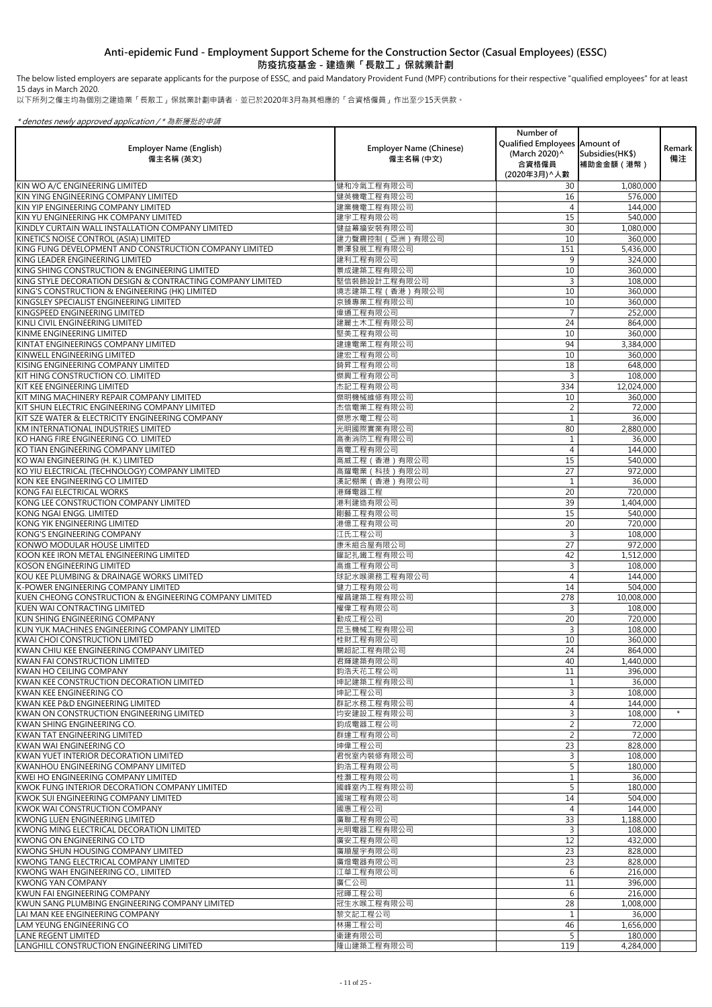The below listed employers are separate applicants for the purpose of ESSC, and paid Mandatory Provident Fund (MPF) contributions for their respective "qualified employees" for at least 15 days in March 2020.

以下所列之僱主均為個別之建造業「長散工」保就業計劃申請者,並已於2020年3月為其相應的「合資格僱員」作出至少15天供款。

| <b>Employer Name (English)</b><br>僱主名稱 (英文)                                      | <b>Employer Name (Chinese)</b><br>僱主名稱 (中文) | Number of<br>Qualified Employees Amount of<br>(March 2020) ^<br>合資格僱員<br>(2020年3月) へ人數 | Subsidies (HK\$)<br>補助金金額(港幣) | Remark  <br>備注 |
|----------------------------------------------------------------------------------|---------------------------------------------|----------------------------------------------------------------------------------------|-------------------------------|----------------|
| KIN WO A/C ENGINEERING LIMITED                                                   | 健和冷氣工程有限公司                                  | 30                                                                                     | 1,080,000                     |                |
| KIN YING ENGINEERING COMPANY LIMITED                                             | 健英機電工程有限公司                                  | 16                                                                                     | 576,000                       |                |
| KIN YIP ENGINEERING COMPANY LIMITED                                              | 建業機電工程有限公司                                  |                                                                                        | 144,000                       |                |
| KIN YU ENGINEERING HK COMPANY LIMITED                                            | 建宇工程有限公司                                    | 15                                                                                     | 540,000                       |                |
| KINDLY CURTAIN WALL INSTALLATION COMPANY LIMITED                                 | 健益幕牆安裝有限公司                                  | 30                                                                                     | 1,080,000                     |                |
| KINETICS NOISE CONTROL (ASIA) LIMITED                                            | 建力聲震控制 (亞洲)有限公司                             | 10                                                                                     | 360,000                       |                |
| KING FUNG DEVELOPMENT AND CONSTRUCTION COMPANY LIMITED                           | 景澤發展工程有限公司                                  | 151                                                                                    | 5,436,000                     |                |
| KING LEADER ENGINEERING LIMITED<br>KING SHING CONSTRUCTION & ENGINEERING LIMITED | 建利工程有限公司                                    | 9<br>10                                                                                | 324,000                       |                |
| KING STYLE DECORATION DESIGN & CONTRACTING COMPANY LIMITED                       | 景成建築工程有限公司<br>堅信裝飾設計工程有限公司                  | 3                                                                                      | 360,000<br>108,000            |                |
| KING'S CONSTRUCTION & ENGINEERING (HK) LIMITED                                   | 境志建築工程 (香港) 有限公司                            | 10                                                                                     | 360,000                       |                |
| KINGSLEY SPECIALIST ENGINEERING LIMITED                                          | 京臻專業工程有限公司                                  | 10                                                                                     | 360,000                       |                |
| KINGSPEED ENGINEERING LIMITED                                                    | 偉通工程有限公司                                    |                                                                                        | 252,000                       |                |
| KINLI CIVIL ENGINEERING LIMITED                                                  | 建麗土木工程有限公司                                  | 24                                                                                     | 864,000                       |                |
| KINME ENGINEERING LIMITED                                                        | 堅美工程有限公司                                    | 10                                                                                     | 360,000                       |                |
| KINTAT ENGINEERINGS COMPANY LIMITED                                              | 建達電業工程有限公司                                  | 94                                                                                     | 3,384,000                     |                |
| KINWELL ENGINEERING LIMITED                                                      | 建宏工程有限公司                                    | 10                                                                                     | 360,000                       |                |
| KISING ENGINEERING COMPANY LIMITED                                               | 錡昇工程有限公司                                    | 18                                                                                     | 648,000                       |                |
| KIT HING CONSTRUCTION CO. LIMITED                                                | 傑興工程有限公司                                    | 3                                                                                      | 108,000                       |                |
| KIT KEE ENGINEERING LIMITED                                                      | 杰記工程有限公司                                    | 334                                                                                    | 12,024,000                    |                |
| KIT MING MACHINERY REPAIR COMPANY LIMITED                                        | 傑明機械維修有限公司                                  | 10                                                                                     | 360,000                       |                |
| KIT SHUN ELECTRIC ENGINEERING COMPANY LIMITED                                    | 杰信電業工程有限公司                                  | 2                                                                                      | 72,000                        |                |
| KIT SZE WATER & ELECTRICITY ENGINEERING COMPANY                                  | 傑思水電工程公司                                    |                                                                                        | 36,000                        |                |
| IKM INTERNATIONAL INDUSTRIES LIMITED                                             | 光明國際實業有限公司                                  | 80                                                                                     | 2,880,000                     |                |
| KO HANG FIRE ENGINEERING CO. LIMITED                                             | 高衡消防工程有限公司                                  |                                                                                        | 36,000                        |                |
| KO TIAN ENGINEERING COMPANY LIMITED                                              | 高電工程有限公司                                    |                                                                                        | 144,000                       |                |
| KO WAI ENGINEERING (H. K.) LIMITED                                               | 高威工程(香港)有限公司                                | 15                                                                                     | 540,000                       |                |
| KO YIU ELECTRICAL (TECHNOLOGY) COMPANY LIMITED                                   | 高耀電業(科技)有限公司                                | 27                                                                                     | 972,000                       |                |
| KON KEE ENGINEERING CO LIMITED                                                   | 漢記棚業 (香港) 有限公司                              |                                                                                        | 36,000                        |                |
| IKONG FAI ELECTRICAL WORKS                                                       | 港輝電器工程                                      | 20                                                                                     | 720,000                       |                |
| KONG LEE CONSTRUCTION COMPANY LIMITED                                            | 港利建造有限公司                                    | 39                                                                                     | 1,404,000                     |                |
| KONG NGAI ENGG. LIMITED<br>KONG YIK ENGINEERING LIMITED                          | 剛藝工程有限公司<br>港億工程有限公司                        | 15<br>20                                                                               | 540,000<br>720,000            |                |
| KONG'S ENGINEERING COMPANY                                                       | 江氏工程公司                                      | 3                                                                                      | 108,000                       |                |
| <b>KONWO MODULAR HOUSE LIMITED</b>                                               | 康禾組合屋有限公司                                   | 27                                                                                     | 972,000                       |                |
| KOON KEE IRON METAL ENGINEERING LIMITED                                          | 鑵記扎鐵工程有限公司                                  | 42                                                                                     | 1,512,000                     |                |
| <b>KOSON ENGINEERING LIMITED</b>                                                 | 高進工程有限公司                                    | 3                                                                                      | 108,000                       |                |
| KOU KEE PLUMBING & DRAINAGE WORKS LIMITED                                        | 球記水喉渠務工程有限公司                                |                                                                                        | 144,000                       |                |
| K-POWER ENGINEERING COMPANY LIMITED                                              | 健力工程有限公司                                    | 14                                                                                     | 504,000                       |                |
| KUEN CHEONG CONSTRUCTION & ENGINEERING COMPANY LIMITED                           | 權昌建築工程有限公司                                  | 278                                                                                    | 10,008,000                    |                |
| <b>KUEN WAI CONTRACTING LIMITED</b>                                              | 權偉工程有限公司                                    |                                                                                        | 108,000                       |                |
| KUN SHING ENGINEERING COMPANY                                                    | 勤成工程公司                                      | 20                                                                                     | 720,000                       |                |
| KUN YUK MACHINES ENGINEERING COMPANY LIMITED                                     | 昆玉機械工程有限公司                                  | 3                                                                                      | 108,000                       |                |
| IKWAI CHOI CONSTRUCTION LIMITED                                                  | 桂財工程有限公司                                    | 10                                                                                     | 360,000                       |                |
| KWAN CHIU KEE ENGINEERING COMPANY LIMITED                                        | 關超記工程有限公司                                   | 24                                                                                     | 864,000                       |                |
| <b>IKWAN FAI CONSTRUCTION LIMITED</b>                                            | 君輝建築有限公司                                    | 40                                                                                     | 1,440,000                     |                |
| <b>KWAN HO CEILING COMPANY</b>                                                   | 鈞浩天花工程公司                                    | 11                                                                                     | 396,000                       |                |
| KWAN KEE CONSTRUCTION DECORATION LIMITED                                         | 坤記建築工程有限公司                                  |                                                                                        | 36,000                        |                |
| KWAN KEE ENGINEERING CO                                                          | 坤記工程公司                                      | 3                                                                                      | 108,000                       |                |
| KWAN KEE P&D ENGINEERING LIMITED                                                 | 群記水務工程有限公司                                  |                                                                                        | 144,000                       | $\star$        |
| KWAN ON CONSTRUCTION ENGINEERING LIMITED                                         | 均安建設工程有限公司                                  | 3<br>$\overline{2}$                                                                    | 108,000                       |                |
| KWAN SHING ENGINEERING CO.<br><b>KWAN TAT ENGINEERING LIMITED</b>                | 鈞成電器工程公司<br>群達工程有限公司                        | 2                                                                                      | 72,000<br>72,000              |                |
| KWAN WAI ENGINEERING CO                                                          | 坤偉工程公司                                      | 23                                                                                     | 828,000                       |                |
| IKWAN YUET INTERIOR DECORATION LIMITED                                           | 君悅室內裝修有限公司                                  | २                                                                                      | 108,000                       |                |
| <b>IKWANHOU ENGINEERING COMPANY LIMITED</b>                                      | 鈞浩工程有限公司                                    | 5                                                                                      | 180,000                       |                |
| IKWEI HO ENGINEERING COMPANY LIMITED                                             | 桂灝工程有限公司                                    |                                                                                        | 36,000                        |                |
| KWOK FUNG INTERIOR DECORATION COMPANY LIMITED                                    | 國峰室內工程有限公司                                  | 5                                                                                      | 180,000                       |                |
| KWOK SUI ENGINEERING COMPANY LIMITED                                             | 國瑞工程有限公司                                    | 14                                                                                     | 504,000                       |                |
| IKWOK WAI CONSTRUCTION COMPANY                                                   | 國惠工程公司                                      |                                                                                        | 144,000                       |                |
| IKWONG LUEN ENGINEERING LIMITED                                                  | 廣聯工程有限公司                                    | 33                                                                                     | 1,188,000                     |                |
| IKWONG MING ELECTRICAL DECORATION LIMITED                                        | 光明電器工程有限公司                                  | 3                                                                                      | 108,000                       |                |
| IKWONG ON ENGINEERING CO LTD                                                     | 廣安工程有限公司                                    | 12                                                                                     | 432,000                       |                |
| KWONG SHUN HOUSING COMPANY LIMITED                                               | 廣順屋宇有限公司                                    | 23                                                                                     | 828,000                       |                |
| KWONG TANG ELECTRICAL COMPANY LIMITED                                            | 廣燈電器有限公司                                    | 23                                                                                     | 828,000                       |                |
| IKWONG WAH ENGINEERING CO., LIMITED                                              | 江華工程有限公司                                    | 6                                                                                      | 216,000                       |                |
| IKWONG YAN COMPANY                                                               | 廣仁公司                                        | 11                                                                                     | 396,000                       |                |
| KWUN FAI ENGINEERING COMPANY                                                     | 冠暉工程公司                                      | 6                                                                                      | 216,000                       |                |
| IKWUN SANG PLUMBING ENGINEERING COMPANY LIMITED                                  | 冠生水喉工程有限公司                                  | 28                                                                                     | 1,008,000                     |                |
| LAI MAN KEE ENGINEERING COMPANY                                                  | 黎文記工程公司                                     |                                                                                        | 36,000                        |                |
| LAM YEUNG ENGINEERING CO                                                         | 林揚工程公司                                      | 46                                                                                     | 1,656,000                     |                |
| <b>LANE REGENT LIMITED</b><br>LANGHILL CONSTRUCTION ENGINEERING LIMITED          | 衛建有限公司<br>隆山建築工程有限公司                        | 119                                                                                    | 180,000<br>4,284,000          |                |
|                                                                                  |                                             |                                                                                        |                               |                |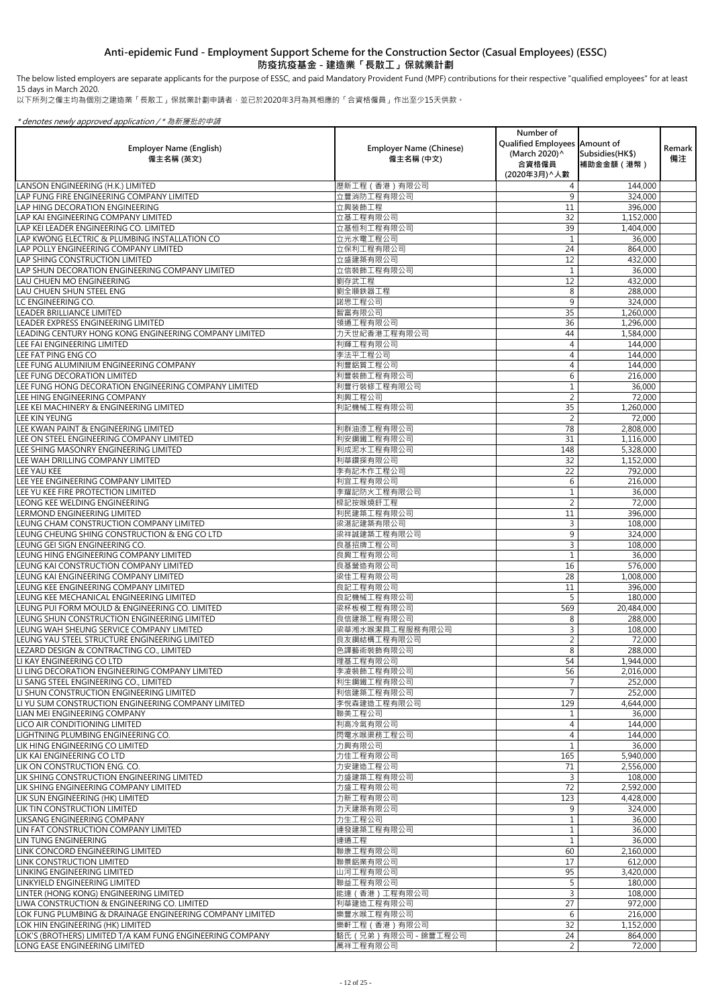The below listed employers are separate applicants for the purpose of ESSC, and paid Mandatory Provident Fund (MPF) contributions for their respective "qualified employees" for at least 15 days in March 2020.

以下所列之僱主均為個別之建造業「長散工」保就業計劃申請者,並已於2020年3月為其相應的「合資格僱員」作出至少15天供款。

| <b>Employer Name (English)</b><br>僱主名稱 (英文)                                             | <b>Employer Name (Chinese)</b><br>僱主名稱 (中文) | Number of<br>Qualified Employees Amount of<br>(March 2020)^<br>合資格僱員<br>(2020年3月) へ人數 | Subsidies (HK\$)<br>補助金金額(港幣) | Remark  <br>備注 |
|-----------------------------------------------------------------------------------------|---------------------------------------------|---------------------------------------------------------------------------------------|-------------------------------|----------------|
| LANSON ENGINEERING (H.K.) LIMITED                                                       | 歷新工程 (香港) 有限公司                              |                                                                                       | 144,000                       |                |
| LAP FUNG FIRE ENGINEERING COMPANY LIMITED                                               | 立豐消防工程有限公司                                  | 9                                                                                     | 324,000                       |                |
| LAP HING DECORATION ENGINEERING                                                         | 立興装飾工程                                      | 11                                                                                    | 396,000                       |                |
| LAP KAI ENGINEERING COMPANY LIMITED                                                     | 立基工程有限公司                                    | 32                                                                                    | 1,152,000                     |                |
| LAP KEI LEADER ENGINEERING CO. LIMITED                                                  | 立基恒利工程有限公司                                  | 39                                                                                    | 1,404,000                     |                |
| LAP KWONG ELECTRIC & PLUMBING INSTALLATION CO                                           | 立光水電工程公司                                    |                                                                                       | 36,000                        |                |
| LAP POLLY ENGINEERING COMPANY LIMITED                                                   | 立保利工程有限公司                                   | 24                                                                                    | 864,000                       |                |
| LAP SHING CONSTRUCTION LIMITED                                                          | 立盛建築有限公司                                    | 12                                                                                    | 432,000                       |                |
| LAP SHUN DECORATION ENGINEERING COMPANY LIMITED                                         | 立信裝飾工程有限公司                                  |                                                                                       | 36,000                        |                |
| LAU CHUEN MO ENGINEERING                                                                | 劉存武工程                                       | 12                                                                                    | 432,000                       |                |
| <b>LAU CHUEN SHUN STEEL ENG</b>                                                         | 劉全順鉄器工程                                     | 8                                                                                     | 288,000                       |                |
| LC ENGINEERING CO.<br><b>LEADER BRILLIANCE LIMITED</b>                                  | 諾思工程公司                                      | 9                                                                                     | 324,000                       |                |
| LEADER EXPRESS ENGINEERING LIMITED                                                      | 智富有限公司<br>領通工程有限公司                          | 35<br>36                                                                              | 1,260,000<br>1,296,000        |                |
| LEADING CENTURY HONG KONG ENGINEERING COMPANY LIMITED                                   | 力天世紀香港工程有限公司                                | 44                                                                                    | 1,584,000                     |                |
| <b>LEE FAI ENGINEERING LIMITED</b>                                                      | 利輝工程有限公司                                    |                                                                                       | 144,000                       |                |
| LEE FAT PING ENG CO                                                                     | 李法平工程公司                                     |                                                                                       | 144,000                       |                |
| LEE FUNG ALUMINIUM ENGINEERING COMPANY                                                  | 利豐鋁質工程公司                                    |                                                                                       | 144,000                       |                |
| LEE FUNG DECORATION LIMITED                                                             | 利豐裝飾工程有限公司                                  | 6                                                                                     | 216,000                       |                |
| LEE FUNG HONG DECORATION ENGINEERING COMPANY LIMITED                                    | 利豐行裝修工程有限公司                                 |                                                                                       | 36,000                        |                |
| LEE HING ENGINEERING COMPANY                                                            | 利興工程公司                                      | 2                                                                                     | 72,000                        |                |
| LEE KEI MACHINERY & ENGINEERING LIMITED                                                 | 利記機械工程有限公司                                  | 35                                                                                    | 1,260,000                     |                |
| <b>LEE KIN YEUNG</b>                                                                    |                                             | 2                                                                                     | 72,000                        |                |
| <b>LEE KWAN PAINT &amp; ENGINEERING LIMITED</b>                                         | 利群油漆工程有限公司                                  | 78                                                                                    | 2,808,000                     |                |
| LEE ON STEEL ENGINEERING COMPANY LIMITED                                                | 利安鋼鐵工程有限公司                                  | 31                                                                                    | 1,116,000                     |                |
| LEE SHING MASONRY ENGINEERING LIMITED                                                   | 利成泥水工程有限公司                                  | 148                                                                                   | 5,328,000                     |                |
| LEE WAH DRILLING COMPANY LIMITED                                                        | 利華鑽探有限公司                                    | 32                                                                                    | 1,152,000                     |                |
| LEE YAU KEE                                                                             | 李有記木作工程公司                                   | 22                                                                                    | 792,000                       |                |
| LEE YEE ENGINEERING COMPANY LIMITED                                                     | 利宜工程有限公司                                    | 6                                                                                     | 216,000                       |                |
| <b>LEE YU KEE FIRE PROTECTION LIMITED</b>                                               | 李耀記防火工程有限公司                                 |                                                                                       | 36,000                        |                |
| LEONG KEE WELDING ENGINEERING                                                           | 樑記按喉燒釺工程                                    | 2                                                                                     | 72,000                        |                |
| LERMOND ENGINEERING LIMITED                                                             | 利民建築工程有限公司                                  | 11                                                                                    | 396,000                       |                |
| LEUNG CHAM CONSTRUCTION COMPANY LIMITED                                                 | 梁湛記建築有限公司                                   | 3                                                                                     | 108,000                       |                |
| lleung cheung shing construction & Eng co LTD                                           | 梁祥誠建築工程有限公司                                 | 9                                                                                     | 324,000                       |                |
| LEUNG GEI SIGN ENGINEERING CO.                                                          | 良基招牌工程公司                                    | 3                                                                                     | 108,000                       |                |
| LEUNG HING ENGINEERING COMPANY LIMITED                                                  | 良興工程有限公司                                    |                                                                                       | 36,000                        |                |
| LEUNG KAI CONSTRUCTION COMPANY LIMITED                                                  | 良基營造有限公司                                    | 16                                                                                    | 576,000                       |                |
| LEUNG KAI ENGINEERING COMPANY LIMITED                                                   | 梁佳工程有限公司                                    | 28                                                                                    | 1,008,000                     |                |
| LEUNG KEE ENGINEERING COMPANY LIMITED                                                   | 良記工程有限公司                                    | 11                                                                                    | 396,000                       |                |
| LEUNG KEE MECHANICAL ENGINEERING LIMITED                                                | 良記機械工程有限公司                                  | 5                                                                                     | 180,000                       |                |
| LEUNG PUI FORM MOULD & ENGINEERING CO. LIMITED                                          | 梁杯板模工程有限公司                                  | 569                                                                                   | 20,484,000                    |                |
| LEUNG SHUN CONSTRUCTION ENGINEERING LIMITED<br>LEUNG WAH SHEUNG SERVICE COMPANY LIMITED | 良信建築工程有限公司<br>梁華湘水喉潔具工程服務有限公司               |                                                                                       | 288,000                       |                |
| LEUNG YAU STEEL STRUCTURE ENGINEERING LIMITED                                           | 良友鋼結構工程有限公司                                 | 3                                                                                     | 108,000<br>72,000             |                |
| LEZARD DESIGN & CONTRACTING CO., LIMITED                                                | 色譯藝術裝飾有限公司                                  | 8                                                                                     | 288,000                       |                |
| LI KAY ENGINEERING CO LTD                                                               | 理基工程有限公司                                    | 54                                                                                    | 1,944,000                     |                |
| LI LING DECORATION ENGINEERING COMPANY LIMITED                                          | 李凌裝飾工程有限公司                                  | 56                                                                                    | 2,016,000                     |                |
| LI SANG STEEL ENGINEERING CO., LIMITED                                                  | 利生鋼鐵工程有限公司                                  |                                                                                       | 252,000                       |                |
| LI SHUN CONSTRUCTION ENGINEERING LIMITED                                                | 利信建築工程有限公司                                  |                                                                                       | 252,000                       |                |
| LI YU SUM CONSTRUCTION ENGINEERING COMPANY LIMITED                                      | 李悦森建造工程有限公司                                 | 129                                                                                   | 4,644,000                     |                |
| LIAN MEI ENGINEERING COMPANY                                                            | 聯美工程公司                                      |                                                                                       | 36,000                        |                |
| <b>LICO AIR CONDITIONING LIMITED</b>                                                    | 利高冷氣有限公司                                    |                                                                                       | 144,000                       |                |
| LIGHTNING PLUMBING ENGINEERING CO.                                                      | 閃電水喉渠務工程公司                                  |                                                                                       | 144,000                       |                |
| LIK HING ENGINEERING CO LIMITED                                                         | 力興有限公司                                      |                                                                                       | 36,000                        |                |
| <b>LIK KAI ENGINEERING CO LTD</b>                                                       | 力佳工程有限公司                                    | 165                                                                                   | 5,940,000                     |                |
| <b>LIK ON CONSTRUCTION ENG. CO.</b>                                                     | 力安建造工程公司                                    | 71                                                                                    | 2,556,000                     |                |
| LIK SHING CONSTRUCTION ENGINEERING LIMITED                                              | 力盛建築工程有限公司                                  | 3                                                                                     | 108,000                       |                |
| LIK SHING ENGINEERING COMPANY LIMITED                                                   | 力盛工程有限公司                                    | 72                                                                                    | 2,592,000                     |                |
| LIK SUN ENGINEERING (HK) LIMITED                                                        | 力新工程有限公司                                    | 123                                                                                   | 4,428,000                     |                |
| LIK TIN CONSTRUCTION LIMITED                                                            | 力天建築有限公司                                    | 9                                                                                     | 324,000                       |                |
| <b>LIKSANG ENGINEERING COMPANY</b>                                                      | 力生工程公司                                      |                                                                                       | 36,000                        |                |
| LIN FAT CONSTRUCTION COMPANY LIMITED                                                    | 連發建築工程有限公司                                  |                                                                                       | 36,000                        |                |
| LIN TUNG ENGINEERING                                                                    | 連通工程                                        |                                                                                       | 36,000                        |                |
| LINK CONCORD ENGINEERING LIMITED                                                        | 聯康工程有限公司                                    | 60                                                                                    | 2,160,000                     |                |
| <b>LINK CONSTRUCTION LIMITED</b>                                                        | 聯景鋁業有限公司                                    | 17                                                                                    | 612,000                       |                |
| LINKING ENGINEERING LIMITED                                                             | 山河工程有限公司                                    | 95                                                                                    | 3,420,000                     |                |
| <b>LINKYIELD ENGINEERING LIMITED</b><br>LINTER (HONG KONG) ENGINEERING LIMITED          | 聯益工程有限公司<br>能達 (香港)工程有限公司                   | $\overline{3}$                                                                        | 180,000                       |                |
| LIWA CONSTRUCTION & ENGINEERING CO. LIMITED                                             | 利華建造工程有限公司                                  | 27                                                                                    | 108,000                       |                |
| LOK FUNG PLUMBING & DRAINAGE ENGINEERING COMPANY LIMITED                                | 樂豐水喉工程有限公司                                  | 6                                                                                     | 972,000<br>216,000            |                |
| LOK HIN ENGINEERING (HK) LIMITED                                                        | 樂軒工程 (香港) 有限公司                              | 32                                                                                    | 1,152,000                     |                |
| LOK'S (BROTHERS) LIMITED T/A KAM FUNG ENGINEERING COMPANY                               | 駱氏 (兄弟) 有限公司 - 錦豐工程公司                       | 24                                                                                    | 864,000                       |                |
| LONG EASE ENGINEERING LIMITED                                                           | 萬祥工程有限公司                                    | $\overline{2}$                                                                        | 72,000                        |                |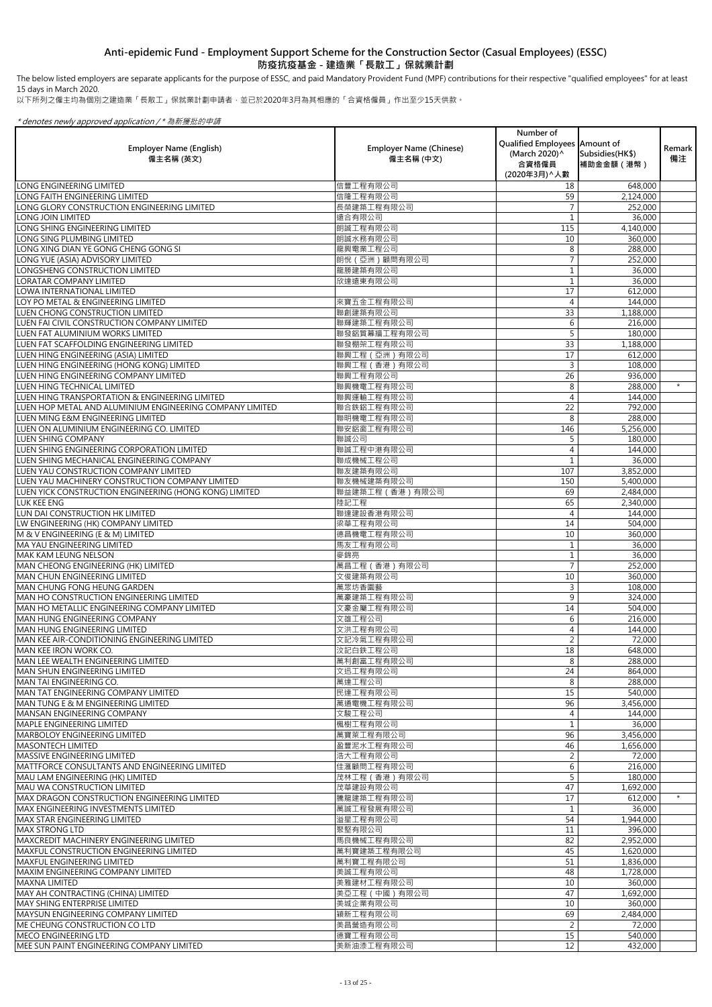以下所列之僱主均為個別之建造業「長散工」保就業計劃申請者,並已於2020年3月為其相應的「合資格僱員」作出至少15天供款。

### \* denotes newly approved application / \* 為新獲批的申請

| <b>Employer Name (English)</b><br>僱主名稱 (英文)                                          | <b>Employer Name (Chinese)</b><br>僱主名稱 (中文) | Number of<br>Qualified Employees Amount of<br>(March 2020) ^<br>合資格僱員<br>(2020年3月) へ人數 | Subsidies (HK\$)<br>補助金金額 (港幣) | Remark<br>備注 |
|--------------------------------------------------------------------------------------|---------------------------------------------|----------------------------------------------------------------------------------------|--------------------------------|--------------|
| <b>LONG ENGINEERING LIMITED</b>                                                      | 信豐工程有限公司                                    | 18                                                                                     | 648,000                        |              |
| <b>I</b> LONG FAITH ENGINEERING LIMITED                                              | 信隆工程有限公司                                    | 59                                                                                     | 2,124,000                      |              |
| LONG GLORY CONSTRUCTION ENGINEERING LIMITED                                          | 長榮建築工程有限公司                                  |                                                                                        | 252,000                        |              |
| <b>LONG JOIN LIMITED</b>                                                             | 遠合有限公司                                      |                                                                                        | 36,000                         |              |
| LONG SHING ENGINEERING LIMITED                                                       | 朗誠工程有限公司                                    | 115                                                                                    | 4,140,000                      |              |
| LONG SING PLUMBING LIMITED                                                           | 朗誠水務有限公司                                    | 10                                                                                     | 360,000                        |              |
| LONG XING DIAN YE GONG CHENG GONG SI                                                 | 龍興電業工程公司                                    | 8                                                                                      | 288,000                        |              |
| LONG YUE (ASIA) ADVISORY LIMITED<br>LONGSHENG CONSTRUCTION LIMITED                   | 朗悅 (亞洲)顧問有限公司<br>龍勝建築有限公司                   |                                                                                        | 252,000<br>36,000              |              |
| <b>LORATAR COMPANY LIMITED</b>                                                       | 欣達遠東有限公司                                    |                                                                                        | 36,000                         |              |
| LOWA INTERNATIONAL LIMITED                                                           |                                             | 17                                                                                     | 612,000                        |              |
| LOY PO METAL & ENGINEERING LIMITED                                                   | 來寶五金工程有限公司                                  | 4                                                                                      | 144,000                        |              |
| LUEN CHONG CONSTRUCTION LIMITED                                                      | 聯創建築有限公司                                    | 33                                                                                     | 1,188,000                      |              |
| <b>LUEN FAI CIVIL CONSTRUCTION COMPANY LIMITED</b>                                   | 聯輝建築工程有限公司                                  | 6                                                                                      | 216,000                        |              |
| ILUEN FAT ALUMINIUM WORKS LIMITED                                                    | 聯發鋁質幕牆工程有限公司                                | 5                                                                                      | 180,000                        |              |
| LUEN FAT SCAFFOLDING ENGINEERING LIMITED                                             | 聯發棚架工程有限公司                                  | 33                                                                                     | 1,188,000                      |              |
| LUEN HING ENGINEERING (ASIA) LIMITED                                                 | 聯興工程 (亞洲)有限公司                               | 17                                                                                     | 612,000                        |              |
| LUEN HING ENGINEERING (HONG KONG) LIMITED                                            | 聯興工程 (香港) 有限公司                              | 3                                                                                      | 108,000                        |              |
| LUEN HING ENGINEERING COMPANY LIMITED                                                | 聯興工程有限公司                                    | 26                                                                                     | 936,000                        |              |
| <b>LUEN HING TECHNICAL LIMITED</b>                                                   | 聯興機電工程有限公司                                  | 8                                                                                      | 288,000                        | $\star$      |
| LUEN HING TRANSPORTATION & ENGINEERING LIMITED                                       | 聯興運輸工程有限公司                                  | 4                                                                                      | 144,000                        |              |
| LUEN HOP METAL AND ALUMINIUM ENGINEERING COMPANY LIMITED                             | 聯合鉄鋁工程有限公司                                  | 22                                                                                     | 792,000                        |              |
| LUEN MING E&M ENGINEERING LIMITED                                                    | 聯明機電工程有限公司                                  | 8                                                                                      | 288,000                        |              |
| LUEN ON ALUMINIUM ENGINEERING CO. LIMITED                                            | 聯安鋁窗工程有限公司                                  | 146                                                                                    | 5,256,000                      |              |
| <b>LUEN SHING COMPANY</b>                                                            | 聯誠公司                                        | 5.                                                                                     | 180,000                        |              |
| <b>LUEN SHING ENGINEERING CORPORATION LIMITED</b>                                    | 聯誠工程中港有限公司                                  | 4                                                                                      | 144,000                        |              |
| LUEN SHING MECHANICAL ENGINEERING COMPANY                                            | 聯成機械工程公司                                    |                                                                                        | 36,000                         |              |
| <b>LUEN YAU CONSTRUCTION COMPANY LIMITED</b>                                         | 聯友建築有限公司                                    | 107                                                                                    | 3,852,000                      |              |
| LUEN YAU MACHINERY CONSTRUCTION COMPANY LIMITED                                      | 聯友機械建築有限公司                                  | 150                                                                                    | 5,400,000                      |              |
| LUEN YICK CONSTRUCTION ENGINEERING (HONG KONG) LIMITED                               | 聯益建築工程 (香港) 有限公司                            | 69                                                                                     | 2,484,000                      |              |
| <b>LUK KEE ENG</b>                                                                   | 陸記工程                                        | 65                                                                                     | 2,340,000                      |              |
| LUN DAI CONSTRUCTION HK LIMITED                                                      | 聯達建設香港有限公司                                  | 4                                                                                      | 144,000                        |              |
| LW ENGINEERING (HK) COMPANY LIMITED                                                  | 梁華工程有限公司                                    | 14                                                                                     | 504,000                        |              |
| M & V ENGINEERING (E & M) LIMITED                                                    | 德昌機電工程有限公司                                  | 10                                                                                     | 360,000                        |              |
| <b>MA YAU ENGINEERING LIMITED</b><br><b>MAK KAM LEUNG NELSON</b>                     | 馬友工程有限公司<br>麥錦亮                             |                                                                                        | 36,000                         |              |
|                                                                                      | 萬昌工程 (香港) 有限公司                              |                                                                                        | 36,000<br>252,000              |              |
| MAN CHEONG ENGINEERING (HK) LIMITED<br>MAN CHUN ENGINEERING LIMITED                  | 文俊建築有限公司                                    | 10                                                                                     | 360,000                        |              |
| <b>IMAN CHUNG FONG HEUNG GARDEN</b>                                                  | 萬眾坊香園藝                                      | 3                                                                                      | 108,000                        |              |
| MAN HO CONSTRUCTION ENGINEERING LIMITED                                              | 萬豪建築工程有限公司                                  | 9                                                                                      | 324,000                        |              |
| MAN HO METALLIC ENGINEERING COMPANY LIMITED                                          | 文豪金屬工程有限公司                                  | 14                                                                                     | 504,000                        |              |
| <b>MAN HUNG ENGINEERING COMPANY</b>                                                  | 文雄工程公司                                      | 6                                                                                      | 216,000                        |              |
| MAN HUNG ENGINEERING LIMITED                                                         | 文洪工程有限公司                                    |                                                                                        | 144,000                        |              |
| MAN KEE AIR-CONDITIONING ENGINEERING LIMITED                                         | 文記冷氣工程有限公司                                  |                                                                                        | 72,000                         |              |
| MAN KEE IRON WORK CO.                                                                | 汶記白鉄工程公司                                    | 18                                                                                     | 648,000                        |              |
| MAN LEE WEALTH ENGINEERING LIMITED                                                   | 萬利創富工程有限公司                                  | 8                                                                                      | 288,000                        |              |
| <b>MAN SHUN ENGINEERING LIMITED</b>                                                  | 文迅工程有限公司                                    | 24                                                                                     | 864,000                        |              |
| MAN TAI ENGINEERING CO.                                                              | 萬達工程公司                                      | 8                                                                                      | 288,000                        |              |
| MAN TAT ENGINEERING COMPANY LIMITED                                                  | 民達工程有限公司                                    | 15                                                                                     | 540,000                        |              |
| <b>MAN TUNG E &amp; M ENGINEERING LIMITED</b>                                        | 萬通電機工程有限公司                                  | 96                                                                                     | 3,456,000                      |              |
| <b>MANSAN ENGINEERING COMPANY</b>                                                    | 文駿工程公司                                      |                                                                                        | 144,000                        |              |
| <b>MAPLE ENGINEERING LIMITED</b>                                                     | 楓樹工程有限公司                                    |                                                                                        | 36,000                         |              |
| <b>MARBOLOY ENGINEERING LIMITED</b>                                                  | 萬寶萊工程有限公司                                   | 96                                                                                     | 3,456,000                      |              |
| <b>MASONTECH LIMITED</b>                                                             | 盈豐泥水工程有限公司                                  | 46                                                                                     | 1,656,000                      |              |
| <b>IMASSIVE ENGINEERING LIMITED</b>                                                  | 浩大工程有限公司                                    |                                                                                        | 72,000                         |              |
| MATTFORCE CONSULTANTS AND ENGINEERING LIMITED                                        | 佳滙顧問工程有限公司                                  | 6                                                                                      | 216,000                        |              |
| MAU LAM ENGINEERING (HK) LIMITED                                                     | 茂林工程(香港)有限公司                                |                                                                                        | 180,000                        |              |
| <b>MAU WA CONSTRUCTION LIMITED</b>                                                   | 茂華建設有限公司                                    | 47                                                                                     | 1,692,000                      | $\star$      |
| IMAX DRAGON CONSTRUCTION ENGINEERING LIMITED<br>IMAX ENGINEERING INVESTMENTS LIMITED | 騰龍建築工程有限公司                                  | 17                                                                                     | 612,000                        |              |
| <b>MAX STAR ENGINEERING LIMITED</b>                                                  | 萬誠工程發展有限公司<br>溢星工程有限公司                      | 54                                                                                     | 36,000<br>1,944,000            |              |
| <b>MAX STRONG LTD</b>                                                                | 聚堅有限公司                                      | 11                                                                                     | 396,000                        |              |
| <b>MAXCREDIT MACHINERY ENGINEERING LIMITED</b>                                       | 馬良機械工程有限公司                                  | 82                                                                                     | 2,952,000                      |              |
| <b>MAXFUL CONSTRUCTION ENGINEERING LIMITED</b>                                       | 萬利寶建築工程有限公司                                 | 45                                                                                     | 1,620,000                      |              |
| <b>IMAXFUL ENGINEERING LIMITED</b>                                                   | 萬利寶工程有限公司                                   | 51                                                                                     | 1,836,000                      |              |
| <b>MAXIM ENGINEERING COMPANY LIMITED</b>                                             | 美誠工程有限公司                                    | 48                                                                                     | 1,728,000                      |              |
| <b>IMAXNA LIMITED</b>                                                                | 美雅建材工程有限公司                                  | 10                                                                                     | 360,000                        |              |
| MAY AH CONTRACTING (CHINA) LIMITED                                                   | 美亞工程 (中國) 有限公司                              | 47                                                                                     | 1,692,000                      |              |
| <b>MAY SHING ENTERPRISE LIMITED</b>                                                  | 美城企業有限公司                                    | 10                                                                                     | 360,000                        |              |
| IMAYSUN ENGINEERING COMPANY LIMITED                                                  | 穎新工程有限公司                                    | 69                                                                                     | 2,484,000                      |              |
| <b>IME CHEUNG CONSTRUCTION CO LTD</b>                                                | 美昌營造有限公司                                    |                                                                                        | 72,000                         |              |
| <b>IMECO ENGINEERING LTD</b>                                                         | 德寶工程有限公司                                    | 15                                                                                     | 540,000                        |              |
| <b>IMEE SUN PAINT ENGINEERING COMPANY LIMITED</b>                                    | 美新油漆工程有限公司                                  | 12                                                                                     | 432,000                        |              |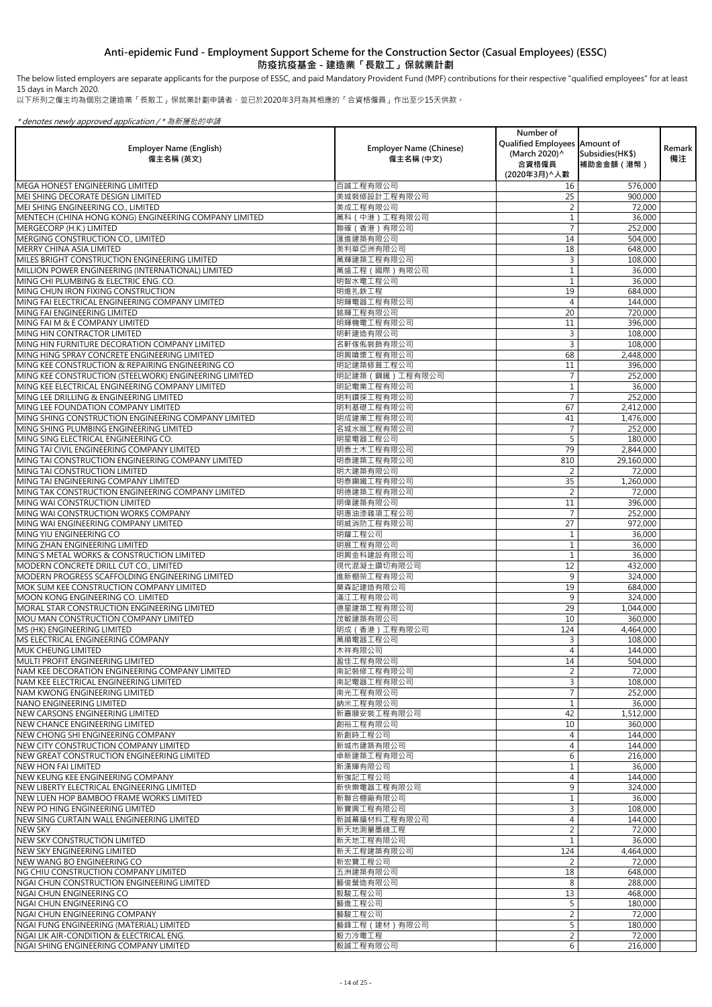以下所列之僱主均為個別之建造業「長散工」保就業計劃申請者,並已於2020年3月為其相應的「合資格僱員」作出至少15天供款。

### \* denotes newly approved application / \* 為新獲批的申請

| <b>Employer Name (English)</b><br>僱主名稱 (英文)                                             | <b>Employer Name (Chinese)</b><br>僱主名稱 (中文) | Number of<br>Qualified Employees Amount of<br>(March 2020) ^<br>合資格僱員<br>(2020年3月) ^ 人數 | Subsidies (HK\$)<br>補助金金額(港幣) | Remark  <br>備注 |
|-----------------------------------------------------------------------------------------|---------------------------------------------|-----------------------------------------------------------------------------------------|-------------------------------|----------------|
| <b>MEGA HONEST ENGINEERING LIMITED</b>                                                  | 百誠工程有限公司                                    | 16                                                                                      | 576,000                       |                |
| MEI SHING DECORATE DESIGN LIMITED                                                       | 美城裝修設計工程有限公司                                | 25                                                                                      | 900,000                       |                |
| MEI SHING ENGINEERING CO., LIMITED                                                      | 美成工程有限公司                                    |                                                                                         | 72,000                        |                |
| MENTECH (CHINA HONG KONG) ENGINEERING COMPANY LIMITED                                   | 萬科 (中港)工程有限公司                               |                                                                                         | 36,000                        |                |
| MERGECORP (H.K.) LIMITED                                                                | 聯確 (香港)有限公司                                 |                                                                                         | 252,000                       |                |
| MERGING CONSTRUCTION CO., LIMITED                                                       | 匯進建築有限公司                                    | 14                                                                                      | 504,000                       |                |
| <b>MERRY CHINA ASIA LIMITED</b>                                                         | 美利華亞洲有限公司                                   | 18                                                                                      | 648,000                       |                |
| MILES BRIGHT CONSTRUCTION ENGINEERING LIMITED                                           | 萬輝建築工程有限公司                                  | 3                                                                                       | 108,000                       |                |
| MILLION POWER ENGINEERING (INTERNATIONAL) LIMITED                                       | 萬盛工程 (國際)有限公司                               |                                                                                         | 36,000                        |                |
| MING CHI PLUMBING & ELECTRIC ENG. CO.                                                   | 明智水電工程公司                                    |                                                                                         | 36,000                        |                |
| MING CHUN IRON FIXING CONSTRUCTION<br>MING FAI ELECTRICAL ENGINEERING COMPANY LIMITED   | 明進扎鉄工程<br>明輝電器工程有限公司                        | 19                                                                                      | 684,000                       |                |
| MING FAI ENGINEERING LIMITED                                                            | 銘輝工程有限公司                                    | 20                                                                                      | 144,000<br>720,000            |                |
| MING FAI M & E COMPANY LIMITED                                                          | 明輝機電工程有限公司                                  | 11                                                                                      | 396,000                       |                |
| MING HIN CONTRACTOR LIMITED                                                             | 明軒建造有限公司                                    | 3                                                                                       | 108,000                       |                |
| MING HIN FURNITURE DECORATION COMPANY LIMITED                                           | 名軒傢俬裝飾有限公司                                  | 3                                                                                       | 108,000                       |                |
| MING HING SPRAY CONCRETE ENGINEERING LIMITED                                            | 明興噴漿工程有限公司                                  | 68                                                                                      | 2,448,000                     |                |
| MING KEE CONSTRUCTION & REPAIRING ENGINEERING CO                                        | 明記建築修葺工程公司                                  | 11                                                                                      | 396,000                       |                |
| MING KEE CONSTRUCTION (STEELWORK) ENGINEERING LIMITED                                   | 明記建築 (鋼鐵)工程有限公司                             |                                                                                         | 252,000                       |                |
| MING KEE ELECTRICAL ENGINEERING COMPANY LIMITED                                         | 明記電業工程有限公司                                  |                                                                                         | 36,000                        |                |
| MING LEE DRILLING & ENGINEERING LIMITED                                                 | 明利鑽探工程有限公司                                  |                                                                                         | 252,000                       |                |
| MING LEE FOUNDATION COMPANY LIMITED                                                     | 明利基礎工程有限公司                                  | 67                                                                                      | 2,412,000                     |                |
| MING SHING CONSTRUCTION ENGINEERING COMPANY LIMITED                                     | 明成建業工程有限公司                                  | 41                                                                                      | 1,476,000                     |                |
| MING SHING PLUMBING ENGINEERING LIMITED                                                 | 名城水喉工程有限公司                                  |                                                                                         | 252,000                       |                |
| MING SING ELECTRICAL ENGINEERING CO.                                                    | 明星電器工程公司                                    |                                                                                         | 180,000                       |                |
| MING TAI CIVIL ENGINEERING COMPANY LIMITED                                              | 明泰土木工程有限公司                                  | 79                                                                                      | 2,844,000                     |                |
| MING TAI CONSTRUCTION ENGINEERING COMPANY LIMITED                                       | 明泰建築工程有限公司                                  | 810                                                                                     | 29,160,000                    |                |
| MING TAI CONSTRUCTION LIMITED                                                           | 明大建築有限公司                                    | $\overline{2}$                                                                          | 72,000                        |                |
| MING TAI ENGINEERING COMPANY LIMITED                                                    | 明泰鋼鐵工程有限公司                                  | 35                                                                                      | 1,260,000                     |                |
| MING TAK CONSTRUCTION ENGINEERING COMPANY LIMITED                                       | 明德建築工程有限公司                                  | $\overline{2}$                                                                          | 72,000                        |                |
| MING WAI CONSTRUCTION LIMITED                                                           | 明偉建築有限公司                                    | 11                                                                                      | 396,000                       |                |
| MING WAI CONSTRUCTION WORKS COMPANY                                                     | 明惠油漆雜項工程公司                                  |                                                                                         | 252,000                       |                |
| MING WAI ENGINEERING COMPANY LIMITED                                                    | 明威消防工程有限公司                                  | 27                                                                                      | 972,000                       |                |
| MING YIU ENGINEERING CO                                                                 | 明耀工程公司                                      |                                                                                         | 36,000                        |                |
| MING ZHAN ENGINEERING LIMITED                                                           | 明展工程有限公司                                    |                                                                                         | 36,000                        |                |
| MING'S METAL WORKS & CONSTRUCTION LIMITED                                               | 明興金科建設有限公司                                  |                                                                                         | 36,000                        |                |
| MODERN CONCRETE DRILL CUT CO., LIMITED                                                  | 現代混凝土鑽切有限公司                                 | 12                                                                                      | 432,000                       |                |
| MODERN PROGRESS SCAFFOLDING ENGINEERING LIMITED                                         | 進新棚架工程有限公司                                  | 9                                                                                       | 324,000                       |                |
| MOK SUM KEE CONSTRUCTION COMPANY LIMITED                                                | 莫森記建造有限公司                                   | 19                                                                                      | 684,000                       |                |
| <b>MOON KONG ENGINEERING CO. LIMITED</b><br>MORAL STAR CONSTRUCTION ENGINEERING LIMITED | 滿江工程有限公司<br>德星建築工程有限公司                      | 9<br>29                                                                                 | 324,000<br>1,044,000          |                |
| <b>MOU MAN CONSTRUCTION COMPANY LIMITED</b>                                             | 茂敏建築有限公司                                    | 10                                                                                      | 360,000                       |                |
| MS (HK) ENGINEERING LIMITED                                                             | 明成 (香港)工程有限公司                               | 124                                                                                     | 4,464,000                     |                |
| <b>MS ELECTRICAL ENGINEERING COMPANY</b>                                                | 萬順電器工程公司                                    | 3                                                                                       | 108,000                       |                |
| <b>MUK CHEUNG LIMITED</b>                                                               | 木祥有限公司                                      |                                                                                         | 144,000                       |                |
| <b>MULTI PROFIT ENGINEERING LIMITED</b>                                                 | 盈佳工程有限公司                                    | 14                                                                                      | 504,000                       |                |
| NAM KEE DECORATION ENGINEERING COMPANY LIMITED                                          | 南記裝修工程有限公司                                  | 2                                                                                       | 72,000                        |                |
| NAM KEE ELECTRICAL ENGINEERING LIMITED                                                  | 南記電器工程有限公司                                  | 3                                                                                       | 108,000                       |                |
| <b>NAM KWONG ENGINEERING LIMITED</b>                                                    | 南光工程有限公司                                    |                                                                                         | 252,000                       |                |
| NANO ENGINEERING LIMITED                                                                | 納米工程有限公司                                    |                                                                                         | 36,000                        |                |
| NEW CARSONS ENGINEERING LIMITED                                                         | 新嘉順安裝工程有限公司                                 | 42                                                                                      | 1,512,000                     |                |
| NEW CHANCE ENGINEERING LIMITED                                                          | 創裕工程有限公司                                    | 10                                                                                      | 360,000                       |                |
| NEW CHONG SHI ENGINEERING COMPANY                                                       | 新創時工程公司                                     |                                                                                         | 144,000                       |                |
| NEW CITY CONSTRUCTION COMPANY LIMITED                                                   | 新城市建築有限公司                                   |                                                                                         | 144,000                       |                |
| NEW GREAT CONSTRUCTION ENGINEERING LIMITED                                              | 卓新建築工程有限公司                                  |                                                                                         | 216,000                       |                |
| NEW HON FAI LIMITED                                                                     | 新漢輝有限公司                                     |                                                                                         | 36,000                        |                |
| NEW KEUNG KEE ENGINEERING COMPANY                                                       | 新強記工程公司                                     |                                                                                         | 144,000                       |                |
| NEW LIBERTY ELECTRICAL ENGINEERING LIMITED                                              | 新快樂電器工程有限公司                                 | 9                                                                                       | 324,000                       |                |
| NEW LUEN HOP BAMBOO FRAME WORKS LIMITED                                                 | 新聯合棚廠有限公司                                   |                                                                                         | 36,000                        |                |
| NEW PO HING ENGINEERING LIMITED                                                         | 新寶興工程有限公司                                   | 3                                                                                       | 108,000                       |                |
| NEW SING CURTAIN WALL ENGINEERING LIMITED                                               | 新誠幕牆材料工程有限公司                                |                                                                                         | 144,000                       |                |
| <b>NEW SKY</b><br>NEW SKY CONSTRUCTION LIMITED                                          | 新天地測量墨綫工程<br>新天地工程有限公司                      | 2                                                                                       | 72,000<br>36,000              |                |
| NEW SKY ENGINEERING LIMITED                                                             | 新天工程建築有限公司                                  | 124                                                                                     | 4,464,000                     |                |
| NEW WANG BO ENGINEERING CO                                                              | 新宏寶工程公司                                     | 2                                                                                       | 72,000                        |                |
| <b>NG CHIU CONSTRUCTION COMPANY LIMITED</b>                                             | 五洲建築有限公司                                    | 18                                                                                      | 648,000                       |                |
| NGAI CHUN CONSTRUCTION ENGINEERING LIMITED                                              | 藝俊營造有限公司                                    | 8                                                                                       | 288,000                       |                |
| NGAI CHUN ENGINEERING CO                                                                | 毅駿工程公司                                      | 13                                                                                      | 468,000                       |                |
| NGAI CHUN ENGINEERING CO                                                                | 藝進工程公司                                      |                                                                                         | 180,000                       |                |
| NGAI CHUN ENGINEERING COMPANY                                                           | 藝駿工程公司                                      |                                                                                         | 72,000                        |                |
| NGAI FUNG ENGINEERING (MATERIAL) LIMITED                                                | 藝鋒工程 (建材) 有限公司                              |                                                                                         | 180,000                       |                |
| NGAI LIK AIR-CONDITION & ELECTRICAL ENG.                                                | 毅力冷電工程                                      | $\overline{2}$                                                                          | 72,000                        |                |
| NGAI SHING ENGINEERING COMPANY LIMITED                                                  | 毅誠工程有限公司                                    | 6                                                                                       | 216,000                       |                |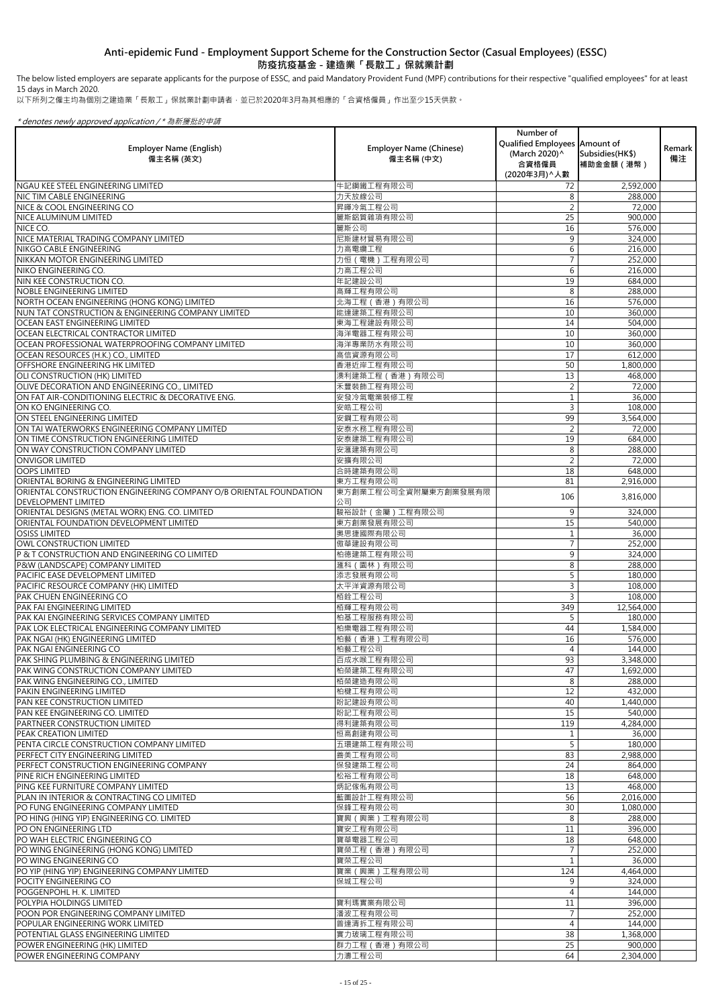The below listed employers are separate applicants for the purpose of ESSC, and paid Mandatory Provident Fund (MPF) contributions for their respective "qualified employees" for at least 15 days in March 2020.

以下所列之僱主均為個別之建造業「長散工」保就業計劃申請者,並已於2020年3月為其相應的「合資格僱員」作出至少15天供款。

| <b>Employer Name (English)</b><br>僱主名稱 (英文)                                                     | <b>Employer Name (Chinese)</b><br>僱主名稱 (中文) | Number of<br>Qualified Employees   Amount of<br>(March 2020)^<br>合資格僱員<br>(2020年3月) へ人數 | Subsidies (HK\$)<br>補助金金額 (港幣) | Remark<br>備注 |
|-------------------------------------------------------------------------------------------------|---------------------------------------------|-----------------------------------------------------------------------------------------|--------------------------------|--------------|
| NGAU KEE STEEL ENGINEERING LIMITED                                                              | 牛記鋼鐵工程有限公司                                  | 72                                                                                      | 2,592,000                      |              |
| <b>NIC TIM CABLE ENGINEERING</b>                                                                | 力天放線公司                                      | 8                                                                                       | 288,000                        |              |
| <b>NICE &amp; COOL ENGINEERING CO</b>                                                           | 昇暉冷氣工程公司                                    |                                                                                         | 72,000                         |              |
| <b>NICE ALUMINUM LIMITED</b>                                                                    | 麗斯鋁質雜項有限公司                                  | 25                                                                                      | 900,000                        |              |
| NICE CO.                                                                                        | 麗斯公司                                        | 16                                                                                      | 576,000                        |              |
| NICE MATERIAL TRADING COMPANY LIMITED                                                           | 尼斯建材貿易有限公司                                  | 9                                                                                       | 324,000                        |              |
| NIKGO CABLE ENGINEERING<br>NIKKAN MOTOR ENGINEERING LIMITED                                     | 力高電纜工程<br>力恒 ( 電機) 工程有限公司                   | 6                                                                                       | 216,000<br>252,000             |              |
| NIKO ENGINEERING CO.                                                                            | 力高工程公司                                      | 6                                                                                       | 216,000                        |              |
| NIN KEE CONSTRUCTION CO.                                                                        | 年記建設公司                                      | 19                                                                                      | 684,000                        |              |
| <b>NOBLE ENGINEERING LIMITED</b>                                                                | 高輝工程有限公司                                    | 8                                                                                       | 288,000                        |              |
| NORTH OCEAN ENGINEERING (HONG KONG) LIMITED                                                     | 北海工程 (香港) 有限公司                              | 16                                                                                      | 576,000                        |              |
| NUN TAT CONSTRUCTION & ENGINEERING COMPANY LIMITED                                              | 能達建築工程有限公司                                  | 10                                                                                      | 360,000                        |              |
| OCEAN EAST ENGINEERING LIMITED                                                                  | 東海工程建設有限公司                                  | 14                                                                                      | 504,000                        |              |
| OCEAN ELECTRICAL CONTRACTOR LIMITED                                                             | 海洋電器工程有限公司                                  | 10                                                                                      | 360,000                        |              |
| OCEAN PROFESSIONAL WATERPROOFING COMPANY LIMITED                                                | 海洋專業防水有限公司                                  | 10                                                                                      | 360,000                        |              |
| OCEAN RESOURCES (H.K.) CO., LIMITED                                                             | 高信資源有限公司                                    | 17                                                                                      | 612,000                        |              |
| OFFSHORE ENGINEERING HK LIMITED                                                                 | 香港近岸工程有限公司                                  | 50                                                                                      | 1,800,000                      |              |
| <b>OLI CONSTRUCTION (HK) LIMITED</b>                                                            | 澳利建築工程 (香港) 有限公司                            | 13                                                                                      | 468,000                        |              |
| OLIVE DECORATION AND ENGINEERING CO., LIMITED                                                   | 禾豐裝飾工程有限公司                                  |                                                                                         | 72,000                         |              |
| ON FAT AIR-CONDITIONING ELECTRIC & DECORATIVE ENG.                                              | 安發冷氣電業裝修工程                                  |                                                                                         | 36,000                         |              |
| ON KO ENGINEERING CO.                                                                           | 安皓工程公司                                      | 3                                                                                       | 108,000                        |              |
| ON STEEL ENGINEERING LIMITED                                                                    | 安鋼工程有限公司                                    | 99                                                                                      | 3,564,000                      |              |
| ON TAI WATERWORKS ENGINEERING COMPANY LIMITED                                                   | 安泰水務工程有限公司                                  |                                                                                         | 72,000                         |              |
| ON TIME CONSTRUCTION ENGINEERING LIMITED                                                        | 安泰建築工程有限公司                                  | 19                                                                                      | 684,000                        |              |
| ON WAY CONSTRUCTION COMPANY LIMITED                                                             | 安滙建築有限公司                                    | 8                                                                                       | 288,000                        |              |
| <b>ONVIGOR LIMITED</b>                                                                          | 安擴有限公司                                      |                                                                                         | 72,000                         |              |
| <b>OOPS LIMITED</b>                                                                             | 合時建築有限公司                                    | 18                                                                                      | 648,000                        |              |
| ORIENTAL BORING & ENGINEERING LIMITED                                                           | 東方工程有限公司<br>東方創業工程公司全資附屬東方創業發展有限            | 81                                                                                      | 2,916,000                      |              |
| ORIENTAL CONSTRUCTION ENGINEERING COMPANY O/B ORIENTAL FOUNDATION<br><b>DEVELOPMENT LIMITED</b> | 公司                                          | 106                                                                                     | 3,816,000                      |              |
| ORIENTAL DESIGNS (METAL WORK) ENG. CO. LIMITED                                                  | 駿裕設計 (金屬)工程有限公司                             | 9                                                                                       | 324,000                        |              |
| ORIENTAL FOUNDATION DEVELOPMENT LIMITED                                                         | 東方創業發展有限公司                                  | 15                                                                                      | 540,000                        |              |
| <b>OSISS LIMITED</b>                                                                            | 奧思捷國際有限公司                                   |                                                                                         | 36,000                         |              |
| OWL CONSTRUCTION LIMITED                                                                        | 傲華建設有限公司                                    |                                                                                         | 252,000                        |              |
| P & T CONSTRUCTION AND ENGINEERING CO LIMITED                                                   | 柏德建築工程有限公司                                  | 9                                                                                       | 324,000                        |              |
| P&W (LANDSCAPE) COMPANY LIMITED                                                                 | 滙科 (園林) 有限公司                                | 8                                                                                       | 288,000                        |              |
| PACIFIC EASE DEVELOPMENT LIMITED                                                                | 添志發展有限公司                                    |                                                                                         | 180,000                        |              |
| PACIFIC RESOURCE COMPANY (HK) LIMITED                                                           | 太平洋資源有限公司                                   | 3                                                                                       | 108,000                        |              |
| <b>PAK CHUEN ENGINEERING CO</b>                                                                 | 栢銓工程公司                                      | 3                                                                                       | 108,000                        |              |
| PAK FAI ENGINEERING LIMITED                                                                     | 栢輝工程有限公司                                    | 349                                                                                     | 12,564,000                     |              |
| PAK KAI ENGINEERING SERVICES COMPANY LIMITED                                                    | 柏基工程服務有限公司                                  | 5                                                                                       | 180,000                        |              |
| PAK LOK ELECTRICAL ENGINEERING COMPANY LIMITED                                                  | 柏樂電器工程有限公司                                  | 44                                                                                      | 1,584,000                      |              |
| PAK NGAI (HK) ENGINEERING LIMITED                                                               | 柏藝 (香港)工程有限公司                               | 16                                                                                      | 576,000                        |              |
| <b>PAK NGAI ENGINEERING CO</b>                                                                  | 柏藝工程公司                                      | 4                                                                                       | 144,000                        |              |
| PAK SHING PLUMBING & ENGINEERING LIMITED                                                        | 百成水喉工程有限公司                                  | 93                                                                                      | 3,348,000                      |              |
| PAK WING CONSTRUCTION COMPANY LIMITED                                                           | 柏榮建築工程有限公司                                  | 47                                                                                      | 1,692,000                      |              |
| PAK WING ENGINEERING CO., LIMITED<br><b>PAKIN ENGINEERING LIMITED</b>                           | 栢榮建造有限公司<br>柏楗工程有限公司                        | 8<br>12                                                                                 | 288,000                        |              |
| <b>PAN KEE CONSTRUCTION LIMITED</b>                                                             | 盼記建設有限公司                                    | 40                                                                                      | 432,000<br>1,440,000           |              |
| <b>PAN KEE ENGINEERING CO. LIMITED</b>                                                          | 盼記工程有限公司                                    | 15                                                                                      | 540,000                        |              |
| PARTNEER CONSTRUCTION LIMITED                                                                   | 得利建築有限公司                                    | 119                                                                                     | 4,284,000                      |              |
| <b>PEAK CREATION LIMITED</b>                                                                    | 恒高創建有限公司                                    |                                                                                         | 36,000                         |              |
| PENTA CIRCLE CONSTRUCTION COMPANY LIMITED                                                       | 五環建築工程有限公司                                  |                                                                                         | 180,000                        |              |
| PERFECT CITY ENGINEERING LIMITED                                                                | 善美工程有限公司                                    | 83                                                                                      | 2,988,000                      |              |
| PERFECT CONSTRUCTION ENGINEERING COMPANY                                                        | 保發建築工程公司                                    | 24                                                                                      | 864,000                        |              |
| <b>PINE RICH ENGINEERING LIMITED</b>                                                            | 松裕工程有限公司                                    | 18                                                                                      | 648,000                        |              |
| PING KEE FURNITURE COMPANY LIMITED                                                              | 炳記傢俬有限公司                                    | 13                                                                                      | 468,000                        |              |
| PLAN IN INTERIOR & CONTRACTING CO LIMITED                                                       | 藍圖設計工程有限公司                                  | 56                                                                                      | 2,016,000                      |              |
| PO FUNG ENGINEERING COMPANY LIMITED                                                             | 保鋒工程有限公司                                    | 30                                                                                      | 1,080,000                      |              |
| PO HING (HING YIP) ENGINEERING CO. LIMITED                                                      | 寶興(興業)工程有限公司                                | 8                                                                                       | 288,000                        |              |
| PO ON ENGINEERING LTD                                                                           | 寶安工程有限公司                                    | 11                                                                                      | 396,000                        |              |
| PO WAH ELECTRIC ENGINEERING CO                                                                  | 寶華電器工程公司                                    | 18                                                                                      | 648,000                        |              |
| PO WING ENGINEERING (HONG KONG) LIMITED                                                         | 寶榮工程 (香港) 有限公司                              |                                                                                         | 252,000                        |              |
| PO WING ENGINEERING CO                                                                          | 寶荣工程公司                                      |                                                                                         | 36,000                         |              |
| PO YIP (HING YIP) ENGINEERING COMPANY LIMITED                                                   | 寶業 (興業)工程有限公司                               | 124                                                                                     | 4,464,000                      |              |
| POCITY ENGINEERING CO<br>POGGENPOHL H. K. LIMITED                                               | 保城工程公司                                      | 9<br>4                                                                                  | 324,000<br>144,000             |              |
| POLYPIA HOLDINGS LIMITED                                                                        | 寶利瑪實業有限公司                                   | 11                                                                                      | 396,000                        |              |
| POON POR ENGINEERING COMPANY LIMITED                                                            | 潘波工程有限公司                                    |                                                                                         | 252,000                        |              |
| POPULAR ENGINEERING WORK LIMITED                                                                | 普達清拆工程有限公司                                  | 4                                                                                       | 144,000                        |              |
| POTENTIAL GLASS ENGINEERING LIMITED                                                             | 實力玻璃工程有限公司                                  | 38                                                                                      | 1,368,000                      |              |
| POWER ENGINEERING (HK) LIMITED                                                                  | 群力工程 (香港) 有限公司                              | 25                                                                                      | 900,000                        |              |
| POWER ENGINEERING COMPANY                                                                       | 力濤工程公司                                      | 64                                                                                      | 2,304,000                      |              |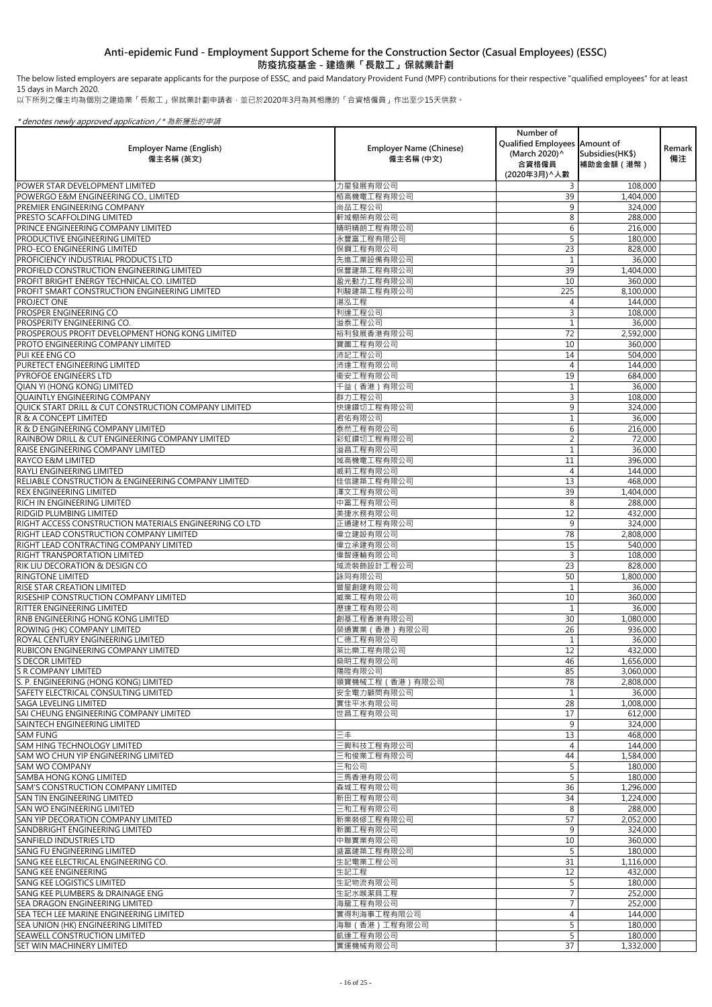The below listed employers are separate applicants for the purpose of ESSC, and paid Mandatory Provident Fund (MPF) contributions for their respective "qualified employees" for at least 15 days in March 2020.

以下所列之僱主均為個別之建造業「長散工」保就業計劃申請者,並已於2020年3月為其相應的「合資格僱員」作出至少15天供款。

| <b>Employer Name (English)</b><br>僱主名稱 (英文)            | <b>Employer Name (Chinese)</b><br>僱主名稱 (中文) | Number of<br>Qualified Employees Amount of<br>(March 2020)^<br>合資格僱員<br>(2020年3月) へ人數 | Subsidies (HK\$)<br>補助金金額 (港幣) | Remark<br>備注 |
|--------------------------------------------------------|---------------------------------------------|---------------------------------------------------------------------------------------|--------------------------------|--------------|
| POWER STAR DEVELOPMENT LIMITED                         | 力星發展有限公司                                    | 3                                                                                     | 108,000                        |              |
| POWERGO E&M ENGINEERING CO., LIMITED                   | 栢高機電工程有限公司                                  | 39                                                                                    | 1,404,000                      |              |
| PREMIER ENGINEERING COMPANY                            | 尚品工程公司                                      | 9                                                                                     | 324,000                        |              |
| IPRESTO SCAFFOLDING LIMITED                            | 軒域棚架有限公司                                    | 8                                                                                     | 288,000                        |              |
| <b>PRINCE ENGINEERING COMPANY LIMITED</b>              | 精明精朗工程有限公司                                  | 6                                                                                     | 216,000                        |              |
| <b>PRODUCTIVE ENGINEERING LIMITED</b>                  | 永豐富工程有限公司                                   |                                                                                       | 180,000                        |              |
| <b>PRO-ECO ENGINEERING LIMITED</b>                     | 保鋼工程有限公司                                    | 23                                                                                    | 828,000                        |              |
| PROFICIENCY INDUSTRIAL PRODUCTS LTD                    | 先進工業設備有限公司                                  |                                                                                       | 36,000                         |              |
| <b>PROFIELD CONSTRUCTION ENGINEERING LIMITED</b>       | 保豐建築工程有限公司                                  | 39                                                                                    | 1,404,000                      |              |
| PROFIT BRIGHT ENERGY TECHNICAL CO. LIMITED             | 盈光動力工程有限公司                                  | 10                                                                                    | 360,000                        |              |
| PROFIT SMART CONSTRUCTION ENGINEERING LIMITED          | 利駿建築工程有限公司                                  | 225                                                                                   | 8,100,000                      |              |
| <b>PROJECT ONE</b>                                     | 湛泓工程                                        |                                                                                       | 144,000                        |              |
| <b>PROSPER ENGINEERING CO</b>                          | 利達工程公司                                      | 3                                                                                     | 108,000                        |              |
| PROSPERITY ENGINEERING CO.                             | 溢泰工程公司                                      |                                                                                       | 36,000                         |              |
| PROSPEROUS PROFIT DEVELOPMENT HONG KONG LIMITED        | 裕利發展香港有限公司                                  | 72                                                                                    | 2,592,000                      |              |
| <b>PROTO ENGINEERING COMPANY LIMITED</b>               | 寶圖工程有限公司                                    | 10                                                                                    | 360,000                        |              |
| PUI KEE ENG CO                                         | 沛記工程公司                                      | 14                                                                                    | 504,000                        |              |
| <b>PURETECT ENGINEERING LIMITED</b>                    | 沛達工程有限公司                                    | 4                                                                                     | 144,000                        |              |
| <b>PYROFOE ENGINEERS LTD</b>                           | 衞安工程有限公司                                    | 19                                                                                    | 684,000                        |              |
| QIAN YI (HONG KONG) LIMITED                            | 千益 (香港) 有限公司                                |                                                                                       | 36,000                         |              |
| <b>QUAINTLY ENGINEERING COMPANY</b>                    | 群力工程公司                                      | 3                                                                                     | 108,000                        |              |
| OUICK START DRILL & CUT CONSTRUCTION COMPANY LIMITED   | 快達鑽切工程有限公司                                  | 9                                                                                     | 324,000                        |              |
| R & A CONCEPT LIMITED                                  | 君佑有限公司                                      |                                                                                       | 36,000                         |              |
| R & D ENGINEERING COMPANY LIMITED                      | 泰然工程有限公司                                    | 6                                                                                     | 216,000                        |              |
| RAINBOW DRILL & CUT ENGINEERING COMPANY LIMITED        | 彩虹鑽切工程有限公司                                  | $\overline{2}$                                                                        | 72,000                         |              |
| <b>RAISE ENGINEERING COMPANY LIMITED</b>               | 溢昌工程有限公司                                    |                                                                                       | 36,000                         |              |
| <b>RAYCO E&amp;M LIMITED</b>                           | 域高機電工程有限公司                                  | 11                                                                                    | 396,000                        |              |
| <b>RAYLI ENGINEERING LIMITED</b>                       | 威莉工程有限公司                                    |                                                                                       | 144,000                        |              |
| RELIABLE CONSTRUCTION & ENGINEERING COMPANY LIMITED    | 佳信建築工程有限公司                                  | 13                                                                                    | 468,000                        |              |
| <b>REX ENGINEERING LIMITED</b>                         | 澤文工程有限公司                                    | 39                                                                                    | 1,404,000                      |              |
| <b>RICH IN ENGINEERING LIMITED</b>                     | 中富工程有限公司                                    | 8                                                                                     | 288,000                        |              |
| <b>RIDGID PLUMBING LIMITED</b>                         | 美捷水務有限公司                                    | 12                                                                                    | 432,000                        |              |
| RIGHT ACCESS CONSTRUCTION MATERIALS ENGINEERING CO LTD | 正通建材工程有限公司                                  | 9                                                                                     | 324,000                        |              |
| <b>RIGHT LEAD CONSTRUCTION COMPANY LIMITED</b>         | 偉立建設有限公司                                    | 78                                                                                    | 2,808,000                      |              |
| RIGHT LEAD CONTRACTING COMPANY LIMITED                 | 偉立承建有限公司                                    | 15                                                                                    | 540,000                        |              |
| <b>RIGHT TRANSPORTATION LIMITED</b>                    | 偉智運輸有限公司                                    | 3                                                                                     | 108,000                        |              |
| <b>IRIK LIU DECORATION &amp; DESIGN CO</b>             | 域流裝飾設計工程公司                                  | 23                                                                                    | 828,000                        |              |
| <b>RINGTONE LIMITED</b>                                | 詠同有限公司                                      | 50                                                                                    | 1,800,000                      |              |
| <b>RISE STAR CREATION LIMITED</b>                      | 晉星創建有限公司                                    |                                                                                       | 36,000                         |              |
| <b>IRISESHIP CONSTRUCTION COMPANY LIMITED</b>          | 威業工程有限公司                                    | 10                                                                                    | 360,000                        |              |
| <b>RITTER ENGINEERING LIMITED</b>                      | 歷達工程有限公司                                    |                                                                                       | 36,000                         |              |
| <b>RNB ENGINEERING HONG KONG LIMITED</b>               | 創基工程香港有限公司                                  | 30                                                                                    | 1,080,000                      |              |
| <b>ROWING (HK) COMPANY LIMITED</b>                     | 榮通實業 (香港) 有限公司                              | 26                                                                                    | 936,000                        |              |
| IROYAL CENTURY ENGINEERING LIMITED                     | 仁德工程有限公司                                    |                                                                                       | 36,000                         |              |
| RUBICON ENGINEERING COMPANY LIMITED                    | 萊比樂工程有限公司                                   | 12                                                                                    | 432,000                        |              |
| <b>S DECOR LIMITED</b>                                 | 燊明工程有限公司                                    | 46                                                                                    | 1,656,000                      |              |
| <b>S R COMPANY LIMITED</b>                             | 陽陞有限公司                                      | 85                                                                                    | 3,060,000                      |              |
| S. P. ENGINEERING (HONG KONG) LIMITED                  | 順寶機械工程 (香港)有限公司                             | 78                                                                                    | 2,808,000                      |              |
| <b>SAFETY ELECTRICAL CONSULTING LIMITED</b>            | 安全電力顧問有限公司                                  |                                                                                       | 36,000                         |              |
| <b>I</b> SAGA LEVELING LIMITED                         | 實佳平水有限公司                                    | 28                                                                                    | 1,008,000                      |              |
| SAI CHEUNG ENGINEERING COMPANY LIMITED                 | 世昌工程有限公司                                    | 17                                                                                    | 612,000                        |              |
| <b>SAINTECH ENGINEERING LIMITED</b>                    |                                             | 9                                                                                     | 324,000                        |              |
| <b>SAM FUNG</b>                                        | 三丰                                          | 13                                                                                    | 468,000                        |              |
| <b>SAM HING TECHNOLOGY LIMITED</b>                     | 三興科技工程有限公司                                  |                                                                                       | 144,000                        |              |
| <b>ISAM WO CHUN YIP ENGINEERING LIMITED</b>            | 三和俊業工程有限公司                                  | 44                                                                                    | 1,584,000                      |              |
| ISAM WO COMPANY                                        | 三和公司                                        | 5                                                                                     | 180,000                        |              |
| <b>SAMBA HONG KONG LIMITED</b>                         | 三馬香港有限公司                                    |                                                                                       | 180,000                        |              |
| ISAM'S CONSTRUCTION COMPANY LIMITED                    | 森城工程有限公司                                    | 36                                                                                    | 1,296,000                      |              |
| <b>SAN TIN ENGINEERING LIMITED</b>                     | 新田工程有限公司                                    | 34                                                                                    | 1,224,000                      |              |
| <b>SAN WO ENGINEERING LIMITED</b>                      | 三和工程有限公司                                    | 8                                                                                     | 288,000                        |              |
| <b>SAN YIP DECORATION COMPANY LIMITED</b>              | 新業裝修工程有限公司                                  | 57                                                                                    | 2,052,000                      |              |
| <b>SANDBRIGHT ENGINEERING LIMITED</b>                  | 新圖工程有限公司                                    | 9                                                                                     | 324,000                        |              |
| <b>SANFIELD INDUSTRIES LTD</b>                         | 中聯實業有限公司                                    | 10                                                                                    | 360,000                        |              |
| <b>SANG FU ENGINEERING LIMITED</b>                     | 盛富建築工程有限公司                                  |                                                                                       | 180,000                        |              |
| SANG KEE ELECTRICAL ENGINEERING CO.                    | 生記電業工程公司                                    | 31                                                                                    | 1,116,000                      |              |
| <b>SANG KEE ENGINEERING</b>                            | 生記工程                                        | 12                                                                                    | 432,000                        |              |
| <b>SANG KEE LOGISTICS LIMITED</b>                      | 生記物流有限公司                                    |                                                                                       | 180,000                        |              |
| ISANG KEE PLUMBERS & DRAINAGE ENG                      | 生記水喉潔具工程                                    |                                                                                       | 252,000                        |              |
| ISEA DRAGON ENGINEERING LIMITED                        | 海龍工程有限公司                                    |                                                                                       | 252,000                        |              |
| SEA TECH LEE MARINE ENGINEERING LIMITED                | 實得利海事工程有限公司                                 |                                                                                       | 144,000                        |              |
| SEA UNION (HK) ENGINEERING LIMITED                     | 海聯 (香港)工程有限公司                               |                                                                                       | 180,000                        |              |
| <b>SEAWELL CONSTRUCTION LIMITED</b>                    | 凱達工程有限公司                                    |                                                                                       | 180,000                        |              |
| <b>SET WIN MACHINERY LIMITED</b>                       | 實運機械有限公司                                    | 37                                                                                    | 1,332,000                      |              |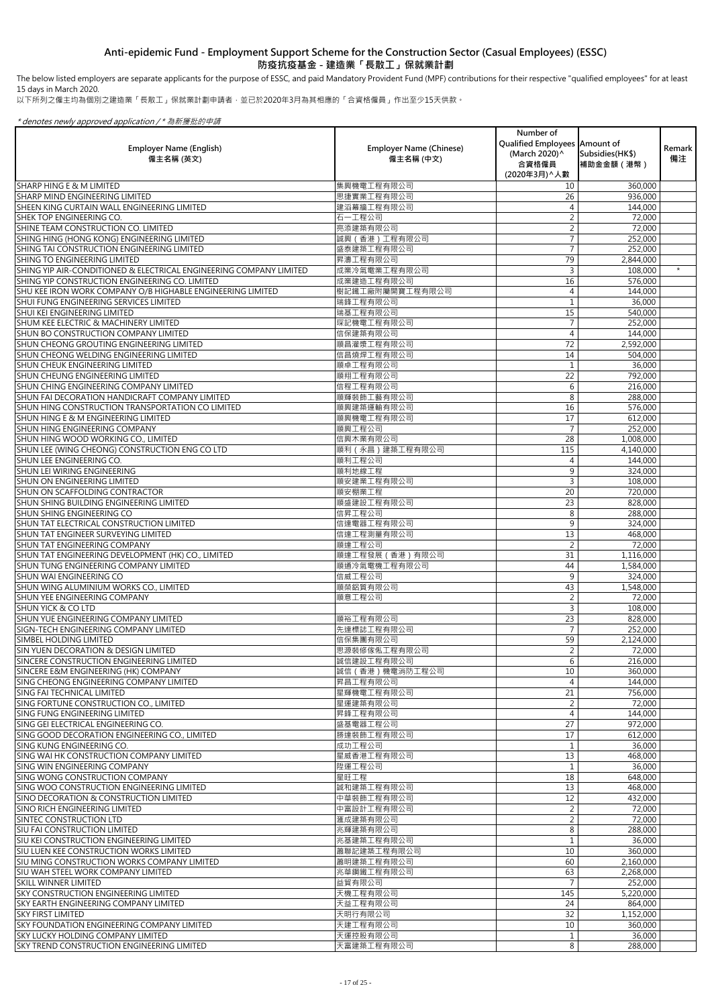以下所列之僱主均為個別之建造業「長散工」保就業計劃申請者,並已於2020年3月為其相應的「合資格僱員」作出至少15天供款。

### \* denotes newly approved application / \* 為新獲批的申請

|                                                                                         | <b>Employer Name (Chinese)</b> | Number of<br>Qualified Employees Amount of |                                | <b>Remark</b> |
|-----------------------------------------------------------------------------------------|--------------------------------|--------------------------------------------|--------------------------------|---------------|
| <b>Employer Name (English)</b><br>僱主名稱 (英文)                                             | 僱主名稱 (中文)                      | (March 2020) ^<br>合資格僱員<br>(2020年3月) ^ 人數  | Subsidies (HK\$)<br>補助金金額 (港幣) | 備注            |
| <b>SHARP HING E &amp; M LIMITED</b>                                                     | 集興機電工程有限公司                     | 10 <sup>°</sup>                            | 360,000                        |               |
| <b>SHARP MIND ENGINEERING LIMITED</b>                                                   | 思捷實業工程有限公司                     | 26                                         | 936,000                        |               |
| SHEEN KING CURTAIN WALL ENGINEERING LIMITED                                             | 建滔幕牆工程有限公司                     |                                            | 144,000                        |               |
| <b>SHEK TOP ENGINEERING CO.</b>                                                         | 石一工程公司                         |                                            | 72,000                         |               |
| SHINE TEAM CONSTRUCTION CO. LIMITED<br>SHING HING (HONG KONG) ENGINEERING LIMITED       | 亮添建築有限公司<br>誠興 (香港)工程有限公司      |                                            | 72,000<br>252,000              |               |
| SHING TAI CONSTRUCTION ENGINEERING LIMITED                                              | 盛泰建築工程有限公司                     |                                            | 252,000                        |               |
| <b>SHING TO ENGINEERING LIMITED</b>                                                     | 昇濤工程有限公司                       | 79                                         | 2,844,000                      |               |
| SHING YIP AIR-CONDITIONED & ELECTRICAL ENGINEERING COMPANY LIMITED                      | 成業冷氣電業工程有限公司                   | 3                                          | 108,000                        | $\star$       |
| SHING YIP CONSTRUCTION ENGINEERING CO. LIMITED                                          | 成業建造工程有限公司                     | 16                                         | 576,000                        |               |
| SHU KEE IRON WORK COMPANY O/B HIGHABLE ENGINEERING LIMITED                              | 樹記鐵工廠附屬開寶工程有限公司                | 4                                          | 144,000                        |               |
| <b>SHUI FUNG ENGINEERING SERVICES LIMITED</b>                                           | 瑞鋒工程有限公司                       |                                            | 36,000                         |               |
| <b>SHUI KEI ENGINEERING LIMITED</b>                                                     | 瑞基工程有限公司                       | 15                                         | 540,000                        |               |
| SHUM KEE ELECTRIC & MACHINERY LIMITED<br><b>SHUN BO CONSTRUCTION COMPANY LIMITED</b>    | 琛記機電工程有限公司<br>信保建築有限公司         | 4                                          | 252,000<br>144,000             |               |
| SHUN CHEONG GROUTING ENGINEERING LIMITED                                                | 順昌灌漿工程有限公司                     | 72                                         | 2,592,000                      |               |
| SHUN CHEONG WELDING ENGINEERING LIMITED                                                 | 信昌燒焊工程有限公司                     | 14                                         | 504,000                        |               |
| <b>SHUN CHEUK ENGINEERING LIMITED</b>                                                   | 順卓工程有限公司                       |                                            | 36,000                         |               |
| <b>SHUN CHEUNG ENGINEERING LIMITED</b>                                                  | 順翔工程有限公司                       | 22                                         | 792,000                        |               |
| SHUN CHING ENGINEERING COMPANY LIMITED                                                  | 信程工程有限公司                       | 6                                          | 216,000                        |               |
| SHUN FAI DECORATION HANDICRAFT COMPANY LIMITED                                          | 順輝裝飾工藝有限公司                     | 8                                          | 288,000                        |               |
| SHUN HING CONSTRUCTION TRANSPORTATION CO LIMITED                                        | 順興建築運輸有限公司                     | 16                                         | 576,000                        |               |
| <b>SHUN HING E &amp; M ENGINEERING LIMITED</b>                                          | 順興機電工程有限公司                     | 17                                         | 612,000                        |               |
| <b>SHUN HING ENGINEERING COMPANY</b>                                                    | 順興工程公司                         | 28                                         | 252,000                        |               |
| SHUN HING WOOD WORKING CO., LIMITED<br>SHUN LEE (WING CHEONG) CONSTRUCTION ENG CO LTD   | 信興木業有限公司<br>順利(永昌)建築工程有限公司     | 115                                        | 1,008,000<br>4,140,000         |               |
| <b>SHUN LEE ENGINEERING CO.</b>                                                         | 順利工程公司                         |                                            | 144,000                        |               |
| <b>SHUN LEI WIRING ENGINEERING</b>                                                      | 順利地線工程                         | 9                                          | 324,000                        |               |
| <b>SHUN ON ENGINEERING LIMITED</b>                                                      | 順安建業工程有限公司                     | 3                                          | 108,000                        |               |
| <b>SHUN ON SCAFFOLDING CONTRACTOR</b>                                                   | 順安棚業工程                         | 20                                         | 720,000                        |               |
| SHUN SHING BUILDING ENGINEERING LIMITED                                                 | 順盛建設工程有限公司                     | 23                                         | 828,000                        |               |
| <b>SHUN SHING ENGINEERING CO</b>                                                        | 信昇工程公司                         | 8                                          | 288,000                        |               |
| SHUN TAT ELECTRICAL CONSTRUCTION LIMITED                                                | 信達電器工程有限公司                     | 9                                          | 324,000                        |               |
| SHUN TAT ENGINEER SURVEYING LIMITED<br><b>SHUN TAT ENGINEERING COMPANY</b>              | 信達工程測量有限公司                     | 13                                         | 468,000                        |               |
| SHUN TAT ENGINEERING DEVELOPMENT (HK) CO., LIMITED                                      | 順達工程公司<br>順達工程發展(香港)有限公司       | 31                                         | 72,000<br>1,116,000            |               |
| SHUN TUNG ENGINEERING COMPANY LIMITED                                                   | 順通冷氣電機工程有限公司                   | 44                                         | 1,584,000                      |               |
| <b>SHUN WAI ENGINEERING CO</b>                                                          | 信威工程公司                         | 9                                          | 324,000                        |               |
| SHUN WING ALUMINIUM WORKS CO., LIMITED                                                  | 順榮鋁質有限公司                       | 43                                         | 1,548,000                      |               |
| <b>SHUN YEE ENGINEERING COMPANY</b>                                                     | 順意工程公司                         |                                            | 72,000                         |               |
| <b>SHUN YICK &amp; CO LTD</b>                                                           |                                |                                            | 108,000                        |               |
| SHUN YUE ENGINEERING COMPANY LIMITED                                                    | 順裕工程有限公司                       | 23                                         | 828,000                        |               |
| <b>SIGN-TECH ENGINEERING COMPANY LIMITED</b><br><b>SIMBEL HOLDING LIMITED</b>           | 先達標誌工程有限公司<br>信保集團有限公司         |                                            | 252,000                        |               |
| <b>SIN YUEN DECORATION &amp; DESIGN LIMITED</b>                                         | 思源裝修傢俬工程有限公司                   | 59                                         | 2,124,000<br>72,000            |               |
| SINCERE CONSTRUCTION ENGINEERING LIMITED                                                | 誠信建設工程有限公司                     | 6                                          | 216,000                        |               |
| SINCERE E&M ENGINEERING (HK) COMPANY                                                    | 誠信 (香港)機電消防工程公司                | 10                                         | 360,000                        |               |
| SING CHEONG ENGINEERING COMPANY LIMITED                                                 | 昇昌工程有限公司                       | 4                                          | 144,000                        |               |
| <b>SING FAI TECHNICAL LIMITED</b>                                                       | 星輝機電工程有限公司                     | 21                                         | 756,000                        |               |
| SING FORTUNE CONSTRUCTION CO., LIMITED                                                  | 星運建築有限公司                       | $\overline{2}$                             | 72,000                         |               |
| SING FUNG ENGINEERING LIMITED                                                           | 昇鋒工程有限公司                       | $\overline{4}$                             | 144,000                        |               |
| SING GEI ELECTRICAL ENGINEERING CO.                                                     | 盛基電器工程公司                       | 27<br>17                                   | 972,000                        |               |
| SING GOOD DECORATION ENGINEERING CO., LIMITED<br>SING KUNG ENGINEERING CO.              | 勝達裝飾工程有限公司<br>成功工程公司           |                                            | 612,000<br>36,000              |               |
| <b>SING WAI HK CONSTRUCTION COMPANY LIMITED</b>                                         | 星威香港工程有限公司                     | 13                                         | 468,000                        |               |
| <b>SING WIN ENGINEERING COMPANY</b>                                                     | 陞運工程公司                         | $\mathbf{1}$                               | 36,000                         |               |
| ISING WONG CONSTRUCTION COMPANY                                                         | 星旺工程                           | 18                                         | 648,000                        |               |
| SING WOO CONSTRUCTION ENGINEERING LIMITED                                               | 誠和建築工程有限公司                     | 13                                         | 468,000                        |               |
| <b>SINO DECORATION &amp; CONSTRUCTION LIMITED</b>                                       | 中華裝飾工程有限公司                     | 12                                         | 432,000                        |               |
| <b>SINO RICH ENGINEERING LIMITED</b>                                                    | 中富設計工程有限公司                     | 2                                          | 72,000                         |               |
| ISINTEC CONSTRUCTION LTD                                                                | 滙成建築有限公司                       | 2                                          | 72,000                         |               |
| ISIU FAI CONSTRUCTION LIMITED<br><b>SIU KEI CONSTRUCTION ENGINEERING LIMITED</b>        | 兆輝建築有限公司<br>兆基建築工程有限公司         | 8                                          | 288,000<br>36,000              |               |
| <b>SIU LUEN KEE CONSTRUCTION WORKS LIMITED</b>                                          | 蕭聯記建築工程有限公司                    | 10                                         | 360,000                        |               |
| ISIU MING CONSTRUCTION WORKS COMPANY LIMITED                                            | 蕭明建築工程有限公司                     | 60                                         | 2,160,000                      |               |
| ISIU WAH STEEL WORK COMPANY LIMITED                                                     | 兆華鋼鐵工程有限公司                     | 63                                         | 2,268,000                      |               |
| Iskill winner limited                                                                   | 益貿有限公司                         |                                            | 252,000                        |               |
| <b>ISKY CONSTRUCTION ENGINEERING LIMITED</b>                                            | 天機工程有限公司                       | 145                                        | 5,220,000                      |               |
| ISKY EARTH ENGINEERING COMPANY LIMITED                                                  | 天益工程有限公司                       | 24                                         | 864,000                        |               |
| <b>SKY FIRST LIMITED</b>                                                                | 天明行有限公司                        | 32                                         | 1,152,000                      |               |
| <b>SKY FOUNDATION ENGINEERING COMPANY LIMITED</b>                                       | 天建工程有限公司<br>天運控股有限公司           | 10                                         | 360,000                        |               |
| <b>ISKY LUCKY HOLDING COMPANY LIMITED</b><br>SKY TREND CONSTRUCTION ENGINEERING LIMITED | 天富建築工程有限公司                     | 8 <sup>1</sup>                             | 36,000<br>288,000              |               |
|                                                                                         |                                |                                            |                                |               |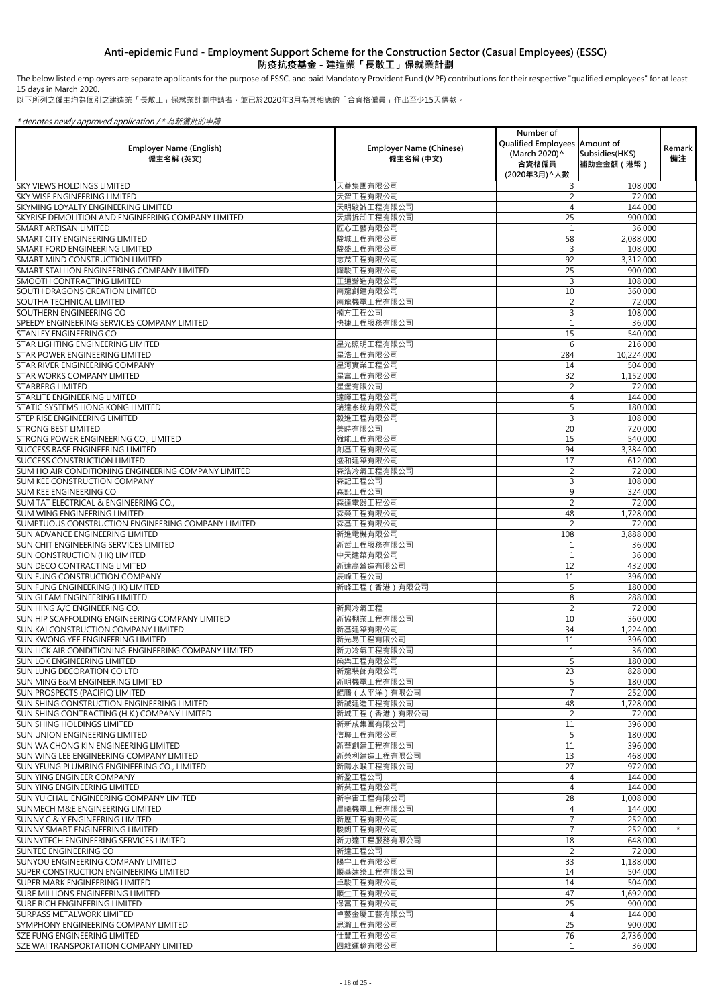The below listed employers are separate applicants for the purpose of ESSC, and paid Mandatory Provident Fund (MPF) contributions for their respective "qualified employees" for at least 15 days in March 2020.

以下所列之僱主均為個別之建造業「長散工」保就業計劃申請者,並已於2020年3月為其相應的「合資格僱員」作出至少15天供款。

| <b>Employer Name (English)</b><br>僱主名稱 (英文)                                            | <b>Employer Name (Chinese)</b><br>僱主名稱 (中文) | Number of<br>Qualified Employees Amount of<br>(March 2020) ^<br>合資格僱員<br>(2020年3月) ^ 人數 | Subsidies (HK\$)<br>補助金金額 (港幣) | Remark<br>備注 |
|----------------------------------------------------------------------------------------|---------------------------------------------|-----------------------------------------------------------------------------------------|--------------------------------|--------------|
| <b>SKY VIEWS HOLDINGS LIMITED</b>                                                      | 天薈集團有限公司                                    | $\mathsf{3}$                                                                            | 108,000                        |              |
| <b>SKY WISE ENGINEERING LIMITED</b>                                                    | 天智工程有限公司                                    |                                                                                         | 72,000                         |              |
| <b>SKYMING LOYALTY ENGINEERING LIMITED</b>                                             | 天明駿誠工程有限公司                                  | 4                                                                                       | 144,000                        |              |
| SKYRISE DEMOLITION AND ENGINEERING COMPANY LIMITED                                     | 天縉拆卸工程有限公司                                  | 25                                                                                      | 900,000                        |              |
| <b>SMART ARTISAN LIMITED</b>                                                           | 匠心工藝有限公司                                    |                                                                                         | 36,000                         |              |
| <b>SMART CITY ENGINEERING LIMITED</b>                                                  | 駿城工程有限公司                                    | 58                                                                                      | 2,088,000                      |              |
| SMART FORD ENGINEERING LIMITED                                                         | 駿盛工程有限公司                                    | 3                                                                                       | 108,000                        |              |
| <b>SMART MIND CONSTRUCTION LIMITED</b>                                                 | 志茂工程有限公司                                    | 92                                                                                      | 3,312,000                      |              |
| SMART STALLION ENGINEERING COMPANY LIMITED<br><b>SMOOTH CONTRACTING LIMITED</b>        | 耀駿工程有限公司<br>正通營造有限公司                        | 25<br>3                                                                                 | 900,000<br>108,000             |              |
| <b>SOUTH DRAGONS CREATION LIMITED</b>                                                  | 南龍創建有限公司                                    | 10                                                                                      | 360,000                        |              |
| <b>SOUTHA TECHNICAL LIMITED</b>                                                        | 南龍機電工程有限公司                                  | 2                                                                                       | 72,000                         |              |
| SOUTHERN ENGINEERING CO                                                                | 楠方工程公司                                      | $\mathsf{3}$                                                                            | 108,000                        |              |
| SPEEDY ENGINEERING SERVICES COMPANY LIMITED                                            | 快捷工程服務有限公司                                  |                                                                                         | 36,000                         |              |
| <b>STANLEY ENGINEERING CO</b>                                                          |                                             | 15                                                                                      | 540,000                        |              |
| <b>STAR LIGHTING ENGINEERING LIMITED</b>                                               | 星光照明工程有限公司                                  | 6                                                                                       | 216,000                        |              |
| <b>STAR POWER ENGINEERING LIMITED</b>                                                  | 星浩工程有限公司                                    | 284                                                                                     | 10,224,000                     |              |
| <b>STAR RIVER ENGINEERING COMPANY</b>                                                  | 星河實業工程公司                                    | 14                                                                                      | 504,000                        |              |
| <b>STAR WORKS COMPANY LIMITED</b>                                                      | 星富工程有限公司                                    | 32                                                                                      | 1,152,000                      |              |
| <b>STARBERG LIMITED</b>                                                                | 星堡有限公司                                      | 2                                                                                       | 72,000                         |              |
| <b>STARLITE ENGINEERING LIMITED</b>                                                    | 達暉工程有限公司                                    | 4                                                                                       | 144,000                        |              |
| <b>STATIC SYSTEMS HONG KONG LIMITED</b>                                                | 瑞達系統有限公司                                    | 5                                                                                       | 180,000                        |              |
| <b>STEP RISE ENGINEERING LIMITED</b>                                                   | 毅進工程有限公司                                    | 3                                                                                       | 108,000                        |              |
| <b>STRONG BEST LIMITED</b><br>STRONG POWER ENGINEERING CO., LIMITED                    | 美時有限公司<br>強能工程有限公司                          | 20<br>15                                                                                | 720,000<br>540,000             |              |
| <b>SUCCESS BASE ENGINEERING LIMITED</b>                                                | 創基工程有限公司                                    | 94                                                                                      | 3,384,000                      |              |
| <b>SUCCESS CONSTRUCTION LIMITED</b>                                                    | 盛和建築有限公司                                    | 17                                                                                      | 612,000                        |              |
| SUM HO AIR CONDITIONING ENGINEERING COMPANY LIMITED                                    | 森浩冷氣工程有限公司                                  |                                                                                         | 72,000                         |              |
| <b>SUM KEE CONSTRUCTION COMPANY</b>                                                    | 森記工程公司                                      | 3                                                                                       | 108,000                        |              |
| <b>SUM KEE ENGINEERING CO</b>                                                          | 森記工程公司                                      | 9                                                                                       | 324,000                        |              |
| SUM TAT ELECTRICAL & ENGINEERING CO.,                                                  | 森達電器工程公司                                    | $\overline{2}$                                                                          | 72,000                         |              |
| <b>SUM WING ENGINEERING LIMITED</b>                                                    | 森榮工程有限公司                                    | 48                                                                                      | 1,728,000                      |              |
| SUMPTUOUS CONSTRUCTION ENGINEERING COMPANY LIMITED                                     | 森基工程有限公司                                    | $\overline{2}$                                                                          | 72,000                         |              |
| <b>SUN ADVANCE ENGINEERING LIMITED</b>                                                 | 新進電機有限公司                                    | 108                                                                                     | 3,888,000                      |              |
| <b>SUN CHIT ENGINEERING SERVICES LIMITED</b>                                           | 新哲工程服務有限公司                                  |                                                                                         | 36,000                         |              |
| <b>SUN CONSTRUCTION (HK) LIMITED</b>                                                   | 中天建築有限公司                                    |                                                                                         | 36,000                         |              |
| <b>SUN DECO CONTRACTING LIMITED</b>                                                    | 新達高營造有限公司                                   | 12                                                                                      | 432,000                        |              |
| <b>SUN FUNG CONSTRUCTION COMPANY</b><br><b>SUN FUNG ENGINEERING (HK) LIMITED</b>       | 辰峰工程公司<br>新峰工程 (香港) 有限公司                    | 11<br>5                                                                                 | 396,000<br>180,000             |              |
| <b>SUN GLEAM ENGINEERING LIMITED</b>                                                   |                                             | 8                                                                                       | 288,000                        |              |
| SUN HING A/C ENGINEERING CO.                                                           | 新興冷氣工程                                      |                                                                                         | 72,000                         |              |
| SUN HIP SCAFFOLDING ENGINEERING COMPANY LIMITED                                        | 新協棚業工程有限公司                                  | 10                                                                                      | 360,000                        |              |
| <b>SUN KAI CONSTRUCTION COMPANY LIMITED</b>                                            | 新基建築有限公司                                    | 34                                                                                      | 1,224,000                      |              |
| <b>SUN KWONG YEE ENGINEERING LIMITED</b>                                               | 新光易工程有限公司                                   | 11                                                                                      | 396,000                        |              |
| SUN LICK AIR CONDITIONING ENGINEERING COMPANY LIMITED                                  | 新力冷氣工程有限公司                                  |                                                                                         | 36,000                         |              |
| <b>SUN LOK ENGINEERING LIMITED</b>                                                     | 燊樂工程有限公司                                    | 5                                                                                       | 180,000                        |              |
| <b>SUN LUNG DECORATION CO LTD</b>                                                      | 新龍裝飾有限公司                                    | 23                                                                                      | 828,000                        |              |
| <b>SUN MING E&amp;M ENGINEERING LIMITED</b>                                            | 新明機電工程有限公司                                  | 5                                                                                       | 180,000                        |              |
| <b>SUN PROSPECTS (PACIFIC) LIMITED</b>                                                 | 鯤鵬 (太平洋) 有限公司                               |                                                                                         | 252,000                        |              |
| <b>SUN SHING CONSTRUCTION ENGINEERING LIMITED</b>                                      | 新誠建造工程有限公司                                  | 48                                                                                      | 1,728,000                      |              |
| SUN SHING CONTRACTING (H.K.) COMPANY LIMITED                                           | 新城工程 (香港) 有限公司                              | $\overline{2}$                                                                          | 72,000                         |              |
| <b>SUN SHING HOLDINGS LIMITED</b><br><b>SUN UNION ENGINEERING LIMITED</b>              | 新新成集團有限公司<br>信聯工程有限公司                       | 11<br>5                                                                                 | 396,000<br>180,000             |              |
| <b>SUN WA CHONG KIN ENGINEERING LIMITED</b>                                            | 新華創建工程有限公司                                  | 11                                                                                      | 396,000                        |              |
| <b>SUN WING LEE ENGINEERING COMPANY LIMITED</b>                                        | 新榮利建造工程有限公司                                 | 13                                                                                      | 468,000                        |              |
| SUN YEUNG PLUMBING ENGINEERING CO., LIMITED                                            | 新陽水喉工程有限公司                                  | 27                                                                                      | 972,000                        |              |
| ISUN YING ENGINEER COMPANY                                                             | 新盈工程公司                                      | 4                                                                                       | 144,000                        |              |
| <b>SUN YING ENGINEERING LIMITED</b>                                                    | 新英工程有限公司                                    | 4                                                                                       | 144,000                        |              |
| SUN YU CHAU ENGINEERING COMPANY LIMITED                                                | 新宇宙工程有限公司                                   | 28                                                                                      | 1,008,000                      |              |
| <b>SUNMECH M&amp;E ENGINEERING LIMITED</b>                                             | 晨曦機電工程有限公司                                  | 4                                                                                       | 144,000                        |              |
| <b>SUNNY C &amp; Y ENGINEERING LIMITED</b>                                             | 新歷工程有限公司                                    |                                                                                         | 252,000                        |              |
| <b>SUNNY SMART ENGINEERING LIMITED</b>                                                 | 駿朗工程有限公司                                    |                                                                                         | 252,000                        | $\star$      |
| SUNNYTECH ENGINEERING SERVICES LIMITED                                                 | 新力達工程服務有限公司                                 | 18                                                                                      | 648,000                        |              |
| <b>SUNTEC ENGINEERING CO</b>                                                           | 新達工程公司                                      | $\overline{2}$                                                                          | 72,000                         |              |
| <b>SUNYOU ENGINEERING COMPANY LIMITED</b>                                              | 陽宇工程有限公司                                    | 33                                                                                      | 1,188,000                      |              |
| <b>SUPER CONSTRUCTION ENGINEERING LIMITED</b><br><b>SUPER MARK ENGINEERING LIMITED</b> | 順基建築工程有限公司<br>卓駿工程有限公司                      | 14<br>14                                                                                | 504,000<br>504,000             |              |
| <b>SURE MILLIONS ENGINEERING LIMITED</b>                                               | 順生工程有限公司                                    | 47                                                                                      | 1,692,000                      |              |
| <b>SURE RICH ENGINEERING LIMITED</b>                                                   | 保富工程有限公司                                    | 25                                                                                      | 900,000                        |              |
| <b>SURPASS METALWORK LIMITED</b>                                                       | 卓藝金屬工藝有限公司                                  | $\overline{4}$                                                                          | 144,000                        |              |
| SYMPHONY ENGINEERING COMPANY LIMITED                                                   | 思瀚工程有限公司                                    | 25                                                                                      | 900,000                        |              |
| <b>SZE FUNG ENGINEERING LIMITED</b>                                                    | 仕豐工程有限公司                                    | 76                                                                                      | 2,736,000                      |              |
| <b>SZE WAI TRANSPORTATION COMPANY LIMITED</b>                                          | 四維運輸有限公司                                    | $\mathbf{1}$                                                                            | 36,000                         |              |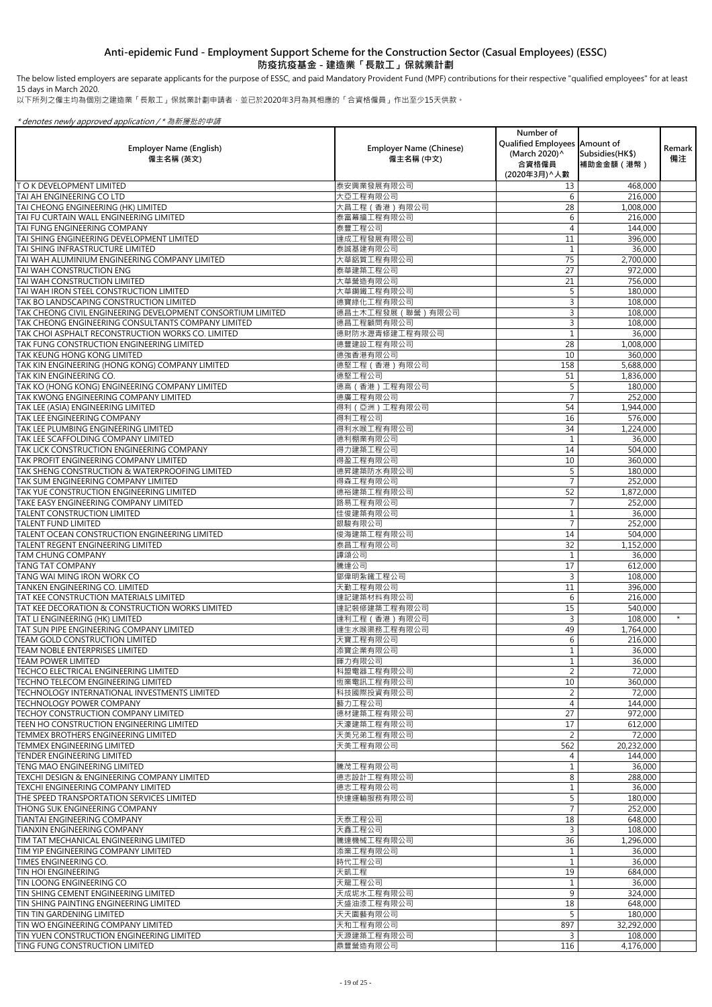The below listed employers are separate applicants for the purpose of ESSC, and paid Mandatory Provident Fund (MPF) contributions for their respective "qualified employees" for at least 15 days in March 2020.

以下所列之僱主均為個別之建造業「長散工」保就業計劃申請者,並已於2020年3月為其相應的「合資格僱員」作出至少15天供款。

| <b>Employer Name (English)</b><br>僱主名稱 (英文)                                                            | <b>Employer Name (Chinese)</b><br>僱主名稱 (中文) | Number of<br>Qualified Employees   Amount of<br>(March 2020) ^<br>合資格僱員<br>(2020年3月) ^ 人數 | Subsidies (HK\$)<br>補助金金額 (港幣) | Remark  <br>備注 |
|--------------------------------------------------------------------------------------------------------|---------------------------------------------|-------------------------------------------------------------------------------------------|--------------------------------|----------------|
| <b>TO K DEVELOPMENT LIMITED</b>                                                                        | 泰安興業發展有限公司                                  | 13                                                                                        | 468,000                        |                |
| TAI AH ENGINEERING CO LTD                                                                              | 大亞工程有限公司                                    | 6                                                                                         | 216,000                        |                |
| TAI CHEONG ENGINEERING (HK) LIMITED                                                                    | 大昌工程 (香港) 有限公司                              | 28                                                                                        | 1,008,000                      |                |
| TAI FU CURTAIN WALL ENGINEERING LIMITED                                                                | 泰富幕牆工程有限公司                                  | 6                                                                                         | 216,000                        |                |
| TAI FUNG ENGINEERING COMPANY                                                                           | 泰豐工程公司                                      |                                                                                           | 144,000                        |                |
| TAI SHING ENGINEERING DEVELOPMENT LIMITED                                                              | 達成工程發展有限公司                                  | 11                                                                                        | 396,000                        |                |
| TAI SHING INFRASTRUCTURE LIMITED                                                                       | 泰誠基建有限公司                                    |                                                                                           | 36,000                         |                |
| TAI WAH ALUMINIUM ENGINEERING COMPANY LIMITED                                                          | 大華鋁質工程有限公司                                  | 75                                                                                        | 2,700,000                      |                |
| TAI WAH CONSTRUCTION ENG                                                                               | 泰華建築工程公司                                    | 27                                                                                        | 972,000                        |                |
| TAI WAH CONSTRUCTION LIMITED                                                                           | 大華營造有限公司                                    | 21                                                                                        | 756,000                        |                |
| TAI WAH IRON STEEL CONSTRUCTION LIMITED                                                                | 大華鋼鐵工程有限公司                                  | 5                                                                                         | 180,000                        |                |
| TAK BO LANDSCAPING CONSTRUCTION LIMITED<br>TAK CHEONG CIVIL ENGINEERING DEVELOPMENT CONSORTIUM LIMITED | 德寶綠化工程有限公司                                  | 3<br>3                                                                                    | 108,000                        |                |
| TAK CHEONG ENGINEERING CONSULTANTS COMPANY LIMITED                                                     | 德昌土木工程發展 (聯營)有限公司<br>德昌工程顧問有限公司             | 3                                                                                         | 108,000                        |                |
| TAK CHOI ASPHALT RECONSTRUCTION WORKS CO. LIMITED                                                      | 德財防水瀝青修建工程有限公司                              |                                                                                           | 108,000<br>36,000              |                |
| TAK FUNG CONSTRUCTION ENGINEERING LIMITED                                                              | 德豐建設工程有限公司                                  | 28                                                                                        | 1,008,000                      |                |
| TAK KEUNG HONG KONG LIMITED                                                                            | 德強香港有限公司                                    | 10                                                                                        | 360,000                        |                |
| TAK KIN ENGINEERING (HONG KONG) COMPANY LIMITED                                                        | 德堅工程 (香港) 有限公司                              | 158                                                                                       | 5,688,000                      |                |
| TAK KIN ENGINEERING CO.                                                                                | 德堅工程公司                                      | 51                                                                                        | 1,836,000                      |                |
| TAK KO (HONG KONG) ENGINEERING COMPANY LIMITED                                                         | 德高 (香港)工程有限公司                               | 5                                                                                         | 180,000                        |                |
| TAK KWONG ENGINEERING COMPANY LIMITED                                                                  | 德廣工程有限公司                                    |                                                                                           | 252,000                        |                |
| TAK LEE (ASIA) ENGINEERING LIMITED                                                                     | 得利 (亞洲)工程有限公司                               | 54                                                                                        | 1,944,000                      |                |
| TAK LEE ENGINEERING COMPANY                                                                            | 得利工程公司                                      | 16                                                                                        | 576,000                        |                |
| TAK LEE PLUMBING ENGINEERING LIMITED                                                                   | 得利水喉工程有限公司                                  | 34                                                                                        | 1,224,000                      |                |
| TAK LEE SCAFFOLDING COMPANY LIMITED                                                                    | 德利棚業有限公司                                    |                                                                                           | 36,000                         |                |
| TAK LICK CONSTRUCTION ENGINEERING COMPANY                                                              | 得力建築工程公司                                    | 14                                                                                        | 504,000                        |                |
| TAK PROFIT ENGINEERING COMPANY LIMITED                                                                 | 得盈工程有限公司                                    | 10                                                                                        | 360,000                        |                |
| TAK SHENG CONSTRUCTION & WATERPROOFING LIMITED                                                         | 德昇建築防水有限公司                                  | 5                                                                                         | 180,000                        |                |
| TAK SUM ENGINEERING COMPANY LIMITED                                                                    | 得森工程有限公司                                    |                                                                                           | 252,000                        |                |
| TAK YUE CONSTRUCTION ENGINEERING LIMITED                                                               | 德裕建築工程有限公司                                  | 52                                                                                        | 1,872,000                      |                |
| TAKE EASY ENGINEERING COMPANY LIMITED                                                                  | 路易工程有限公司                                    |                                                                                           | 252,000                        |                |
| <b>TALENT CONSTRUCTION LIMITED</b>                                                                     | 佳俊建築有限公司                                    |                                                                                           | 36,000                         |                |
| <b>TALENT FUND LIMITED</b>                                                                             | 銀駿有限公司                                      | $\overline{7}$                                                                            | 252,000                        |                |
| TALENT OCEAN CONSTRUCTION ENGINEERING LIMITED                                                          | 俊海建築工程有限公司                                  | 14                                                                                        | 504,000                        |                |
| TALENT REGENT ENGINEERING LIMITED                                                                      | 泰昌工程有限公司                                    | 32                                                                                        | 1,152,000                      |                |
| <b>TAM CHUNG COMPANY</b>                                                                               | 譚頌公司                                        |                                                                                           | 36,000                         |                |
| <b>TANG TAT COMPANY</b>                                                                                | 騰達公司                                        | 17                                                                                        | 612,000                        |                |
| TANG WAI MING IRON WORK CO                                                                             | 鄧偉明紮鐵工程公司                                   | 3                                                                                         | 108,000                        |                |
| TANKEN ENGINEERING CO. LIMITED                                                                         | 天勤工程有限公司                                    | 11                                                                                        | 396,000                        |                |
| TAT KEE CONSTRUCTION MATERIALS LIMITED                                                                 | 達記建築材料有限公司                                  | 6                                                                                         | 216,000                        |                |
| TAT KEE DECORATION & CONSTRUCTION WORKS LIMITED                                                        | 達記裝修建築工程有限公司                                | 15                                                                                        | 540,000                        |                |
| TAT LI ENGINEERING (HK) LIMITED                                                                        | 達利工程 (香港) 有限公司                              | $\mathsf{3}$                                                                              | 108,000                        | $\star$        |
| TAT SUN PIPE ENGINEERING COMPANY LIMITED                                                               | 達生水喉渠務工程有限公司                                | 49                                                                                        | 1,764,000                      |                |
| <b>TEAM GOLD CONSTRUCTION LIMITED</b>                                                                  | 天寶工程有限公司                                    | 6                                                                                         | 216,000                        |                |
| <b>TEAM NOBLE ENTERPRISES LIMITED</b>                                                                  | 添寶企業有限公司                                    |                                                                                           | 36,000                         |                |
| <b>TEAM POWER LIMITED</b>                                                                              | 暉力有限公司                                      |                                                                                           | 36,000                         |                |
| TECHCO ELECTRICAL ENGINEERING LIMITED                                                                  | 科盟電器工程有限公司                                  | $\overline{2}$                                                                            | 72,000                         |                |
| TECHNO TELECOM ENGINEERING LIMITED                                                                     | 恆業電訊工程有限公司                                  | 10                                                                                        | 360,000                        |                |
| TECHNOLOGY INTERNATIONAL INVESTMENTS LIMITED                                                           | 科技國際投資有限公司                                  | $\overline{2}$                                                                            | 72,000                         |                |
| <b>TECHNOLOGY POWER COMPANY</b>                                                                        | 藝力工程公司                                      | 4                                                                                         | 144,000                        |                |
| TECHOY CONSTRUCTION COMPANY LIMITED                                                                    | 德材建築工程有限公司                                  | 27                                                                                        | 972,000                        |                |
| TEEN HO CONSTRUCTION ENGINEERING LIMITED                                                               | 天濠建築工程有限公司                                  | 17                                                                                        | 612,000                        |                |
| TEMMEX BROTHERS ENGINEERING LIMITED                                                                    | 天美兄弟工程有限公司                                  | $\overline{2}$                                                                            | 72,000                         |                |
| TEMMEX ENGINEERING LIMITED<br><b>TENDER ENGINEERING LIMITED</b>                                        | 天美工程有限公司                                    | 562<br>$\Delta$                                                                           | 20,232,000                     |                |
|                                                                                                        |                                             |                                                                                           | 144,000                        |                |
| TENG MAO ENGINEERING LIMITED<br>TEXCHI DESIGN & ENGINEERING COMPANY LIMITED                            | 騰茂工程有限公司<br>德志設計工程有限公司                      | 8                                                                                         | 36,000                         |                |
| TEXCHI ENGINEERING COMPANY LIMITED                                                                     | 德志工程有限公司                                    |                                                                                           | 288,000<br>36,000              |                |
| THE SPEED TRANSPORTATION SERVICES LIMITED                                                              | 快達運輸服務有限公司                                  |                                                                                           | 180,000                        |                |
| THONG SUK ENGINEERING COMPANY                                                                          |                                             |                                                                                           | 252,000                        |                |
| TIANTAI ENGINEERING COMPANY                                                                            | 天泰工程公司                                      | 18                                                                                        | 648,000                        |                |
| <b>TIANXIN ENGINEERING COMPANY</b>                                                                     | 天鑫工程公司                                      | 3                                                                                         | 108,000                        |                |
| TIM TAT MECHANICAL ENGINEERING LIMITED                                                                 | 騰達機械工程有限公司                                  | 36                                                                                        | 1,296,000                      |                |
| TIM YIP ENGINEERING COMPANY LIMITED                                                                    | 添業工程有限公司                                    |                                                                                           | 36,000                         |                |
| TIMES ENGINEERING CO.                                                                                  | 時代工程公司                                      |                                                                                           | 36,000                         |                |
| TIN HOI ENGINEERING                                                                                    | 天凱工程                                        | 19                                                                                        | 684,000                        |                |
| TIN LOONG ENGINEERING CO                                                                               | 天龍工程公司                                      |                                                                                           | 36,000                         |                |
| TIN SHING CEMENT ENGINEERING LIMITED                                                                   | 天成坭水工程有限公司                                  | 9                                                                                         | 324,000                        |                |
| TIN SHING PAINTING ENGINEERING LIMITED                                                                 | 天盛油漆工程有限公司                                  | 18                                                                                        | 648,000                        |                |
| TIN TIN GARDENING LIMITED                                                                              | 天天園藝有限公司                                    | 5                                                                                         | 180,000                        |                |
| TIN WO ENGINEERING COMPANY LIMITED                                                                     | 天和工程有限公司                                    | 897                                                                                       | 32,292,000                     |                |
| TIN YUEN CONSTRUCTION ENGINEERING LIMITED                                                              | 天源建築工程有限公司                                  | 3                                                                                         | 108,000                        |                |
| TING FUNG CONSTRUCTION LIMITED                                                                         | 鼎豐營造有限公司                                    | 116                                                                                       | 4,176,000                      |                |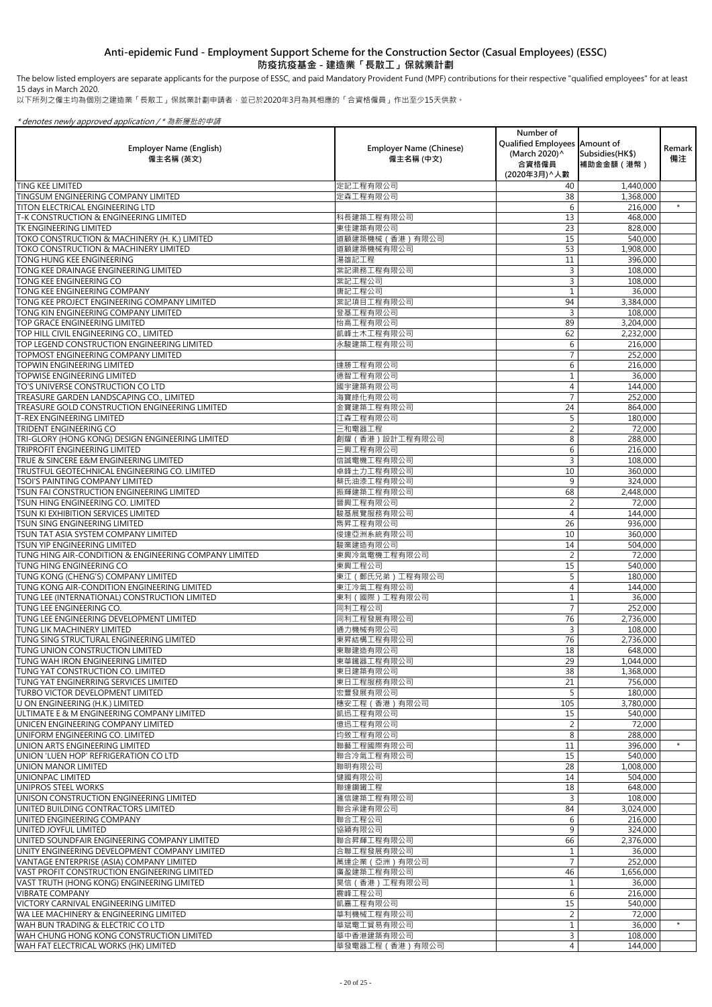以下所列之僱主均為個別之建造業「長散工」保就業計劃申請者,並已於2020年3月為其相應的「合資格僱員」作出至少15天供款。

\* denotes newly approved application / \* 為新獲批的申請

| <b>Employer Name (English)</b><br>僱主名稱 (英文)                                            | <b>Employer Name (Chinese)</b><br>僱主名稱 (中文) | Number of<br>Qualified Employees   Amount of<br>(March 2020)^<br>合資格僱員<br>(2020年3月) ^ 人數 | Subsidies (HK\$)<br>補助金金額 (港幣) | <b>Remark</b><br>備注 |
|----------------------------------------------------------------------------------------|---------------------------------------------|------------------------------------------------------------------------------------------|--------------------------------|---------------------|
| <b>TING KEE LIMITED</b>                                                                | 定記工程有限公司                                    | 40                                                                                       | 1,440,000                      |                     |
| <b>TINGSUM ENGINEERING COMPANY LIMITED</b>                                             | 定森工程有限公司                                    | 38                                                                                       | 1,368,000                      |                     |
| <b>TITON ELECTRICAL ENGINEERING LTD</b>                                                |                                             | 6                                                                                        | 216,000                        | $\star$             |
| <b>T-K CONSTRUCTION &amp; ENGINEERING LIMITED</b><br>TK ENGINEERING LIMITED            | 科長建築工程有限公司<br>東佳建築有限公司                      | 13<br>23                                                                                 | 468,000                        |                     |
| TOKO CONSTRUCTION & MACHINERY (H. K.) LIMITED                                          | 道顧建築機械 (香港) 有限公司                            | 15                                                                                       | 828,000<br>540,000             |                     |
| <b>TOKO CONSTRUCTION &amp; MACHINERY LIMITED</b>                                       | 道顧建築機械有限公司                                  | 53                                                                                       | 1,908,000                      |                     |
| TONG HUNG KEE ENGINEERING                                                              | 湯雄記工程                                       | 11                                                                                       | 396,000                        |                     |
| TONG KEE DRAINAGE ENGINEERING LIMITED                                                  | 棠記渠務工程有限公司                                  | 3                                                                                        | 108,000                        |                     |
| TONG KEE ENGINEERING CO                                                                | 棠記工程公司                                      | 3                                                                                        | 108,000                        |                     |
| TONG KEE ENGINEERING COMPANY                                                           | 唐記工程公司                                      |                                                                                          | 36,000                         |                     |
| TONG KEE PROJECT ENGINEERING COMPANY LIMITED                                           | 棠記項目工程有限公司                                  | 94                                                                                       | 3,384,000                      |                     |
| TONG KIN ENGINEERING COMPANY LIMITED                                                   | 登基工程有限公司                                    | 3                                                                                        | 108,000                        |                     |
| TOP GRACE ENGINEERING LIMITED                                                          | 怡高工程有限公司                                    | 89                                                                                       | 3,204,000                      |                     |
| TOP HILL CIVIL ENGINEERING CO., LIMITED                                                | 凱峰土木工程有限公司                                  | 62                                                                                       | 2,232,000                      |                     |
| TOP LEGEND CONSTRUCTION ENGINEERING LIMITED                                            | 永駿建築工程有限公司                                  | 6                                                                                        | 216,000                        |                     |
| TOPMOST ENGINEERING COMPANY LIMITED<br><b>TOPWIN ENGINEERING LIMITED</b>               | 達勝工程有限公司                                    | 6                                                                                        | 252,000<br>216,000             |                     |
| <b>TOPWISE ENGINEERING LIMITED</b>                                                     | 德智工程有限公司                                    |                                                                                          | 36,000                         |                     |
| TO'S UNIVERSE CONSTRUCTION CO LTD                                                      | 國宇建築有限公司                                    | 4                                                                                        | 144,000                        |                     |
| TREASURE GARDEN LANDSCAPING CO., LIMITED                                               | 海寶綠化有限公司                                    |                                                                                          | 252,000                        |                     |
| <b>TREASURE GOLD CONSTRUCTION ENGINEERING LIMITED</b>                                  | 金寶建築工程有限公司                                  | 24                                                                                       | 864,000                        |                     |
| <b>T-REX ENGINEERING LIMITED</b>                                                       | 江森工程有限公司                                    | 5                                                                                        | 180,000                        |                     |
| <b>TRIDENT ENGINEERING CO</b>                                                          | 三和電器工程                                      |                                                                                          | 72,000                         |                     |
| TRI-GLORY (HONG KONG) DESIGN ENGINEERING LIMITED                                       | 創耀 (香港)設計工程有限公司                             | 8 <sup>1</sup>                                                                           | 288,000                        |                     |
| <b>TRIPROFIT ENGINEERING LIMITED</b>                                                   | 三興工程有限公司                                    | 6                                                                                        | 216,000                        |                     |
| TRUE & SINCERE E&M ENGINEERING LIMITED                                                 | 信誠電機工程有限公司                                  | 3                                                                                        | 108,000                        |                     |
| <b>TRUSTFUL GEOTECHNICAL ENGINEERING CO. LIMITED</b>                                   | 卓鋒土力工程有限公司                                  | 10                                                                                       | 360,000                        |                     |
| <b>TSOI'S PAINTING COMPANY LIMITED</b>                                                 | 蔡氏油漆工程有限公司                                  | 9                                                                                        | 324,000                        |                     |
| <b>TSUN FAI CONSTRUCTION ENGINEERING LIMITED</b>                                       | 振輝建築工程有限公司                                  | 68                                                                                       | 2,448,000                      |                     |
| <b>TSUN HING ENGINEERING CO. LIMITED</b><br><b>TSUN KI EXHIBITION SERVICES LIMITED</b> | 晉興工程有限公司                                    | 4                                                                                        | 72,000                         |                     |
| <b>TSUN SING ENGINEERING LIMITED</b>                                                   | 駿基展覽服務有限公司<br>雋昇工程有限公司                      | 26                                                                                       | 144,000<br>936,000             |                     |
| TSUN TAT ASIA SYSTEM COMPANY LIMITED                                                   | 俊達亞洲系統有限公司                                  | 10                                                                                       | 360,000                        |                     |
| <b>TSUN YIP ENGINEERING LIMITED</b>                                                    | 駿業建造有限公司                                    | 14                                                                                       | 504,000                        |                     |
| TUNG HING AIR-CONDITION & ENGINEERING COMPANY LIMITED                                  | 東興冷氣電機工程有限公司                                | $\overline{2}$                                                                           | 72,000                         |                     |
| TUNG HING ENGINEERING CO                                                               | 東興工程公司                                      | 15                                                                                       | 540,000                        |                     |
| TUNG KONG (CHENG'S) COMPANY LIMITED                                                    | 東江 (鄭氏兄弟)工程有限公司                             |                                                                                          | 180,000                        |                     |
| TUNG KONG AIR-CONDITION ENGINEERING LIMITED                                            | 東江冷氣工程有限公司                                  |                                                                                          | 144,000                        |                     |
| TUNG LEE (INTERNATIONAL) CONSTRUCTION LIMITED                                          | 東利 (國際)工程有限公司                               |                                                                                          | 36,000                         |                     |
| TUNG LEE ENGINEERING CO.                                                               | 同利工程公司                                      |                                                                                          | 252,000                        |                     |
| TUNG LEE ENGINEERING DEVELOPMENT LIMITED                                               | 同利工程發展有限公司                                  | 76                                                                                       | 2,736,000                      |                     |
| TUNG LIK MACHINERY LIMITED                                                             | 通力機械有限公司                                    | 3                                                                                        | 108,000                        |                     |
| TUNG SING STRUCTURAL ENGINEERING LIMITED                                               | 東昇結構工程有限公司                                  | 76                                                                                       | 2,736,000                      |                     |
| TUNG UNION CONSTRUCTION LIMITED<br>TUNG WAH IRON ENGINEERING LIMITED                   | 東聯建造有限公司<br>東華鐵器工程有限公司                      | 18<br>29                                                                                 | 648,000<br>1,044,000           |                     |
| TUNG YAT CONSTRUCTION CO. LIMITED                                                      | 東日建築有限公司                                    | 38                                                                                       | 1,368,000                      |                     |
| TUNG YAT ENGINERRING SERVICES LIMITED                                                  | 東日工程服務有限公司                                  | 21                                                                                       | 756,000                        |                     |
| <b>TURBO VICTOR DEVELOPMENT LIMITED</b>                                                | 宏豐發展有限公司                                    | 5                                                                                        | 180,000                        |                     |
| U ON ENGINEERING (H.K.) LIMITED                                                        | 穗安工程 (香港) 有限公司                              | 105                                                                                      | 3,780,000                      |                     |
| ULTIMATE E & M ENGINEERING COMPANY LIMITED                                             | 凱迅工程有限公司                                    | 15                                                                                       | 540,000                        |                     |
| UNICEN ENGINEERING COMPANY LIMITED                                                     | 億迅工程有限公司                                    | $\overline{2}$                                                                           | 72,000                         |                     |
| UNIFORM ENGINEERING CO. LIMITED                                                        | 均致工程有限公司                                    | 8                                                                                        | 288,000                        |                     |
| UNION ARTS ENGINEERING LIMITED                                                         | 聯藝工程國際有限公司                                  | 11                                                                                       | 396,000                        | $\star$             |
| UNION 'LUEN HOP' REFRIGERATION CO LTD                                                  | 聯合冷氣工程有限公司                                  | 15 <sup>1</sup>                                                                          | 540,000                        |                     |
| UNION MANOR LIMITED                                                                    | 聯明有限公司                                      | 28                                                                                       | 1,008,000                      |                     |
| UNIONPAC LIMITED                                                                       | 健國有限公司                                      | 14                                                                                       | 504,000                        |                     |
| UNIPROS STEEL WORKS<br>UNISON CONSTRUCTION ENGINEERING LIMITED                         | 聯達鋼鐵工程<br>滙信建築工程有限公司                        | 18<br>$\mathbf{3}$                                                                       | 648,000<br>108,000             |                     |
| UNITED BUILDING CONTRACTORS LIMITED                                                    | 聯合承建有限公司                                    | 84                                                                                       | 3,024,000                      |                     |
| UNITED ENGINEERING COMPANY                                                             | 聯合工程公司                                      | 6                                                                                        | 216,000                        |                     |
| UNITED JOYFUL LIMITED                                                                  | 協穎有限公司                                      | 9                                                                                        | 324,000                        |                     |
| UNITED SOUNDFAIR ENGINEERING COMPANY LIMITED                                           | 聯合昇輝工程有限公司                                  | 66                                                                                       | 2,376,000                      |                     |
| UNITY ENGINEERING DEVELOPMENT COMPANY LIMITED                                          | 合聯工程發展有限公司                                  |                                                                                          | 36,000                         |                     |
| VANTAGE ENTERPRISE (ASIA) COMPANY LIMITED                                              | 萬達企業 (亞洲)有限公司                               |                                                                                          | 252,000                        |                     |
| VAST PROFIT CONSTRUCTION ENGINEERING LIMITED                                           | 廣盈建築工程有限公司                                  | 46                                                                                       | 1,656,000                      |                     |
| VAST TRUTH (HONG KONG) ENGINEERING LIMITED                                             | 昊信 (香港)工程有限公司                               |                                                                                          | 36,000                         |                     |
| <b>VIBRATE COMPANY</b>                                                                 | 震峰工程公司                                      | 6                                                                                        | 216,000                        |                     |
| VICTORY CARNIVAL ENGINEERING LIMITED                                                   | 凱嘉工程有限公司                                    | 15                                                                                       | 540,000                        |                     |
| WA LEE MACHINERY & ENGINEERING LIMITED                                                 | 華利機械工程有限公司                                  | $\overline{2}$                                                                           | 72,000                         |                     |
| WAH BUN TRADING & ELECTRIC CO LTD                                                      | 華斌電工貿易有限公司                                  |                                                                                          | 36,000                         | $\star$             |
| WAH CHUNG HONG KONG CONSTRUCTION LIMITED<br>WAH FAT ELECTRICAL WORKS (HK) LIMITED      | 華中香港建築有限公司<br> 華發電器工程 ( 香港 ) 有限公司           | 3<br>$\overline{4}$                                                                      | 108,000<br>144,000             |                     |
|                                                                                        |                                             |                                                                                          |                                |                     |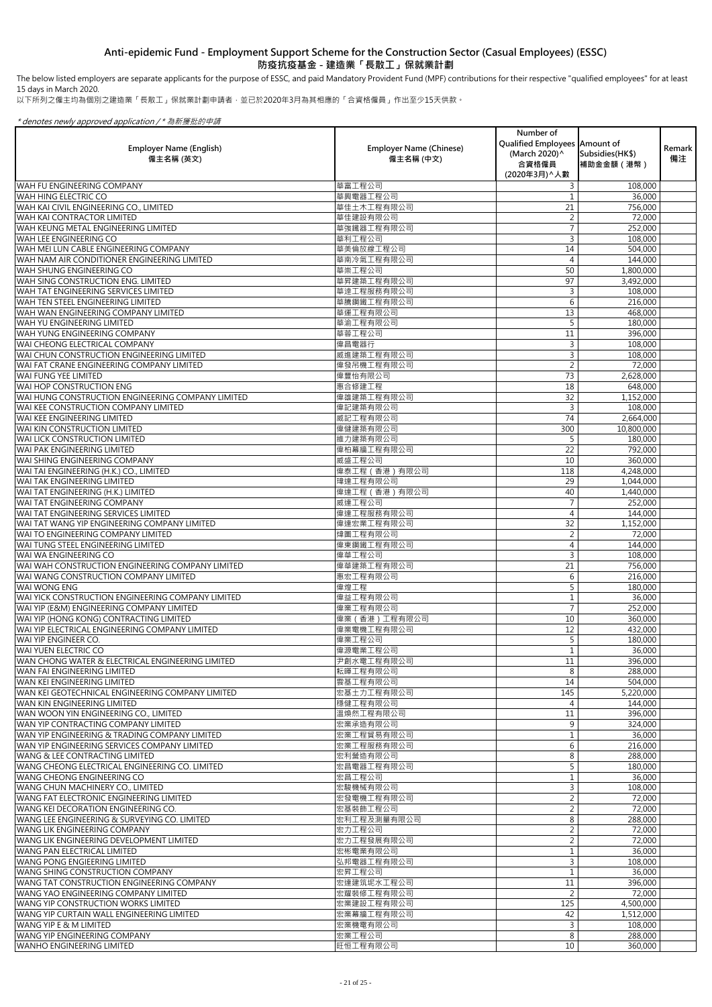The below listed employers are separate applicants for the purpose of ESSC, and paid Mandatory Provident Fund (MPF) contributions for their respective "qualified employees" for at least 15 days in March 2020.

以下所列之僱主均為個別之建造業「長散工」保就業計劃申請者,並已於2020年3月為其相應的「合資格僱員」作出至少15天供款。

|                                                                                |                                | Number of                     |                        |        |
|--------------------------------------------------------------------------------|--------------------------------|-------------------------------|------------------------|--------|
| <b>Employer Name (English)</b>                                                 | <b>Employer Name (Chinese)</b> | Qualified Employees Amount of |                        | Remark |
| 僱主名稱 (英文)                                                                      | 僱主名稱 (中文)                      | (March 2020)^<br>合資格僱員        | Subsidies (HK\$)       | 備注     |
|                                                                                |                                | (2020年3月) へ人數                 | 補助金金額 (港幣)             |        |
| <b>WAH FU ENGINEERING COMPANY</b>                                              | 華富工程公司                         | 3                             | 108,000                |        |
| WAH HING ELECTRIC CO                                                           | 華興電器工程公司                       |                               | 36,000                 |        |
| WAH KAI CIVIL ENGINEERING CO., LIMITED                                         | 華佳土木工程有限公司                     | 21                            | 756,000                |        |
| IWAH KAI CONTRACTOR LIMITED                                                    | 華佳建設有限公司                       |                               | 72,000                 |        |
| WAH KEUNG METAL ENGINEERING LIMITED                                            | 華強鐵器工程有限公司                     |                               | 252,000                |        |
| WAH LEE ENGINEERING CO                                                         | 華利工程公司                         | 3                             | 108,000                |        |
| WAH MEI LUN CABLE ENGINEERING COMPANY                                          | 華美倫放線工程公司                      | 14                            | 504,000                |        |
| WAH NAM AIR CONDITIONER ENGINEERING LIMITED                                    | 華南冷氣工程有限公司                     | 4                             | 144,000                |        |
| WAH SHUNG ENGINEERING CO                                                       | 華崇工程公司                         | 50                            | 1,800,000              |        |
| WAH SING CONSTRUCTION ENG. LIMITED                                             | 華昇建築工程有限公司                     | 97                            | 3,492,000              |        |
| WAH TAT ENGINEERING SERVICES LIMITED                                           | 華達工程服務有限公司                     | 3                             | 108,000                |        |
| WAH TEN STEEL ENGINEERING LIMITED<br>WAH WAN ENGINEERING COMPANY LIMITED       | 華騰鋼鐵工程有限公司<br>華運工程有限公司         | 6<br>13                       | 216,000<br>468,000     |        |
| lwah yu engineering limited                                                    | 華渝工程有限公司                       |                               | 180,000                |        |
| lwah yung engineering company                                                  | 華蓉工程公司                         | 11                            | 396,000                |        |
| WAI CHEONG ELECTRICAL COMPANY                                                  | 偉昌電器行                          | 3                             | 108,000                |        |
| WAI CHUN CONSTRUCTION ENGINEERING LIMITED                                      | 威進建築工程有限公司                     |                               | 108,000                |        |
| WAI FAT CRANE ENGINEERING COMPANY LIMITED                                      | 偉發吊機工程有限公司                     |                               | 72,000                 |        |
| <b>WAI FUNG YEE LIMITED</b>                                                    | 偉豐怡有限公司                        | 73                            | 2,628,000              |        |
| WAI HOP CONSTRUCTION ENG                                                       | 惠合修建工程                         | 18                            | 648,000                |        |
| WAI HUNG CONSTRUCTION ENGINEERING COMPANY LIMITED                              | 偉雄建築工程有限公司                     | 32                            | 1,152,000              |        |
| WAI KEE CONSTRUCTION COMPANY LIMITED                                           | 偉記建築有限公司                       | 3                             | 108,000                |        |
| lwai kee engineering limited                                                   | 威記工程有限公司                       | 74                            | 2,664,000              |        |
| WAI KIN CONSTRUCTION LIMITED                                                   | 偉健建築有限公司                       | 300                           | 10,800,000             |        |
| <b>WAI LICK CONSTRUCTION LIMITED</b>                                           | 維力建築有限公司                       | 5                             | 180,000                |        |
| <b>WAI PAK ENGINEERING LIMITED</b>                                             | 偉柏幕牆工程有限公司                     | 22                            | 792,000                |        |
| IWAI SHING ENGINEERING COMPANY                                                 | 威盛工程公司                         | 10                            | 360,000                |        |
| WAI TAI ENGINEERING (H.K.) CO., LIMITED<br><b>WAI TAK ENGINEERING LIMITED</b>  | 偉泰工程 (香港) 有限公司<br>瑋達工程有限公司     | 118<br>29                     | 4,248,000              |        |
| WAI TAT ENGINEERING (H.K.) LIMITED                                             | 偉達工程 (香港) 有限公司                 | 40                            | 1,044,000<br>1,440,000 |        |
| WAI TAT ENGINEERING COMPANY                                                    | 威達工程公司                         |                               | 252,000                |        |
| WAI TAT ENGINEERING SERVICES LIMITED                                           | 偉達工程服務有限公司                     | 4                             | 144,000                |        |
| WAI TAT WANG YIP ENGINEERING COMPANY LIMITED                                   | 偉達宏業工程有限公司                     | 32                            | 1,152,000              |        |
| WAI TO ENGINEERING COMPANY LIMITED                                             | 煒圖工程有限公司                       | 2                             | 72,000                 |        |
| WAI TUNG STEEL ENGINEERING LIMITED                                             | 偉東鋼鐵工程有限公司                     | 4                             | 144,000                |        |
| WAI WA ENGINEERING CO                                                          | 偉華工程公司                         | 3                             | 108,000                |        |
| WAI WAH CONSTRUCTION ENGINEERING COMPANY LIMITED                               | 偉華建築工程有限公司                     | 21                            | 756,000                |        |
| WAI WANG CONSTRUCTION COMPANY LIMITED                                          | 惠宏工程有限公司                       | 6                             | 216,000                |        |
| <b>WAI WONG ENG</b>                                                            | 偉煌工程                           | 5                             | 180,000                |        |
| WAI YICK CONSTRUCTION ENGINEERING COMPANY LIMITED                              | 偉益工程有限公司                       |                               | 36,000                 |        |
| WAI YIP (E&M) ENGINEERING COMPANY LIMITED                                      | 偉業工程有限公司                       |                               | 252,000                |        |
| WAI YIP (HONG KONG) CONTRACTING LIMITED                                        | 偉業 (香港)工程有限公司                  | 10                            | 360,000                |        |
| WAI YIP ELECTRICAL ENGINEERING COMPANY LIMITED<br>WAI YIP ENGINEER CO.         | 偉業電機工程有限公司<br>偉業工程公司           | 12<br>5                       | 432,000<br>180,000     |        |
| WAI YUEN ELECTRIC CO                                                           | 偉源電業工程公司                       |                               | 36,000                 |        |
| WAN CHONG WATER & ELECTRICAL ENGINEERING LIMITED                               | 尹創水電工程有限公司                     | 11                            | 396,000                |        |
| <b>WAN FAI ENGINEERING LIMITED</b>                                             | 耘暉工程有限公司                       | 8                             | 288,000                |        |
| WAN KEI ENGINEERING LIMITED                                                    | 雲基工程有限公司                       | 14                            | 504,000                |        |
| WAN KEI GEOTECHNICAL ENGINEERING COMPANY LIMITED                               | 宏基土力工程有限公司                     | 145                           | 5,220,000              |        |
| WAN KIN ENGINEERING LIMITED                                                    | 穩健工程有限公司                       | $\overline{4}$                | 144,000                |        |
| WAN WOON YIN ENGINEERING CO., LIMITED                                          | 溫煥然工程有限公司                      | 11                            | 396,000                |        |
| WAN YIP CONTRACTING COMPANY LIMITED                                            | 宏業承造有限公司                       | 9                             | 324,000                |        |
| WAN YIP ENGINEERING & TRADING COMPANY LIMITED                                  | 宏業工程貿易有限公司                     |                               | 36,000                 |        |
| WAN YIP ENGINEERING SERVICES COMPANY LIMITED                                   | 宏業工程服務有限公司                     | 6                             | 216,000                |        |
| <b>WANG &amp; LEE CONTRACTING LIMITED</b>                                      | 宏利營造有限公司                       | 8 <sup>1</sup>                | 288,000                |        |
| WANG CHEONG ELECTRICAL ENGINEERING CO. LIMITED                                 | 宏昌電器工程有限公司                     | 5                             | 180,000                |        |
| <b>WANG CHEONG ENGINEERING CO</b>                                              | 宏昌工程公司                         |                               | 36,000                 |        |
| WANG CHUN MACHINERY CO., LIMITED                                               | 宏駿機械有限公司                       | $\mathsf{3}$                  | 108,000                |        |
| WANG FAT ELECTRONIC ENGINEERING LIMITED<br>WANG KEI DECORATION ENGINEERING CO. | 宏發電機工程有限公司<br>宏基装飾工程公司         | $\overline{2}$                | 72,000<br>72,000       |        |
| WANG LEE ENGINEERING & SURVEYING CO. LIMITED                                   | 宏利工程及測量有限公司                    | 8                             | 288,000                |        |
| <b>WANG LIK ENGINEERING COMPANY</b>                                            | 宏力工程公司                         | $\overline{2}$                | 72,000                 |        |
| WANG LIK ENGINEERING DEVELOPMENT LIMITED                                       | 宏力工程發展有限公司                     | 2                             | 72,000                 |        |
| <b>WANG PAN ELECTRICAL LIMITED</b>                                             | 宏彬電業有限公司                       |                               | 36,000                 |        |
| <b>WANG PONG ENGIEERING LIMITED</b>                                            | 弘邦電器工程有限公司                     | 3 <sup>1</sup>                | 108,000                |        |
| WANG SHING CONSTRUCTION COMPANY                                                | 宏昇工程公司                         |                               | 36,000                 |        |
| IWANG TAT CONSTRUCTION ENGINEERING COMPANY                                     | 宏達建筑坭水工程公司                     | 11                            | 396,000                |        |
| WANG YAO ENGINEERING COMPANY LIMITED                                           | 宏耀裝修工程有限公司                     | $\overline{2}$                | 72,000                 |        |
| WANG YIP CONSTRUCTION WORKS LIMITED                                            | 宏業建設工程有限公司                     | 125                           | 4,500,000              |        |
| WANG YIP CURTAIN WALL ENGINEERING LIMITED                                      | 宏業幕牆工程有限公司                     | 42                            | 1,512,000              |        |
| IWANG YIP E & M LIMITED                                                        | 宏業機電有限公司                       | 3                             | 108,000                |        |
| WANG YIP ENGINEERING COMPANY                                                   | 宏業工程公司                         | 8                             | 288,000                |        |
| <b>WANHO ENGINEERING LIMITED</b>                                               | 旺恒工程有限公司                       | 10 <sup>1</sup>               | 360,000                |        |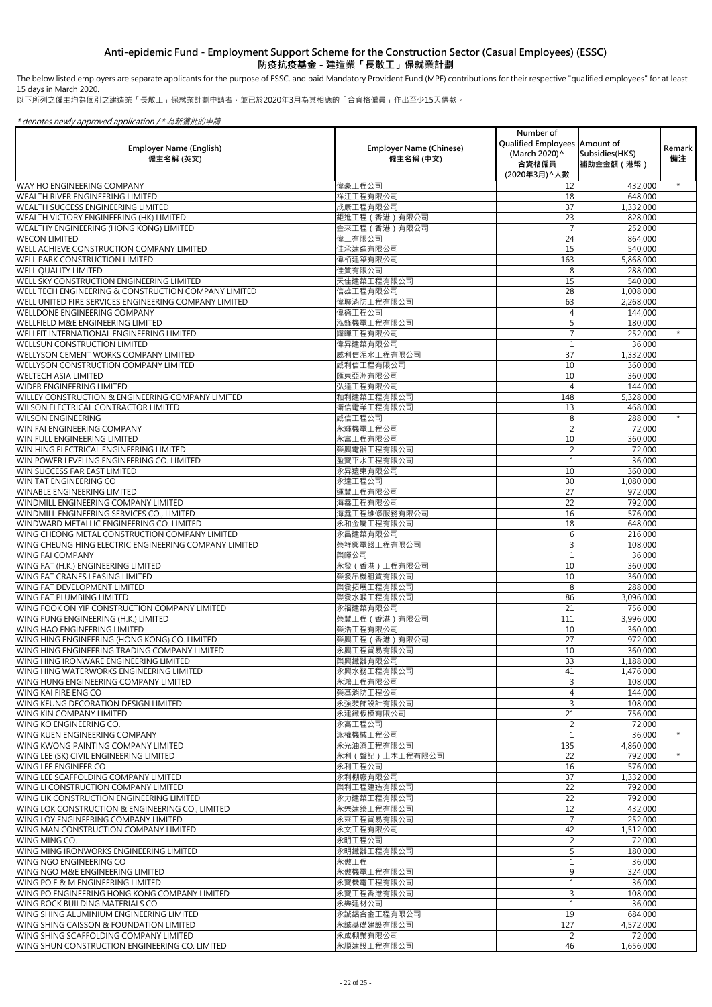The below listed employers are separate applicants for the purpose of ESSC, and paid Mandatory Provident Fund (MPF) contributions for their respective "qualified employees" for at least 15 days in March 2020.

以下所列之僱主均為個別之建造業「長散工」保就業計劃申請者,並已於2020年3月為其相應的「合資格僱員」作出至少15天供款。

| <b>Employer Name (English)</b><br>僱主名稱 (英文)                                           | <b>Employer Name (Chinese)</b><br>僱主名稱 (中文) | Number of<br>Qualified Employees   Amount of<br>(March 2020)^<br>合資格僱員<br>(2020年3月) ^ 人數 | Subsidies(HK\$)<br>補助金金額 (港幣) | Remark<br>備注 |
|---------------------------------------------------------------------------------------|---------------------------------------------|------------------------------------------------------------------------------------------|-------------------------------|--------------|
| <b>WAY HO ENGINEERING COMPANY</b>                                                     | 偉豪工程公司                                      | 12                                                                                       | 432,000                       | $\star$      |
| <b>WEALTH RIVER ENGINEERING LIMITED</b>                                               | 祥江工程有限公司                                    | 18                                                                                       | 648,000                       |              |
| <b>WEALTH SUCCESS ENGINEERING LIMITED</b>                                             | 成康工程有限公司                                    | 37                                                                                       | 1,332,000                     |              |
| WEALTH VICTORY ENGINEERING (HK) LIMITED                                               | 鉅進工程 (香港) 有限公司                              | 23                                                                                       | 828,000                       |              |
| WEALTHY ENGINEERING (HONG KONG) LIMITED                                               | 金來工程 (香港) 有限公司                              |                                                                                          | 252,000                       |              |
| <b>WECON LIMITED</b>                                                                  | 偉工有限公司                                      | 24                                                                                       | 864,000                       |              |
| WELL ACHIEVE CONSTRUCTION COMPANY LIMITED                                             | 佳承建造有限公司                                    | 15                                                                                       | 540,000                       |              |
| <b>WELL PARK CONSTRUCTION LIMITED</b>                                                 | 偉栢建築有限公司                                    | 163                                                                                      | 5,868,000                     |              |
| <b>WELL QUALITY LIMITED</b>                                                           | 佳質有限公司                                      | 8                                                                                        | 288,000                       |              |
| WELL SKY CONSTRUCTION ENGINEERING LIMITED                                             | 天佳建築工程有限公司                                  | 15                                                                                       | 540,000                       |              |
| WELL TECH ENGINEERING & CONSTRUCTION COMPANY LIMITED                                  | 信雄工程有限公司                                    | 28                                                                                       | 1,008,000                     |              |
| WELL UNITED FIRE SERVICES ENGINEERING COMPANY LIMITED                                 | 偉聯消防工程有限公司                                  | 63                                                                                       | 2,268,000                     |              |
| <b>WELLDONE ENGINEERING COMPANY</b>                                                   | 偉德工程公司                                      | 4                                                                                        | 144,000                       |              |
| WELLFIELD M&E ENGINEERING LIMITED                                                     | 泓鋒機電工程有限公司                                  | 5                                                                                        | 180,000                       | $\star$      |
| WELLFIT INTERNATIONAL ENGINEERING LIMITED                                             | 耀暉工程有限公司                                    |                                                                                          | 252,000                       |              |
| <b>WELLSUN CONSTRUCTION LIMITED</b>                                                   | 偉昇建築有限公司                                    | 37                                                                                       | 36,000                        |              |
| WELLYSON CEMENT WORKS COMPANY LIMITED<br><b>WELLYSON CONSTRUCTION COMPANY LIMITED</b> | 威利信泥水工程有限公司<br>威利信工程有限公司                    | 10                                                                                       | 1,332,000                     |              |
| <b>WELTECH ASIA LIMITED</b>                                                           | 匯東亞洲有限公司                                    | 10                                                                                       | 360,000<br>360,000            |              |
| <b>WIDER ENGINEERING LIMITED</b>                                                      | 弘達工程有限公司                                    | 4                                                                                        | 144,000                       |              |
| <b>WILLEY CONSTRUCTION &amp; ENGINEERING COMPANY LIMITED</b>                          | 和利建築工程有限公司                                  | 148                                                                                      | 5,328,000                     |              |
| <b>WILSON ELECTRICAL CONTRACTOR LIMITED</b>                                           | 衛信電業工程有限公司                                  | 13                                                                                       | 468,000                       |              |
| <b>WILSON ENGINEERING</b>                                                             | 威信工程公司                                      | 8                                                                                        | 288,000                       | $\star$      |
| WIN FAI ENGINEERING COMPANY                                                           | 永輝機電工程公司                                    |                                                                                          | 72,000                        |              |
| <b>WIN FULL ENGINEERING LIMITED</b>                                                   | 永富工程有限公司                                    | 10 <sup>1</sup>                                                                          | 360,000                       |              |
| WIN HING ELECTRICAL ENGINEERING LIMITED                                               | 榮興電器工程有限公司                                  | 2                                                                                        | 72,000                        |              |
| WIN POWER LEVELING ENGINEERING CO. LIMITED                                            | 盈寶平水工程有限公司                                  |                                                                                          | 36,000                        |              |
| <b>WIN SUCCESS FAR EAST LIMITED</b>                                                   | 永昇遠東有限公司                                    | 10                                                                                       | 360,000                       |              |
| <b>WIN TAT ENGINEERING CO</b>                                                         | 永達工程公司                                      | 30                                                                                       | 1,080,000                     |              |
| <b>WINABLE ENGINEERING LIMITED</b>                                                    | 運豐工程有限公司                                    | 27                                                                                       | 972,000                       |              |
| WINDMILL ENGINEERING COMPANY LIMITED                                                  | 海鑫工程有限公司                                    | 22                                                                                       | 792,000                       |              |
| WINDMILL ENGINEERING SERVICES CO., LIMITED                                            | 海鑫工程維修服務有限公司                                | 16                                                                                       | 576,000                       |              |
| WINDWARD METALLIC ENGINEERING CO. LIMITED                                             | 永和金屬工程有限公司                                  | 18                                                                                       | 648,000                       |              |
| WING CHEONG METAL CONSTRUCTION COMPANY LIMITED                                        | 永昌建築有限公司                                    | 6                                                                                        | 216,000                       |              |
| WING CHEUNG HING ELECTRIC ENGINEERING COMPANY LIMITED                                 | 榮祥興電器工程有限公司                                 | 3                                                                                        | 108,000                       |              |
| <b>WING FAI COMPANY</b>                                                               | 榮暉公司                                        |                                                                                          | 36,000                        |              |
| WING FAT (H.K.) ENGINEERING LIMITED                                                   | 永發 (香港)工程有限公司                               | 10                                                                                       | 360,000                       |              |
| WING FAT CRANES LEASING LIMITED                                                       | 榮發吊機租賃有限公司                                  | 10                                                                                       | 360,000                       |              |
| WING FAT DEVELOPMENT LIMITED                                                          | 榮發拓展工程有限公司                                  | 8                                                                                        | 288,000                       |              |
| <b>WING FAT PLUMBING LIMITED</b>                                                      | 榮發水喉工程有限公司                                  | 86                                                                                       | 3,096,000                     |              |
| WING FOOK ON YIP CONSTRUCTION COMPANY LIMITED                                         | 永福建築有限公司                                    | 21                                                                                       | 756,000                       |              |
| WING FUNG ENGINEERING (H.K.) LIMITED                                                  | 榮豐工程 (香港)有限公司                               | 111                                                                                      | 3,996,000                     |              |
| <b>WING HAO ENGINEERING LIMITED</b>                                                   | 榮浩工程有限公司                                    | 10                                                                                       | 360,000                       |              |
| WING HING ENGINEERING (HONG KONG) CO. LIMITED                                         | 榮興工程 (香港)有限公司                               | 27                                                                                       | 972,000                       |              |
| WING HING ENGINEERING TRADING COMPANY LIMITED                                         | 永興工程貿易有限公司                                  | 10                                                                                       | 360,000                       |              |
| WING HING IRONWARE ENGINEERING LIMITED                                                | 榮興鐵器有限公司                                    | 33                                                                                       | 1,188,000                     |              |
| WING HING WATERWORKS ENGINEERING LIMITED                                              | 永興水務工程有限公司                                  | 41                                                                                       | 1,476,000                     |              |
| WING HUNG ENGINEERING COMPANY LIMITED                                                 | 永鴻工程有限公司                                    | 3                                                                                        | 108,000                       |              |
| <b>WING KAI FIRE ENG CO</b><br>WING KEUNG DECORATION DESIGN LIMITED                   | 榮基消防工程公司<br>永強裝飾設計有限公司                      | 4<br>$\mathbf{3}$                                                                        | 144,000                       |              |
| WING KIN COMPANY LIMITED                                                              | 永建鐵板模有限公司                                   | 21                                                                                       | 108,000<br>756,000            |              |
| <b>WING KO ENGINEERING CO.</b>                                                        | 永高工程公司                                      | $\overline{2}$                                                                           | 72,000                        |              |
| WING KUEN ENGINEERING COMPANY                                                         | 泳權機械工程公司                                    |                                                                                          | 36,000                        | $\star$      |
| <b>WING KWONG PAINTING COMPANY LIMITED</b>                                            | 永光油漆工程有限公司                                  | 135                                                                                      | 4,860,000                     |              |
| WING LEE (SK) CIVIL ENGINEERING LIMITED                                               | 永利 ( 聲記 ) 土木工程有限公司                          | 22                                                                                       | 792,000                       | $\star$      |
| WING LEE ENGINEER CO                                                                  | 永利工程公司                                      | 16                                                                                       | 576,000                       |              |
| IWING LEE SCAFFOLDING COMPANY LIMITED                                                 | 永利棚廠有限公司                                    | 37                                                                                       | 1,332,000                     |              |
| <b>WING LI CONSTRUCTION COMPANY LIMITED</b>                                           | 榮利工程建造有限公司                                  | 22                                                                                       | 792,000                       |              |
| WING LIK CONSTRUCTION ENGINEERING LIMITED                                             | 永力建築工程有限公司                                  | 22                                                                                       | 792,000                       |              |
| WING LOK CONSTRUCTION & ENGINEERING CO., LIMITED                                      | 永樂建築工程有限公司                                  | 12                                                                                       | 432,000                       |              |
| WING LOY ENGINEERING COMPANY LIMITED                                                  | 永來工程貿易有限公司                                  |                                                                                          | 252,000                       |              |
| WING MAN CONSTRUCTION COMPANY LIMITED                                                 | 永文工程有限公司                                    | 42                                                                                       | 1,512,000                     |              |
| WING MING CO.                                                                         | 永明工程公司                                      |                                                                                          | 72,000                        |              |
| WING MING IRONWORKS ENGINEERING LIMITED                                               | 永明鐵器工程有限公司                                  |                                                                                          | 180,000                       |              |
| WING NGO ENGINEERING CO                                                               | 永傲工程                                        |                                                                                          | 36,000                        |              |
| WING NGO M&E ENGINEERING LIMITED                                                      | 永傲機電工程有限公司                                  | 9                                                                                        | 324,000                       |              |
| WING PO E & M ENGINEERING LIMITED                                                     | 永寶機電工程有限公司                                  |                                                                                          | 36,000                        |              |
| WING PO ENGINEERING HONG KONG COMPANY LIMITED                                         | 永寶工程香港有限公司                                  | 3                                                                                        | 108,000                       |              |
| <b>WING ROCK BUILDING MATERIALS CO.</b>                                               | 永樂建材公司                                      |                                                                                          | 36,000                        |              |
| WING SHING ALUMINIUM ENGINEERING LIMITED                                              | 永誠鋁合金工程有限公司                                 | 19                                                                                       | 684,000                       |              |
| <b>WING SHING CAISSON &amp; FOUNDATION LIMITED</b>                                    | 永誠基礎建設有限公司                                  | 127                                                                                      | 4,572,000                     |              |
| WING SHING SCAFFOLDING COMPANY LIMITED                                                | 永成棚業有限公司                                    | $\overline{2}$                                                                           | 72,000                        |              |
| WING SHUN CONSTRUCTION ENGINEERING CO. LIMITED                                        | 永順建設工程有限公司                                  | 46                                                                                       | 1,656,000                     |              |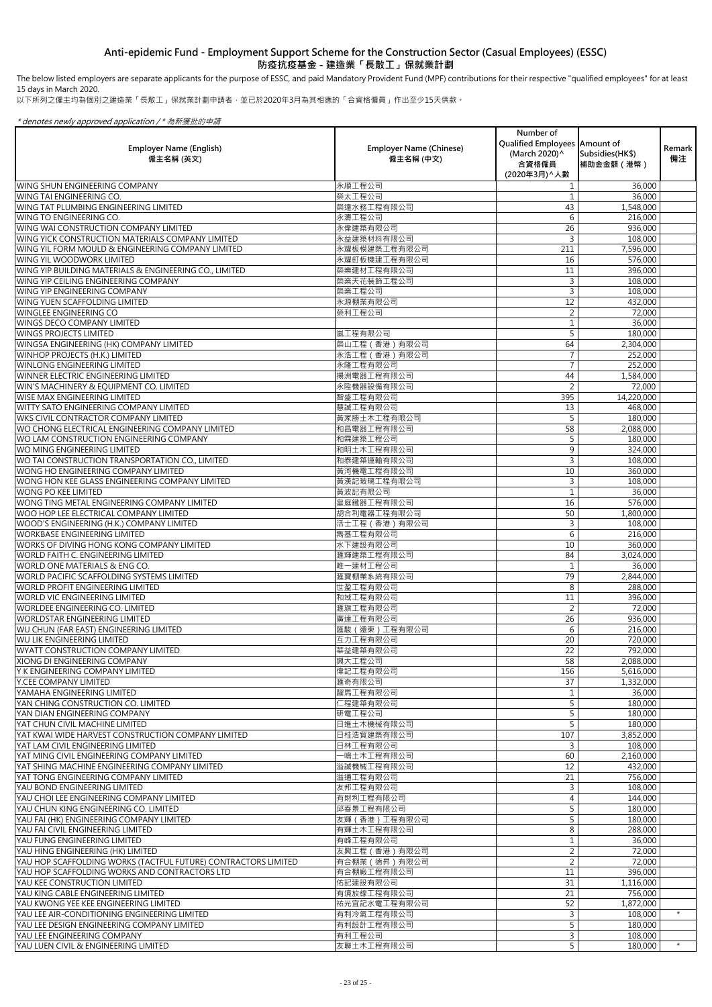The below listed employers are separate applicants for the purpose of ESSC, and paid Mandatory Provident Fund (MPF) contributions for their respective "qualified employees" for at least 15 days in March 2020.

以下所列之僱主均為個別之建造業「長散工」保就業計劃申請者,並已於2020年3月為其相應的「合資格僱員」作出至少15天供款。

| <b>Employer Name (English)</b><br>僱主名稱 (英文)                                                 | <b>Employer Name (Chinese)</b><br>僱主名稱 (中文) | Number of<br>Qualified Employees Amount of<br>(March 2020) ^<br>合資格僱員<br>(2020年3月) へ人數 | Subsidies (HK\$)<br>補助金金額(港幣) | Remark<br>備注 |
|---------------------------------------------------------------------------------------------|---------------------------------------------|----------------------------------------------------------------------------------------|-------------------------------|--------------|
| WING SHUN ENGINEERING COMPANY                                                               | 永順工程公司                                      |                                                                                        | 36,000                        |              |
| WING TAI ENGINEERING CO.                                                                    | 榮太工程公司                                      |                                                                                        | 36,000                        |              |
| lWING TAT PLUMBING ENGINEERING LIMITED                                                      | 榮達水務工程有限公司                                  | 43                                                                                     | 1,548,000                     |              |
| lwing to engineering co.<br><b>WING WAI CONSTRUCTION COMPANY LIMITED</b>                    | 永濤工程公司<br>永偉建築有限公司                          | 6                                                                                      | 216,000                       |              |
| WING YICK CONSTRUCTION MATERIALS COMPANY LIMITED                                            | 永益建築材料有限公司                                  | 26<br>3                                                                                | 936,000                       |              |
| WING YIL FORM MOULD & ENGINEERING COMPANY LIMITED                                           | 永耀板模建築工程有限公司                                | 211                                                                                    | 108,000<br>7,596,000          |              |
| WING YIL WOODWORK LIMITED                                                                   | 永耀釘板機建工程有限公司                                | 16                                                                                     | 576,000                       |              |
| WING YIP BUILDING MATERIALS & ENGINEERING CO., LIMITED                                      | 榮業建材工程有限公司                                  | 11                                                                                     | 396,000                       |              |
| WING YIP CEILING ENGINEERING COMPANY                                                        | 榮業天花装飾工程公司                                  | 3                                                                                      | 108,000                       |              |
| WING YIP ENGINEERING COMPANY                                                                | 榮業工程公司                                      | 3                                                                                      | 108,000                       |              |
| WING YUEN SCAFFOLDING LIMITED                                                               | 永源棚業有限公司                                    | 12                                                                                     | 432,000                       |              |
| WINGLEE ENGINEERING CO                                                                      | 榮利工程公司                                      |                                                                                        | 72,000                        |              |
| WINGS DECO COMPANY LIMITED                                                                  |                                             |                                                                                        | 36,000                        |              |
| <b>WINGS PROJECTS LIMITED</b>                                                               | 嵐工程有限公司                                     | 5                                                                                      | 180,000                       |              |
| WINGSA ENGINEERING (HK) COMPANY LIMITED                                                     | 榮山工程 (香港) 有限公司                              | 64                                                                                     | 2,304,000                     |              |
| WINHOP PROJECTS (H.K.) LIMITED                                                              | 永浩工程 (香港) 有限公司                              |                                                                                        | 252,000                       |              |
| WINLONG ENGINEERING LIMITED<br>WINNER ELECTRIC ENGINEERING LIMITED                          | 永隆工程有限公司<br>揚洲電器工程有限公司                      |                                                                                        | 252,000                       |              |
| WIN'S MACHINERY & EQUIPMENT CO. LIMITED                                                     | 永陞機器設備有限公司                                  | 44                                                                                     | 1,584,000<br>72,000           |              |
| lwise max engineering limited                                                               | 智盛工程有限公司                                    | 395                                                                                    | $\overline{1}$ 4,220,000      |              |
| WITTY SATO ENGINEERING COMPANY LIMITED                                                      | 慧誠工程有限公司                                    | 13                                                                                     | 468,000                       |              |
| WKS CIVIL CONTRACTOR COMPANY LIMITED                                                        | 黃家勝土木工程有限公司                                 |                                                                                        | 180,000                       |              |
| WO CHONG ELECTRICAL ENGINEERING COMPANY LIMITED                                             | 和昌電器工程有限公司                                  | 58                                                                                     | 2,088,000                     |              |
| WO LAM CONSTRUCTION ENGINEERING COMPANY                                                     | 和霖建築工程公司                                    |                                                                                        | 180,000                       |              |
| WO MING ENGINEERING LIMITED                                                                 | 和明土木工程有限公司                                  | 9                                                                                      | 324,000                       |              |
| WO TAI CONSTRUCTION TRANSPORTATION CO., LIMITED                                             | 和泰建築運輸有限公司                                  |                                                                                        | 108,000                       |              |
| WONG HO ENGINEERING COMPANY LIMITED                                                         | 黃河機電工程有限公司                                  | 10                                                                                     | 360,000                       |              |
| WONG HON KEE GLASS ENGINEERING COMPANY LIMITED                                              | 黃漢記玻璃工程有限公司                                 |                                                                                        | 108,000                       |              |
| WONG PO KEE LIMITED                                                                         | 黃波記有限公司                                     |                                                                                        | 36,000                        |              |
| WONG TING METAL ENGINEERING COMPANY LIMITED                                                 | 皇庭鐵器工程有限公司<br>胡合利電器工程有限公司                   | 16<br>50                                                                               | 576,000                       |              |
| WOO HOP LEE ELECTRICAL COMPANY LIMITED<br>WOOD'S ENGINEERING (H.K.) COMPANY LIMITED         | 活士工程 (香港) 有限公司                              |                                                                                        | 1,800,000<br>108,000          |              |
| IWORKBASE ENGINEERING LIMITED                                                               | 雋基工程有限公司                                    | 6                                                                                      | 216,000                       |              |
| WORKS OF DIVING HONG KONG COMPANY LIMITED                                                   | 水下建設有限公司                                    | 10                                                                                     | 360,000                       |              |
| <b>WORLD FAITH C. ENGINEERING LIMITED</b>                                                   | 滙輝建築工程有限公司                                  | 84                                                                                     | 3,024,000                     |              |
| WORLD ONE MATERIALS & ENG CO.                                                               | 唯一建材工程公司                                    |                                                                                        | 36,000                        |              |
| <b>WORLD PACIFIC SCAFFOLDING SYSTEMS LIMITED</b>                                            | 滙寶棚業系統有限公司                                  | 79                                                                                     | 2,844,000                     |              |
| WORLD PROFIT ENGINEERING LIMITED                                                            | 世盈工程有限公司                                    | 8                                                                                      | 288,000                       |              |
| <b>WORLD VIC ENGINEERING LIMITED</b>                                                        | 和域工程有限公司                                    | 11                                                                                     | 396,000                       |              |
| WORLDEE ENGINEERING CO. LIMITED                                                             | 滙旗工程有限公司                                    |                                                                                        | 72,000                        |              |
| <b>WORLDSTAR ENGINEERING LIMITED</b>                                                        | 廣達工程有限公司                                    | 26                                                                                     | 936,000                       |              |
| WU CHUN (FAR EAST) ENGINEERING LIMITED<br>WU LIK ENGINEERING LIMITED                        | 匯駿(遠東)工程有限公司<br>互力工程有限公司                    | 6<br>20                                                                                | 216,000<br>720,000            |              |
| <b>WYATT CONSTRUCTION COMPANY LIMITED</b>                                                   | 華益建築有限公司                                    | 22                                                                                     | 792,000                       |              |
| XIONG DI ENGINEERING COMPANY                                                                | 興大工程公司                                      | 58                                                                                     | 2,088,000                     |              |
| Y K ENGINEERING COMPANY LIMITED                                                             | 偉記工程有限公司                                    | 156                                                                                    | 5,616,000                     |              |
| Y.CEE COMPANY LIMITED                                                                       | 滙奇有限公司                                      | 37                                                                                     | 1,332,000                     |              |
| YAMAHA ENGINEERING LIMITED                                                                  | 躍馬工程有限公司                                    |                                                                                        | 36,000                        |              |
| YAN CHING CONSTRUCTION CO. LIMITED                                                          | 仁程建築有限公司                                    | 5                                                                                      | 180,000                       |              |
| lyan dian engineering company                                                               | 研電工程公司                                      | 5                                                                                      | 180,000                       |              |
| YAT CHUN CIVIL MACHINE LIMITED                                                              | 日進土木機械有限公司                                  | 5                                                                                      | 180,000                       |              |
| YAT KWAI WIDE HARVEST CONSTRUCTION COMPANY LIMITED                                          | 日桂浩貿建築有限公司                                  | 107                                                                                    | 3,852,000                     |              |
| YAT LAM CIVIL ENGINEERING LIMITED                                                           | 日林工程有限公司                                    | 3<br>60                                                                                | 108,000                       |              |
| YAT MING CIVIL ENGINEERING COMPANY LIMITED<br>YAT SHING MACHINE ENGINEERING COMPANY LIMITED | 一鳴土木工程有限公司<br>溢誠機械工程有限公司                    | 12                                                                                     | 2,160,000<br>432,000          |              |
| YAT TONG ENGINEERING COMPANY LIMITED                                                        | 溢通工程有限公司                                    | 21                                                                                     | 756,000                       |              |
| YAU BOND ENGINEERING LIMITED                                                                | 友邦工程有限公司                                    | 3                                                                                      | 108,000                       |              |
| YAU CHOI LEE ENGINEERING COMPANY LIMITED                                                    | 有財利工程有限公司                                   |                                                                                        | 144,000                       |              |
| YAU CHUN KING ENGINEERING CO. LIMITED                                                       | 邱春景工程有限公司                                   |                                                                                        | 180,000                       |              |
| YAU FAI (HK) ENGINEERING COMPANY LIMITED                                                    | 友輝 (香港)工程有限公司                               |                                                                                        | 180,000                       |              |
| lyau fai Civil Engineering Limited                                                          | 有輝土木工程有限公司                                  | 8                                                                                      | 288,000                       |              |
| YAU FUNG ENGINEERING LIMITED                                                                | 有峰工程有限公司                                    |                                                                                        | 36,000                        |              |
| YAU HING ENGINEERING (HK) LIMITED                                                           | 友興工程 (香港) 有限公司                              |                                                                                        | 72,000                        |              |
| YAU HOP SCAFFOLDING WORKS (TACTFUL FUTURE) CONTRACTORS LIMITED                              | 有合棚業 (德昇) 有限公司                              |                                                                                        | 72,000                        |              |
| YAU HOP SCAFFOLDING WORKS AND CONTRACTORS LTD<br>YAU KEE CONSTRUCTION LIMITED               | 有合棚廠工程有限公司<br>佑記建設有限公司                      | 11<br>31                                                                               | 396,000<br>1,116,000          |              |
| YAU KING CABLE ENGINEERING LIMITED                                                          | 有境放線工程有限公司                                  | 21                                                                                     | 756,000                       |              |
| lyau kwong yee kee engineering limited.                                                     | 祐光宜記水電工程有限公司                                | 52                                                                                     | 1,872,000                     |              |
| lyau lee air-conditioning engineering limited                                               | 有利冷氣工程有限公司                                  | 3                                                                                      | 108,000                       | $\star$      |
| YAU LEE DESIGN ENGINEERING COMPANY LIMITED                                                  | 有利設計工程有限公司                                  |                                                                                        | 180,000                       |              |
| YAU LEE ENGINEERING COMPANY                                                                 | 有利工程公司                                      | 3                                                                                      | 108,000                       |              |
| IYAU LUEN CIVIL & ENGINEERING LIMITED                                                       | 友聯土木工程有限公司                                  | 5 <sup>1</sup>                                                                         | 180,000                       | $\star$      |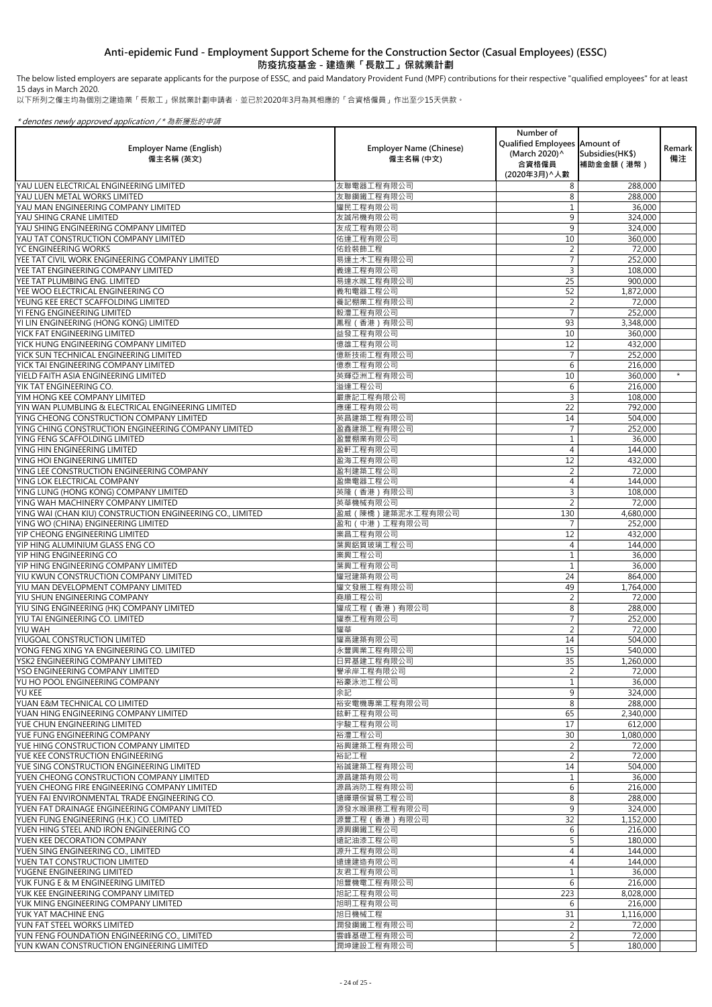The below listed employers are separate applicants for the purpose of ESSC, and paid Mandatory Provident Fund (MPF) contributions for their respective "qualified employees" for at least 15 days in March 2020.

以下所列之僱主均為個別之建造業「長散工」保就業計劃申請者,並已於2020年3月為其相應的「合資格僱員」作出至少15天供款。

| <b>Employer Name (English)</b><br>僱主名稱 (英文)                                                     | <b>Employer Name (Chinese)</b><br>僱主名稱 (中文) | Number of<br>Qualified Employees Amount of<br>(March 2020) ^<br>合資格僱員<br>(2020年3月) ^ 人數 | Subsidies (HK\$)<br>補助金金額 (港幣) | Remark<br>備注 |
|-------------------------------------------------------------------------------------------------|---------------------------------------------|-----------------------------------------------------------------------------------------|--------------------------------|--------------|
| YAU LUEN ELECTRICAL ENGINEERING LIMITED                                                         | 友聯電器工程有限公司                                  | 8                                                                                       | 288,000                        |              |
| YAU LUEN METAL WORKS LIMITED                                                                    | 友聯鋼鐵工程有限公司                                  | 8                                                                                       | 288,000                        |              |
| YAU MAN ENGINEERING COMPANY LIMITED                                                             | 耀民工程有限公司                                    |                                                                                         | 36,000                         |              |
| YAU SHING CRANE LIMITED                                                                         | 友誠吊機有限公司                                    | 9                                                                                       | 324,000                        |              |
| YAU SHING ENGINEERING COMPANY LIMITED                                                           | 友成工程有限公司                                    | 9                                                                                       | 324,000                        |              |
| YAU TAT CONSTRUCTION COMPANY LIMITED<br>YC ENGINEERING WORKS                                    | 佑達工程有限公司<br>佑銓裝飾工程                          | 10                                                                                      | 360,000                        |              |
| YEE TAT CIVIL WORK ENGINEERING COMPANY LIMITED                                                  | 易達土木工程有限公司                                  |                                                                                         | 72,000<br>252,000              |              |
| YEE TAT ENGINEERING COMPANY LIMITED                                                             | 義達工程有限公司                                    | 3                                                                                       | 108,000                        |              |
| YEE TAT PLUMBING ENG. LIMITED                                                                   | 易達水喉工程有限公司                                  | 25                                                                                      | 900,000                        |              |
| YEE WOO ELECTRICAL ENGINEERING CO                                                               | 義和電器工程公司                                    | 52                                                                                      | 1,872,000                      |              |
| YEUNG KEE ERECT SCAFFOLDING LIMITED                                                             | 養記棚業工程有限公司                                  |                                                                                         | 72,000                         |              |
| YI FENG ENGINEERING LIMITED                                                                     | 毅灃工程有限公司                                    |                                                                                         | 252,000                        |              |
| YI LIN ENGINEERING (HONG KONG) LIMITED                                                          | 鳳程 (香港) 有限公司                                | 93                                                                                      | 3,348,000                      |              |
| YICK FAT ENGINEERING LIMITED                                                                    | 益發工程有限公司                                    | 10                                                                                      | 360,000                        |              |
| YICK HUNG ENGINEERING COMPANY LIMITED                                                           | 億雄工程有限公司                                    | 12                                                                                      | 432,000                        |              |
| YICK SUN TECHNICAL ENGINEERING LIMITED                                                          | 億新技術工程有限公司                                  |                                                                                         | 252,000                        |              |
| YICK TAI ENGINEERING COMPANY LIMITED                                                            | 億泰工程有限公司                                    | 6                                                                                       | 216,000                        | $\star$      |
| YIELD FAITH ASIA ENGINEERING LIMITED<br>YIK TAT ENGINEERING CO.                                 | 英輝亞洲工程有限公司<br>溢達工程公司                        | 10<br>6                                                                                 | 360,000<br>216,000             |              |
| YIM HONG KEE COMPANY LIMITED                                                                    | 嚴康記工程有限公司                                   |                                                                                         | 108,000                        |              |
| YIN WAN PLUMBLING & ELECTRICAL ENGINEERING LIMITED                                              | 應運工程有限公司                                    | 22                                                                                      | 792,000                        |              |
| YING CHEONG CONSTRUCTION COMPANY LIMITED                                                        | 英昌建築工程有限公司                                  | 14                                                                                      | 504,000                        |              |
| YING CHING CONSTRUCTION ENGINEERING COMPANY LIMITED                                             | 盈鑫建築工程有限公司                                  |                                                                                         | 252,000                        |              |
| YING FENG SCAFFOLDING LIMITED                                                                   | 盈豐棚業有限公司                                    |                                                                                         | 36,000                         |              |
| YING HIN ENGINEERING LIMITED                                                                    | 盈軒工程有限公司                                    | 4                                                                                       | 144,000                        |              |
| YING HOI ENGINEERING LIMITED                                                                    | 盈海工程有限公司                                    | 12                                                                                      | 432,000                        |              |
| YING LEE CONSTRUCTION ENGINEERING COMPANY                                                       | 盈利建築工程公司                                    |                                                                                         | 72,000                         |              |
| YING LOK ELECTRICAL COMPANY                                                                     | 盈樂電器工程公司                                    |                                                                                         | 144,000                        |              |
| YING LUNG (HONG KONG) COMPANY LIMITED                                                           | 英隆 (香港) 有限公司                                | 3                                                                                       | 108,000                        |              |
| YING WAH MACHINERY COMPANY LIMITED<br>YING WAI (CHAN KIU) CONSTRUCTION ENGINEERING CO., LIMITED | 英華機械有限公司<br>盈威 (陳橋)建築泥水工程有限公司               | 130                                                                                     | 72,000<br>4,680,000            |              |
| YING WO (CHINA) ENGINEERING LIMITED                                                             | 盈和 (中港)工程有限公司                               |                                                                                         | 252,000                        |              |
| YIP CHEONG ENGINEERING LIMITED                                                                  | 業昌工程有限公司                                    | 12                                                                                      | 432,000                        |              |
| YIP HING ALUMINIUM GLASS ENG CO                                                                 | 葉興鋁質玻璃工程公司                                  |                                                                                         | 144,000                        |              |
| YIP HING ENGINEERING CO                                                                         | 業興工程公司                                      |                                                                                         | 36,000                         |              |
| YIP HING ENGINEERING COMPANY LIMITED                                                            | 葉興工程有限公司                                    |                                                                                         | 36,000                         |              |
| YIU KWUN CONSTRUCTION COMPANY LIMITED                                                           | 耀冠建築有限公司                                    | 24                                                                                      | 864,000                        |              |
| YIU MAN DEVELOPMENT COMPANY LIMITED                                                             | 耀文發展工程有限公司                                  | 49                                                                                      | 1,764,000                      |              |
| YIU SHUN ENGINEERING COMPANY                                                                    | 堯順工程公司                                      |                                                                                         | 72,000                         |              |
| YIU SING ENGINEERING (HK) COMPANY LIMITED<br>YIU TAI ENGINEERING CO. LIMITED                    | 耀成工程 (香港)有限公司<br>耀泰工程有限公司                   | 8                                                                                       | 288,000<br>252,000             |              |
| YIU WAH                                                                                         | 耀華                                          |                                                                                         | 72,000                         |              |
| YIUGOAL CONSTRUCTION LIMITED                                                                    | 耀高建築有限公司                                    | 14                                                                                      | 504,000                        |              |
| YONG FENG XING YA ENGINEERING CO. LIMITED                                                       | 永豐興業工程有限公司                                  | 15                                                                                      | 540,000                        |              |
| YSK2 ENGINEERING COMPANY LIMITED                                                                | 日昇基建工程有限公司                                  | 35                                                                                      | 1,260,000                      |              |
| <b>YSO ENGINEERING COMPANY LIMITED</b>                                                          | 譽承岸工程有限公司                                   |                                                                                         | 72,000                         |              |
| YU HO POOL ENGINEERING COMPANY                                                                  | 裕豪泳池工程公司                                    |                                                                                         | 36,000                         |              |
| <b>YU KEE</b>                                                                                   | 余記                                          | 9                                                                                       | 324,000                        |              |
| YUAN E&M TECHNICAL CO LIMITED                                                                   | 裕安電機專業工程有限公司                                | 8                                                                                       | 288,000                        |              |
| YUAN HING ENGINEERING COMPANY LIMITED<br>YUE CHUN ENGINEERING LIMITED                           | 鉉軒工程有限公司<br>宇駿工程有限公司                        | 65<br>17                                                                                | 2,340,000<br>612,000           |              |
| YUE FUNG ENGINEERING COMPANY                                                                    | 裕灃工程公司                                      | 30                                                                                      | 1,080,000                      |              |
| YUE HING CONSTRUCTION COMPANY LIMITED                                                           | 裕興建築工程有限公司                                  |                                                                                         | 72,000                         |              |
| <b>IYUE KEE CONSTRUCTION ENGINEERING</b>                                                        | 裕記工程                                        | $\mathcal{D}$                                                                           | 72,000                         |              |
| YUE SING CONSTRUCTION ENGINEERING LIMITED                                                       | 裕誠建築工程有限公司                                  | 14                                                                                      | 504,000                        |              |
| YUEN CHEONG CONSTRUCTION COMPANY LIMITED                                                        | 源昌建築有限公司                                    |                                                                                         | 36,000                         |              |
| YUEN CHEONG FIRE ENGINEERING COMPANY LIMITED                                                    | 源昌消防工程有限公司                                  | 6                                                                                       | 216,000                        |              |
| YUEN FAI ENVIRONMENTAL TRADE ENGINEERING CO.                                                    | 遠暉環保貿易工程公司                                  | 8                                                                                       | 288,000                        |              |
| YUEN FAT DRAINAGE ENGINEERING COMPANY LIMITED                                                   | 源發水喉渠務工程有限公司                                | 9                                                                                       | 324,000                        |              |
| YUEN FUNG ENGINEERING (H.K.) CO. LIMITED<br>YUEN HING STEEL AND IRON ENGINEERING CO             | 源豐工程 (香港) 有限公司                              | 32                                                                                      | 1,152,000                      |              |
| YUEN KEE DECORATION COMPANY                                                                     | 源興鋼鐵工程公司<br>遠記油漆工程公司                        | 6                                                                                       | 216,000<br>180,000             |              |
| YUEN SING ENGINEERING CO., LIMITED                                                              | 源升工程有限公司                                    |                                                                                         | 144,000                        |              |
| YUEN TAT CONSTRUCTION LIMITED                                                                   | 遠達建造有限公司                                    |                                                                                         | 144,000                        |              |
| YUGENE ENGINEERING LIMITED                                                                      | 友君工程有限公司                                    |                                                                                         | 36,000                         |              |
| YUK FUNG E & M ENGINEERING LIMITED                                                              | 旭豐機電工程有限公司                                  | 6                                                                                       | 216,000                        |              |
| YUK KEE ENGINEERING COMPANY LIMITED                                                             | 旭記工程有限公司                                    | 223                                                                                     | 8,028,000                      |              |
| YUK MING ENGINEERING COMPANY LIMITED                                                            | 旭明工程有限公司                                    | 6                                                                                       | 216,000                        |              |
| <u>IYUK YAT MACHINE ENG</u>                                                                     | 旭日機械工程                                      | 31                                                                                      | 1,116,000                      |              |
| YUN FAT STEEL WORKS LIMITED                                                                     | 潤發鋼鐵工程有限公司                                  |                                                                                         | 72,000                         |              |
| YUN FENG FOUNDATION ENGINEERING CO., LIMITED<br>YUN KWAN CONSTRUCTION ENGINEERING LIMITED       | 雲峰基礎工程有限公司<br>潤坤建設工程有限公司                    | 5 <sup>1</sup>                                                                          | 72,000<br>180,000              |              |
|                                                                                                 |                                             |                                                                                         |                                |              |